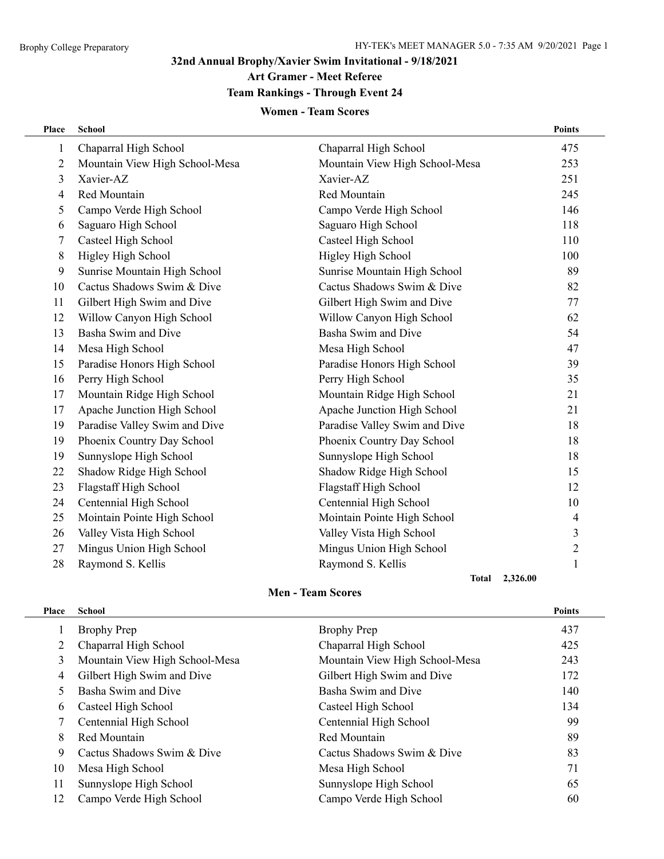÷,

## **32nd Annual Brophy/Xavier Swim Invitational - 9/18/2021**

**Art Gramer - Meet Referee**

## **Team Rankings - Through Event 24**

#### **Women - Team Scores**

| Place          | School                         |                                | <b>Points</b>  |
|----------------|--------------------------------|--------------------------------|----------------|
| $\mathbf{1}$   | Chaparral High School          | Chaparral High School          | 475            |
| $\overline{2}$ | Mountain View High School-Mesa | Mountain View High School-Mesa | 253            |
| 3              | Xavier-AZ                      | Xavier-AZ                      | 251            |
| 4              | Red Mountain                   | Red Mountain                   | 245            |
| 5              | Campo Verde High School        | Campo Verde High School        | 146            |
| 6              | Saguaro High School            | Saguaro High School            | 118            |
| 7              | Casteel High School            | Casteel High School            | 110            |
| 8              | Higley High School             | Higley High School             | 100            |
| 9              | Sunrise Mountain High School   | Sunrise Mountain High School   | 89             |
| 10             | Cactus Shadows Swim & Dive     | Cactus Shadows Swim & Dive     | 82             |
| 11             | Gilbert High Swim and Dive     | Gilbert High Swim and Dive     | 77             |
| 12             | Willow Canyon High School      | Willow Canyon High School      | 62             |
| 13             | Basha Swim and Dive            | Basha Swim and Dive            | 54             |
| 14             | Mesa High School               | Mesa High School               | 47             |
| 15             | Paradise Honors High School    | Paradise Honors High School    | 39             |
| 16             | Perry High School              | Perry High School              | 35             |
| 17             | Mountain Ridge High School     | Mountain Ridge High School     | 21             |
| 17             | Apache Junction High School    | Apache Junction High School    | 21             |
| 19             | Paradise Valley Swim and Dive  | Paradise Valley Swim and Dive  | 18             |
| 19             | Phoenix Country Day School     | Phoenix Country Day School     | 18             |
| 19             | Sunnyslope High School         | Sunnyslope High School         | 18             |
| 22             | Shadow Ridge High School       | Shadow Ridge High School       | 15             |
| 23             | Flagstaff High School          | Flagstaff High School          | 12             |
| 24             | Centennial High School         | Centennial High School         | 10             |
| 25             | Mointain Pointe High School    | Mointain Pointe High School    | 4              |
| 26             | Valley Vista High School       | Valley Vista High School       | 3              |
| 27             | Mingus Union High School       | Mingus Union High School       | $\overline{c}$ |
| 28             | Raymond S. Kellis              | Raymond S. Kellis              | $\mathbf{1}$   |
|                |                                | <b>Total</b>                   | 2,326.00       |

## **Men - Team Scores**

| Place | <b>School</b>                  |                                | <b>Points</b> |
|-------|--------------------------------|--------------------------------|---------------|
|       | <b>Brophy Prep</b>             | <b>Brophy Prep</b>             | 437           |
| 2     | Chaparral High School          | Chaparral High School          | 425           |
| 3     | Mountain View High School-Mesa | Mountain View High School-Mesa | 243           |
| 4     | Gilbert High Swim and Dive     | Gilbert High Swim and Dive     | 172           |
|       | Basha Swim and Dive            | Basha Swim and Dive            | 140           |
| 6     | Casteel High School            | Casteel High School            | 134           |
|       | Centennial High School         | Centennial High School         | 99            |
| 8     | Red Mountain                   | Red Mountain                   | 89            |
| 9     | Cactus Shadows Swim & Dive     | Cactus Shadows Swim & Dive     | 83            |
| 10    | Mesa High School               | Mesa High School               | 71            |
| 11    | Sunnyslope High School         | Sunnyslope High School         | 65            |
| 12    | Campo Verde High School        | Campo Verde High School        | 60            |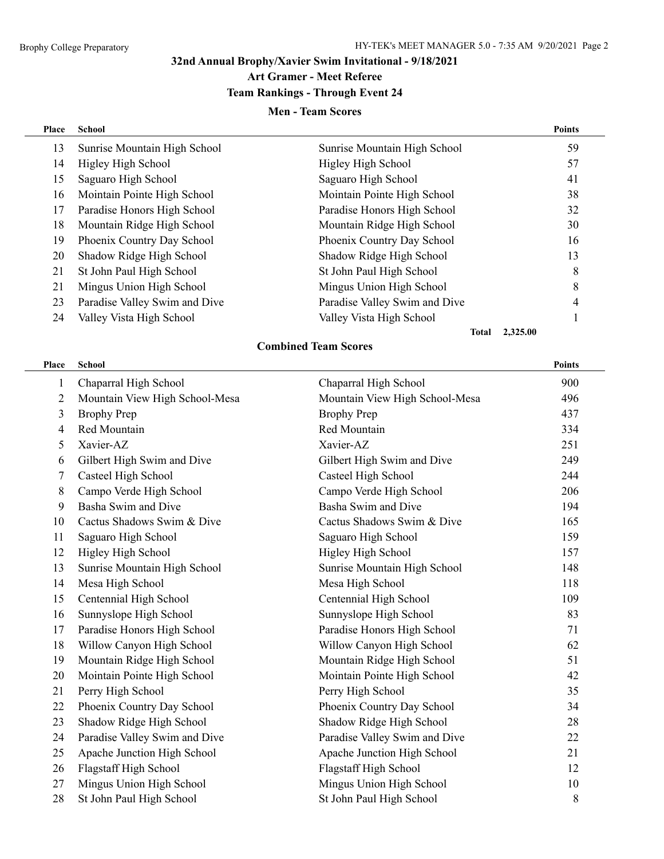#### **32nd Annual Brophy/Xavier Swim Invitational - 9/18/2021 Art Gramer - Meet Referee**

## **Team Rankings - Through Event 24**

#### **Men - Team Scores**

| Place | <b>School</b>                 |                               | <b>Points</b> |
|-------|-------------------------------|-------------------------------|---------------|
| 13    | Sunrise Mountain High School  | Sunrise Mountain High School  | 59            |
| 14    | Higley High School            | Higley High School            | 57            |
| 15    | Saguaro High School           | Saguaro High School           | 41            |
| 16    | Mointain Pointe High School   | Mointain Pointe High School   | 38            |
| 17    | Paradise Honors High School   | Paradise Honors High School   | 32            |
| 18    | Mountain Ridge High School    | Mountain Ridge High School    | 30            |
| 19    | Phoenix Country Day School    | Phoenix Country Day School    | 16            |
| 20    | Shadow Ridge High School      | Shadow Ridge High School      | 13            |
| 21    | St John Paul High School      | St John Paul High School      | 8             |
| 21    | Mingus Union High School      | Mingus Union High School      | 8             |
| 23    | Paradise Valley Swim and Dive | Paradise Valley Swim and Dive | 4             |
| 24    | Valley Vista High School      | Valley Vista High School      |               |
|       |                               | 2,325.00<br>Total             |               |

## **Combined Team Scores Place School Points**

| 1  | Chaparral High School          | Chaparral High School          | 900 |
|----|--------------------------------|--------------------------------|-----|
| 2  | Mountain View High School-Mesa | Mountain View High School-Mesa | 496 |
| 3  | <b>Brophy Prep</b>             | <b>Brophy Prep</b>             | 437 |
| 4  | Red Mountain                   | Red Mountain                   | 334 |
| 5  | Xavier-AZ                      | Xavier-AZ                      | 251 |
| 6  | Gilbert High Swim and Dive     | Gilbert High Swim and Dive     | 249 |
| 7  | Casteel High School            | Casteel High School            | 244 |
| 8  | Campo Verde High School        | Campo Verde High School        | 206 |
| 9  | Basha Swim and Dive            | Basha Swim and Dive            | 194 |
| 10 | Cactus Shadows Swim & Dive     | Cactus Shadows Swim & Dive     | 165 |
| 11 | Saguaro High School            | Saguaro High School            | 159 |
| 12 | Higley High School             | Higley High School             | 157 |
| 13 | Sunrise Mountain High School   | Sunrise Mountain High School   | 148 |
| 14 | Mesa High School               | Mesa High School               | 118 |
| 15 | Centennial High School         | Centennial High School         | 109 |
| 16 | Sunnyslope High School         | Sunnyslope High School         | 83  |
| 17 | Paradise Honors High School    | Paradise Honors High School    | 71  |
| 18 | Willow Canyon High School      | Willow Canyon High School      | 62  |
| 19 | Mountain Ridge High School     | Mountain Ridge High School     | 51  |
| 20 | Mointain Pointe High School    | Mointain Pointe High School    | 42  |
| 21 | Perry High School              | Perry High School              | 35  |
| 22 | Phoenix Country Day School     | Phoenix Country Day School     | 34  |
| 23 | Shadow Ridge High School       | Shadow Ridge High School       | 28  |
| 24 | Paradise Valley Swim and Dive  | Paradise Valley Swim and Dive  | 22  |
| 25 | Apache Junction High School    | Apache Junction High School    | 21  |
| 26 | Flagstaff High School          | Flagstaff High School          | 12  |
| 27 | Mingus Union High School       | Mingus Union High School       | 10  |

28 St John Paul High School 8 St John Paul High School 8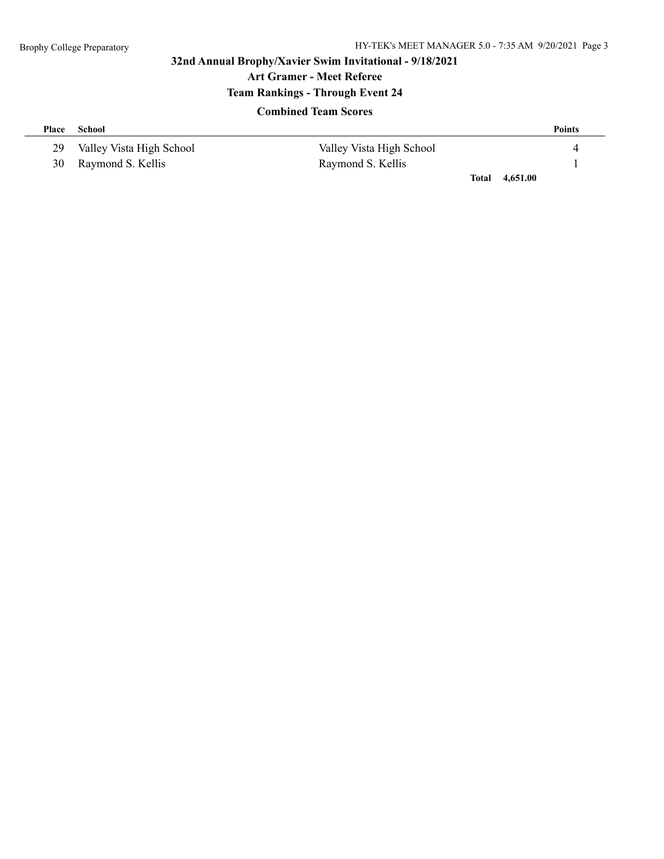## **32nd Annual Brophy/Xavier Swim Invitational - 9/18/2021 Art Gramer - Meet Referee Team Rankings - Through Event 24**

#### **Combined Team Scores**

| Place | School                   |                          |       | <b>Points</b> |
|-------|--------------------------|--------------------------|-------|---------------|
| 29    | Valley Vista High School | Valley Vista High School |       |               |
|       | 30 Raymond S. Kellis     | Raymond S. Kellis        |       |               |
|       |                          |                          | Total | 4.651.00      |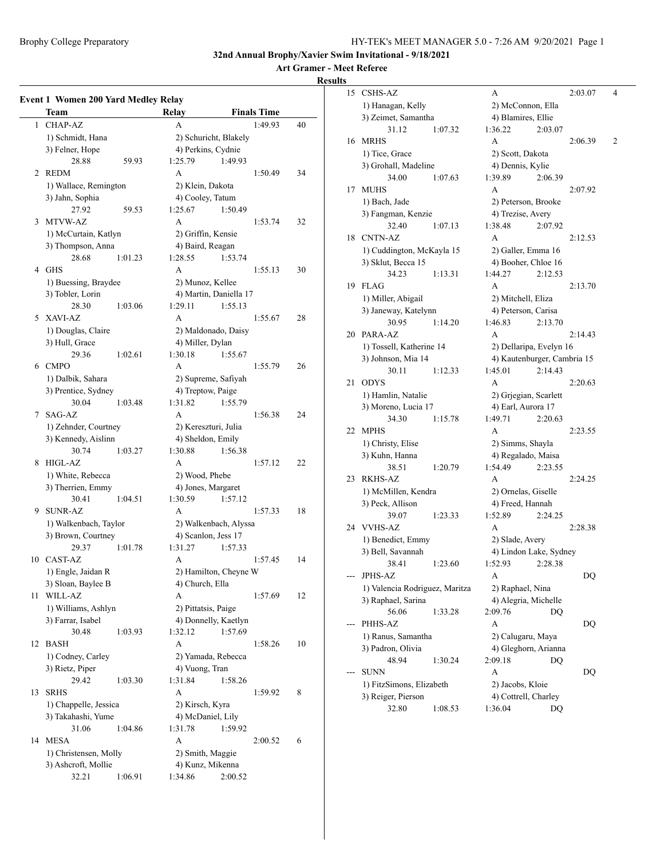**Art Gramer - Meet Referee**

#### **Results**

|    | <b>Event 1 Women 200 Yard Medley Relay</b><br>Team |         | Relay                        |                        | <b>Finals Time</b> |    |
|----|----------------------------------------------------|---------|------------------------------|------------------------|--------------------|----|
|    |                                                    |         |                              |                        |                    |    |
| 1  | <b>CHAP-AZ</b>                                     |         | A                            |                        | 1:49.93            | 40 |
|    | 1) Schmidt, Hana                                   |         |                              | 2) Schuricht, Blakely  |                    |    |
|    | 3) Felner, Hope                                    |         | 4) Perkins, Cydnie           |                        |                    |    |
|    | 28.88                                              | 59.93   | 1:25.79                      | 1:49.93                |                    |    |
| 2  | <b>REDM</b>                                        |         | A                            |                        | 1:50.49            | 34 |
|    | 1) Wallace, Remington                              |         | 2) Klein, Dakota             |                        |                    |    |
|    | 3) Jahn, Sophia                                    |         | 4) Cooley, Tatum             |                        |                    |    |
|    | 27.92                                              | 59.53   | 1:25.67                      | 1:50.49                |                    |    |
| 3  | MTVW-AZ                                            |         | A                            |                        | 1:53.74            | 32 |
|    | 1) McCurtain, Katlyn                               |         | 2) Griffin, Kensie           |                        |                    |    |
|    | 3) Thompson, Anna                                  |         | 4) Baird, Reagan             |                        |                    |    |
|    | 28.68                                              | 1:01.23 | 1:28.55                      | 1:53.74                |                    |    |
| 4  | GHS                                                |         | A                            |                        | 1:55.13            | 30 |
|    | 1) Buessing, Braydee                               |         | 2) Munoz, Kellee             |                        |                    |    |
|    | 3) Tobler, Lorin                                   |         |                              | 4) Martin, Daniella 17 |                    |    |
|    | 28.30                                              | 1:03.06 | 1:29.11                      | 1:55.13                |                    |    |
| 5  | XAVI-AZ                                            |         | A                            |                        | 1:55.67            | 28 |
|    | 1) Douglas, Claire                                 |         |                              | 2) Maldonado, Daisy    |                    |    |
|    | 3) Hull, Grace                                     |         | 4) Miller, Dylan             |                        |                    |    |
|    | 29.36                                              | 1:02.61 | 1:30.18                      | 1:55.67                |                    |    |
| 6  | <b>CMPO</b>                                        |         | A                            |                        | 1:55.79            | 26 |
|    |                                                    |         |                              | 2) Supreme, Safiyah    |                    |    |
|    | 1) Dalbik, Sahara                                  |         |                              |                        |                    |    |
|    | 3) Prentice, Sydney                                |         | 4) Treptow, Paige<br>1:31.82 |                        |                    |    |
|    | 30.04                                              | 1:03.48 |                              | 1:55.79                |                    |    |
| 7  | SAG-AZ                                             |         | A                            |                        | 1:56.38            | 24 |
|    | 1) Zehnder, Courtney                               |         |                              | 2) Kereszturi, Julia   |                    |    |
|    | 3) Kennedy, Aislinn                                |         | 4) Sheldon, Emily            |                        |                    |    |
|    | 30.74                                              | 1:03.27 | 1:30.88                      | 1:56.38                |                    |    |
| 8  | HIGL-AZ                                            |         | A                            |                        | 1:57.12            | 22 |
|    | 1) White, Rebecca                                  |         | 2) Wood, Phebe               |                        |                    |    |
|    | 3) Therrien, Emmy                                  |         | 4) Jones, Margaret           |                        |                    |    |
|    | 30.41                                              | 1:04.51 | 1:30.59                      | 1:57.12                |                    |    |
| 9  | <b>SUNR-AZ</b>                                     |         | A                            |                        | 1:57.33            | 18 |
|    | 1) Walkenbach, Taylor                              |         |                              | 2) Walkenbach, Alyssa  |                    |    |
|    | 3) Brown, Courtney                                 |         | 4) Scanlon, Jess 17          |                        |                    |    |
|    | 29.37                                              | 1:01.78 | 1:31.27                      | 1:57.33                |                    |    |
| 10 | CAST-AZ                                            |         | A                            |                        | 1:57.45            | 14 |
|    | 1) Engle, Jaidan R                                 |         |                              | 2) Hamilton, Cheyne W  |                    |    |
|    | 3) Sloan, Baylee B                                 |         | 4) Church, Ella              |                        |                    |    |
| 11 | WILL-AZ                                            |         | A                            |                        | 1:57.69            | 12 |
|    | 1) Williams, Ashlyn                                |         | 2) Pittatsis, Paige          |                        |                    |    |
|    | 3) Farrar, Isabel                                  |         |                              | 4) Donnelly, Kaetlyn   |                    |    |
|    | 30.48                                              | 1:03.93 | 1:32.12                      | 1:57.69                |                    |    |
| 12 | BASH                                               |         | A                            |                        | 1:58.26            | 10 |
|    | 1) Codney, Carley                                  |         |                              | 2) Yamada, Rebecca     |                    |    |
|    | 3) Rietz, Piper                                    |         | 4) Vuong, Tran               |                        |                    |    |
|    | 29.42                                              | 1:03.30 | 1:31.84                      | 1:58.26                |                    |    |
| 13 | <b>SRHS</b>                                        |         | A                            |                        |                    | 8  |
|    |                                                    |         |                              |                        | 1:59.92            |    |
|    | 1) Chappelle, Jessica                              |         | 2) Kirsch, Kyra              |                        |                    |    |
|    | 3) Takahashi, Yume                                 |         | 4) McDaniel, Lily            |                        |                    |    |
|    | 31.06                                              | 1:04.86 | 1:31.78                      | 1:59.92                |                    |    |
| 14 | MESA                                               |         | A                            |                        | 2:00.52            | 6  |
|    | 1) Christensen, Molly                              |         | 2) Smith, Maggie             |                        |                    |    |
|    | 3) Ashcroft, Mollie                                |         | 4) Kunz, Mikenna             |                        |                    |    |
|    | 32.21                                              | 1:06.91 | 1:34.86                      | 2:00.52                |                    |    |

| 15                 | <b>CSHS-AZ</b>                 |                   | A                                                      |         | 2:03.07 | 4 |
|--------------------|--------------------------------|-------------------|--------------------------------------------------------|---------|---------|---|
|                    | 1) Hanagan, Kelly              |                   | 2) McConnon, Ella                                      |         |         |   |
|                    | 3) Zeimet, Samantha            |                   | 4) Blamires, Ellie                                     |         |         |   |
|                    | 31.12                          | 1:07.32           | 1:36.22                                                | 2:03.07 |         |   |
| 16                 | <b>MRHS</b>                    |                   | A                                                      |         | 2:06.39 | 2 |
|                    | 1) Tice, Grace                 |                   | 2) Scott, Dakota                                       |         |         |   |
|                    | 3) Grohall, Madeline           |                   | 4) Dennis, Kylie                                       |         |         |   |
|                    | 34.00                          | 1:07.63           | 1:39.89                                                | 2:06.39 |         |   |
| 17                 | <b>MUHS</b>                    |                   | A                                                      |         | 2:07.92 |   |
|                    | 1) Bach, Jade                  |                   | 2) Peterson, Brooke                                    |         |         |   |
|                    | 3) Fangman, Kenzie             |                   | 4) Trezise, Avery                                      |         |         |   |
|                    | 32.40                          | 1:07.13           | 1:38.48                                                | 2:07.92 |         |   |
| 18                 | <b>CNTN-AZ</b>                 |                   | A                                                      |         | 2:12.53 |   |
|                    | 1) Cuddington, McKayla 15      |                   | 2) Galler, Emma 16                                     |         |         |   |
|                    | 3) Sklut, Becca 15             |                   | 4) Booher, Chloe 16                                    |         |         |   |
|                    | 34.23                          | 1:13.31           | 1:44.27                                                | 2:12.53 |         |   |
| 19                 | <b>FLAG</b>                    |                   | A                                                      |         | 2:13.70 |   |
|                    |                                |                   |                                                        |         |         |   |
|                    | 1) Miller, Abigail             |                   | 2) Mitchell, Eliza                                     |         |         |   |
|                    | 3) Janeway, Katelynn           |                   | 4) Peterson, Carisa                                    |         |         |   |
|                    | 30.95                          | 1:14.20           | 1:46.83                                                | 2:13.70 |         |   |
| 20                 | PARA-AZ                        |                   | А                                                      |         | 2:14.43 |   |
|                    | 1) Tossell, Katherine 14       |                   | 2) Dellaripa, Evelyn 16<br>4) Kautenburger, Cambria 15 |         |         |   |
|                    | 3) Johnson, Mia 14             |                   |                                                        |         |         |   |
|                    | 30.11                          | 1:12.33           | 1:45.01                                                | 2:14.43 |         |   |
| 21                 | ODYS                           |                   | A                                                      |         | 2:20.63 |   |
|                    | 1) Hamlin, Natalie             |                   | 2) Grjegian, Scarlett                                  |         |         |   |
|                    | 3) Moreno, Lucia 17            |                   | 4) Earl, Aurora 17                                     |         |         |   |
|                    | 34.30                          | 1:15.78           | 1:49.71                                                | 2:20.63 |         |   |
| 22                 | <b>MPHS</b>                    |                   | A                                                      |         | 2:23.55 |   |
|                    | 1) Christy, Elise              |                   | 2) Simms, Shayla                                       |         |         |   |
|                    | 3) Kuhn, Hanna                 |                   | 4) Regalado, Maisa                                     |         |         |   |
|                    | 38.51                          | 1:20.79           | 1:54.49                                                | 2:23.55 |         |   |
| 23                 | RKHS-AZ                        |                   | А                                                      |         | 2:24.25 |   |
|                    | 1) McMillen, Kendra            |                   | 2) Ornelas, Giselle                                    |         |         |   |
|                    | 3) Peck, Allison               |                   | 4) Freed, Hannah                                       |         |         |   |
|                    | 39.07                          | 1:23.33           | 1:52.89                                                | 2:24.25 |         |   |
| 24                 | <b>VVHS-AZ</b>                 |                   | A                                                      |         | 2:28.38 |   |
|                    | 1) Benedict, Emmy              |                   | 2) Slade, Avery                                        |         |         |   |
|                    | 3) Bell, Savannah              |                   | 4) Lindon Lake, Sydney                                 |         |         |   |
|                    | 38.41                          | 1:23.60           | 1:52.93                                                | 2:28.38 |         |   |
| ---                | JPHS-AZ                        |                   | А                                                      |         | DQ      |   |
|                    | 1) Valencia Rodriguez, Maritza |                   | 2) Raphael, Nina                                       |         |         |   |
|                    | 3) Raphael, Sarina             |                   | 4) Alegria, Michelle                                   |         |         |   |
|                    | 56.06                          | 1:33.28           | 2:09.76                                                | DO      |         |   |
|                    | PHHS-AZ                        |                   | А                                                      |         | DQ      |   |
| 1) Ranus, Samantha |                                | 2) Calugaru, Maya |                                                        |         |         |   |
|                    | 3) Padron, Olivia              |                   | 4) Gleghorn, Arianna                                   |         |         |   |
|                    | 48.94                          | 1:30.24           | 2:09.18                                                | DQ      |         |   |
|                    | SUNN                           |                   | A                                                      |         | DQ      |   |
|                    | 1) FitzSimons, Elizabeth       |                   | 2) Jacobs, Kloie                                       |         |         |   |
|                    | 3) Reiger, Pierson             |                   | 4) Cottrell, Charley                                   |         |         |   |
|                    | 32.80                          | 1:08.53           | 1:36.04                                                | DQ      |         |   |
|                    |                                |                   |                                                        |         |         |   |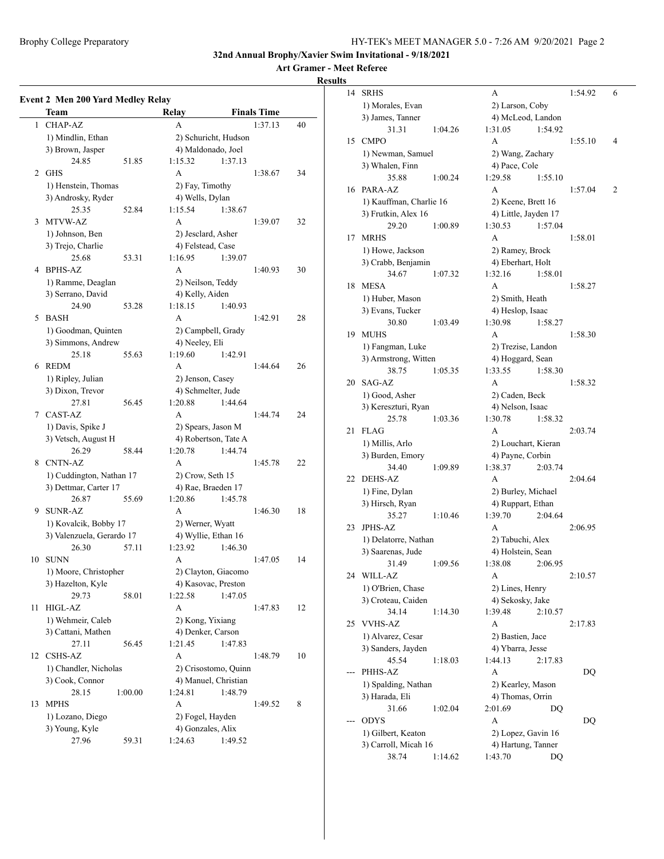**Art Gramer - Meet Referee**

#### **Results**

|    | Team                      |         | Relay                                      |                      | <b>Finals Time</b> |    |
|----|---------------------------|---------|--------------------------------------------|----------------------|--------------------|----|
| 1  | <b>CHAP-AZ</b>            |         | A                                          |                      | 1:37.13            | 40 |
|    | 1) Mindlin, Ethan         |         |                                            | 2) Schuricht, Hudson |                    |    |
|    | 3) Brown, Jasper          |         |                                            | 4) Maldonado, Joel   |                    |    |
|    | 24.85                     | 51.85   | 1:15.32                                    | 1:37.13              |                    |    |
| 2  | <b>GHS</b>                |         | A                                          |                      | 1:38.67            | 34 |
|    | 1) Henstein, Thomas       |         | 2) Fay, Timothy                            |                      |                    |    |
|    | 3) Androsky, Ryder        |         | 4) Wells, Dylan                            |                      |                    |    |
|    | 25.35                     | 52.84   | 1:15.54                                    | 1:38.67              |                    |    |
| 3  | MTVW-AZ                   |         | A                                          |                      | 1:39.07            | 32 |
|    | 1) Johnson, Ben           |         | 2) Jesclard, Asher                         |                      |                    |    |
|    | 3) Trejo, Charlie         |         | 4) Felstead, Case                          |                      |                    |    |
|    | 25.68                     | 53.31   | 1:16.95                                    | 1:39.07              |                    |    |
| 4  | BPHS-AZ                   |         | A                                          |                      | 1:40.93            | 30 |
|    | 1) Ramme, Deaglan         |         | 2) Neilson, Teddy                          |                      |                    |    |
|    | 3) Serrano, David         |         | 4) Kelly, Aiden                            |                      |                    |    |
|    | 24.90                     | 53.28   | 1:18.15                                    | 1:40.93              |                    |    |
| 5  | <b>BASH</b>               |         | A                                          |                      | 1:42.91            | 28 |
|    | 1) Goodman, Quinten       |         |                                            |                      |                    |    |
|    | 3) Simmons, Andrew        |         | 2) Campbell, Grady<br>4) Neeley, Eli       |                      |                    |    |
|    | 25.18                     | 55.63   | 1:19.60                                    | 1:42.91              |                    |    |
| 6  | <b>REDM</b>               |         | A                                          |                      | 1:44.64            | 26 |
|    | 1) Ripley, Julian         |         | 2) Jenson, Casey                           |                      |                    |    |
|    | 3) Dixon, Trevor          |         | 4) Schmelter, Jude                         |                      |                    |    |
|    | 27.81                     | 56.45   | 1:20.88                                    | 1:44.64              |                    |    |
| 7  | CAST-AZ                   |         | A                                          |                      | 1:44.74            | 24 |
|    | 1) Davis, Spike J         |         |                                            | 2) Spears, Jason M   |                    |    |
|    | 3) Vetsch, August H       |         |                                            | 4) Robertson, Tate A |                    |    |
|    | 26.29                     | 58.44   | 1:20.78                                    | 1:44.74              |                    |    |
| 8  | <b>CNTN-AZ</b>            |         | A                                          |                      | 1:45.78            | 22 |
|    |                           |         |                                            |                      |                    |    |
|    | 1) Cuddington, Nathan 17  |         | 2) Crow, Seth 15                           |                      |                    |    |
|    | 3) Dettmar, Carter 17     |         |                                            | 4) Rae, Braeden 17   |                    |    |
|    | 26.87<br><b>SUNR-AZ</b>   | 55.69   | 1:20.86                                    | 1:45.78              |                    |    |
| 9  |                           |         | A                                          |                      | 1:46.30            | 18 |
|    | 1) Kovalcik, Bobby 17     |         | 2) Werner, Wyatt                           |                      |                    |    |
|    | 3) Valenzuela, Gerardo 17 |         |                                            | 4) Wyllie, Ethan 16  |                    |    |
|    | 26.30                     | 57.11   | 1:23.92                                    | 1:46.30              |                    |    |
| 10 | <b>SUNN</b>               |         | A                                          |                      | 1:47.05            | 14 |
|    | 1) Moore, Christopher     |         | 2) Clayton, Giacomo<br>4) Kasovac, Preston |                      |                    |    |
|    | 3) Hazelton, Kyle         |         |                                            |                      |                    |    |
|    | 29.73                     | 58.01   | 1:22.58                                    | 1:47.05              |                    |    |
| 11 | HIGL-AZ                   |         | A                                          |                      | 1:47.83            | 12 |
|    | 1) Wehmeir, Caleb         |         | 2) Kong, Yixiang                           |                      |                    |    |
|    | 3) Cattani, Mathen        |         | 4) Denker, Carson                          |                      |                    |    |
|    | 27.11                     | 56.45   | 1:21.45                                    | 1:47.83              |                    |    |
| 12 | <b>CSHS-AZ</b>            |         | A                                          |                      | 1:48.79            | 10 |
|    | 1) Chandler, Nicholas     |         |                                            | 2) Crisostomo, Quinn |                    |    |
|    | 3) Cook, Connor           |         |                                            | 4) Manuel, Christian |                    |    |
|    | 28.15                     | 1:00.00 | 1:24.81                                    | 1:48.79              |                    |    |
| 13 | <b>MPHS</b>               |         | $\mathbf{A}$                               |                      | 1:49.52            | 8  |
|    | 1) Lozano, Diego          |         | 2) Fogel, Hayden                           |                      |                    |    |
|    | 3) Young, Kyle            |         | 4) Gonzales, Alix                          |                      |                    |    |
|    | 27.96                     | 59.31   | 1:24.63                                    | 1:49.52              |                    |    |

| 14 | <b>SRHS</b>             |         | А                                   |                      |                     | 1:54.92 | 6 |
|----|-------------------------|---------|-------------------------------------|----------------------|---------------------|---------|---|
|    | 1) Morales, Evan        |         |                                     | 2) Larson, Coby      |                     |         |   |
|    | 3) James, Tanner        |         |                                     |                      | 4) McLeod, Landon   |         |   |
|    | 31.31                   | 1:04.26 | 1:31.05                             |                      | 1:54.92             |         |   |
| 15 | <b>CMPO</b>             |         | A                                   |                      |                     | 1:55.10 | 4 |
|    | 1) Newman, Samuel       |         |                                     | 2) Wang, Zachary     |                     |         |   |
|    |                         |         |                                     |                      |                     |         |   |
|    | 3) Whalen, Finn         |         |                                     | 4) Pace, Cole        |                     |         |   |
|    | 35.88                   | 1:00.24 | 1:29.58                             |                      | 1:55.10             |         |   |
| 16 | PARA-AZ                 |         | A                                   |                      |                     | 1:57.04 | 2 |
|    | 1) Kauffman, Charlie 16 |         |                                     | 2) Keene, Brett 16   |                     |         |   |
|    | 3) Frutkin, Alex 16     |         |                                     | 4) Little, Jayden 17 |                     |         |   |
|    | 29.20                   | 1:00.89 | 1:30.53                             |                      | 1:57.04             |         |   |
| 17 | <b>MRHS</b>             |         | A                                   |                      |                     | 1:58.01 |   |
|    | 1) Howe, Jackson        |         |                                     | 2) Ramey, Brock      |                     |         |   |
|    | 3) Crabb, Benjamin      |         |                                     | 4) Eberhart, Holt    |                     |         |   |
|    | 34.67                   | 1:07.32 | 1:32.16                             |                      | 1:58.01             |         |   |
| 18 | <b>MESA</b>             |         | А                                   |                      |                     | 1:58.27 |   |
|    | 1) Huber, Mason         |         |                                     | 2) Smith, Heath      |                     |         |   |
|    | 3) Evans, Tucker        |         |                                     | 4) Heslop, Isaac     |                     |         |   |
|    | 30.80                   | 1:03.49 | 1:30.98                             |                      | 1:58.27             |         |   |
| 19 | <b>MUHS</b>             |         | A                                   |                      |                     | 1:58.30 |   |
|    | 1) Fangman, Luke        |         |                                     | 2) Trezise, Landon   |                     |         |   |
|    | 3) Armstrong, Witten    |         |                                     | 4) Hoggard, Sean     |                     |         |   |
|    |                         |         |                                     |                      | 1:58.30             |         |   |
|    | 38.75                   | 1:05.35 | 1:33.55                             |                      |                     |         |   |
| 20 | SAG-AZ                  |         | A                                   |                      |                     | 1:58.32 |   |
|    | 1) Good, Asher          |         |                                     | 2) Caden, Beck       |                     |         |   |
|    | 3) Kereszturi, Ryan     |         |                                     | 4) Nelson, Isaac     |                     |         |   |
|    | 25.78                   | 1:03.36 | 1:30.78                             |                      | 1:58.32             |         |   |
| 21 | <b>FLAG</b>             |         | A                                   |                      |                     | 2:03.74 |   |
|    | 1) Millis, Arlo         |         |                                     |                      | 2) Louchart, Kieran |         |   |
|    | 3) Burden, Emory        |         |                                     | 4) Payne, Corbin     |                     |         |   |
|    | 34.40                   | 1:09.89 | 1:38.37                             |                      | 2:03.74             |         |   |
| 22 | <b>DEHS-AZ</b>          |         | А                                   |                      |                     | 2:04.64 |   |
|    | 1) Fine, Dylan          |         |                                     | 2) Burley, Michael   |                     |         |   |
|    | 3) Hirsch, Ryan         |         |                                     | 4) Ruppart, Ethan    |                     |         |   |
|    | 35.27                   | 1:10.46 | 1:39.70                             |                      | 2:04.64             |         |   |
| 23 | <b>JPHS-AZ</b>          |         | A                                   |                      |                     | 2:06.95 |   |
|    | 1) Delatorre, Nathan    |         |                                     | 2) Tabuchi, Alex     |                     |         |   |
|    | 3) Saarenas, Jude       |         |                                     | 4) Holstein, Sean    |                     |         |   |
|    | 31.49                   | 1:09.56 | 1:38.08                             |                      | 2:06.95             |         |   |
| 24 | WILL-AZ                 |         | А                                   |                      |                     | 2:10.57 |   |
|    | 1) O'Brien, Chase       |         |                                     |                      |                     |         |   |
|    | 3) Croteau, Caiden      |         | 2) Lines, Henry<br>4) Sekosky, Jake |                      |                     |         |   |
|    | 34.14                   | 1:14.30 | 1:39.48                             |                      | 2:10.57             |         |   |
| 25 | <b>VVHS-AZ</b>          |         | A                                   |                      |                     | 2:17.83 |   |
|    | 1) Alvarez, Cesar       |         |                                     | 2) Bastien, Jace     |                     |         |   |
|    |                         |         |                                     | 4) Ybarra, Jesse     |                     |         |   |
|    | 3) Sanders, Jayden      |         |                                     |                      |                     |         |   |
|    | 45.54                   | 1:18.03 | 1:44.13                             |                      | 2:17.83             |         |   |
|    | PHHS-AZ                 |         | A                                   |                      |                     | DQ      |   |
|    | 1) Spalding, Nathan     |         |                                     | 2) Kearley, Mason    |                     |         |   |
|    | 3) Harada, Eli          |         |                                     | 4) Thomas, Orrin     |                     |         |   |
|    | 31.66                   | 1:02.04 | 2:01.69                             |                      | DQ                  |         |   |
|    | <b>ODYS</b>             |         | A                                   |                      |                     | DQ      |   |
|    | 1) Gilbert, Keaton      |         |                                     |                      | 2) Lopez, Gavin 16  |         |   |
|    | 3) Carroll, Micah 16    |         |                                     | 4) Hartung, Tanner   |                     |         |   |
|    | 38.74                   | 1:14.62 | 1:43.70                             |                      | DO                  |         |   |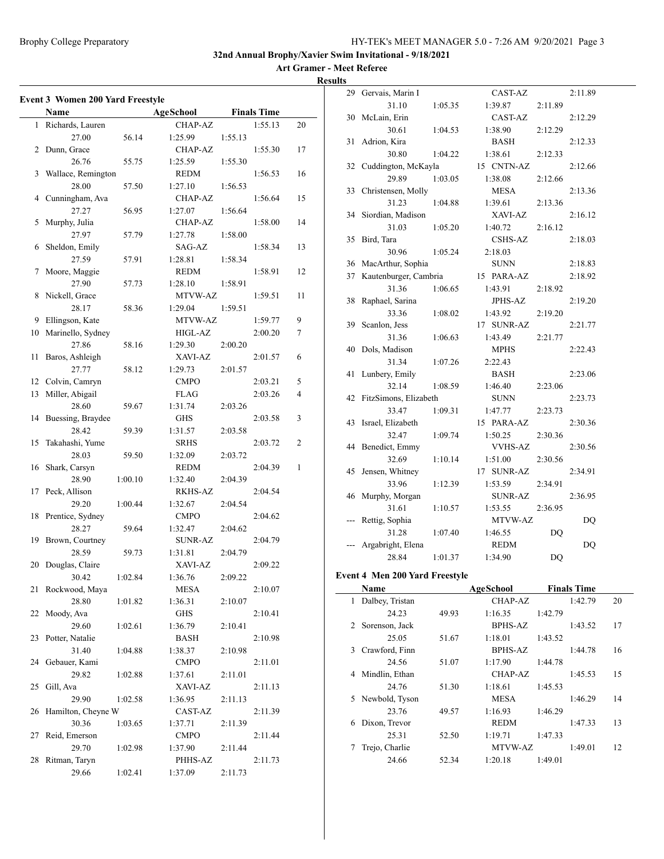#### Brophy College Preparatory HY-TEK's MEET MANAGER 5.0 - 7:26 AM 9/20/2021 Page 3

**32nd Annual Brophy/Xavier Swim Invitational - 9/18/2021**

## **Art Gramer - Meet Referee**

| ۰.<br>۰. |
|----------|
|          |

|    | <b>Event 3 Women 200 Yard Freestyle</b> |         |                |         |                    |    |
|----|-----------------------------------------|---------|----------------|---------|--------------------|----|
|    | Name                                    |         | AgeSchool      |         | <b>Finals Time</b> |    |
| 1  | Richards, Lauren                        |         | <b>CHAP-AZ</b> |         | 1:55.13            | 20 |
|    | 27.00                                   | 56.14   | 1:25.99        | 1:55.13 |                    |    |
| 2  | Dunn, Grace                             |         | <b>CHAP-AZ</b> |         | 1:55.30            | 17 |
|    | 26.76                                   | 55.75   | 1:25.59        | 1:55.30 |                    |    |
| 3  | Wallace, Remington                      |         | REDM           |         | 1:56.53            | 16 |
|    | 28.00                                   | 57.50   | 1:27.10        | 1:56.53 |                    |    |
| 4  | Cunningham, Ava                         |         | CHAP-AZ        |         | 1:56.64            | 15 |
|    | 27.27                                   | 56.95   | 1:27.07        | 1:56.64 |                    |    |
| 5  | Murphy, Julia                           |         | <b>CHAP-AZ</b> |         | 1:58.00            | 14 |
|    | 27.97                                   | 57.79   | 1:27.78        | 1:58.00 |                    |    |
| 6  | Sheldon, Emily                          |         | SAG-AZ         |         | 1:58.34            | 13 |
|    | 27.59                                   | 57.91   | 1:28.81        | 1:58.34 |                    |    |
| 7  | Moore, Maggie                           |         | <b>REDM</b>    |         | 1:58.91            | 12 |
|    | 27.90                                   | 57.73   | 1:28.10        | 1:58.91 |                    |    |
| 8  | Nickell, Grace                          |         | MTVW-AZ        |         | 1:59.51            | 11 |
|    | 28.17                                   | 58.36   | 1:29.04        | 1:59.51 |                    |    |
| 9  | Ellingson, Kate                         |         | MTVW-AZ        |         | 1:59.77            | 9  |
| 10 | Marinello, Sydney                       |         | HIGL-AZ        |         | 2:00.20            | 7  |
|    | 27.86                                   | 58.16   | 1:29.30        | 2:00.20 |                    |    |
| 11 | Baros, Ashleigh                         |         | XAVI-AZ        |         | 2:01.57            | 6  |
|    | 27.77                                   | 58.12   | 1:29.73        | 2:01.57 |                    |    |
| 12 | Colvin, Camryn                          |         | <b>CMPO</b>    |         | 2:03.21            | 5  |
| 13 | Miller, Abigail                         |         | FLAG           |         | 2:03.26            | 4  |
|    | 28.60                                   |         | 1:31.74        | 2:03.26 |                    |    |
| 14 | Buessing, Braydee                       | 59.67   | <b>GHS</b>     |         | 2:03.58            | 3  |
|    | 28.42                                   |         | 1:31.57        |         |                    |    |
| 15 | Takahashi, Yume                         | 59.39   | SRHS           | 2:03.58 | 2:03.72            | 2  |
|    |                                         |         |                |         |                    |    |
|    | 28.03                                   | 59.50   | 1:32.09        | 2:03.72 |                    |    |
| 16 | Shark, Carsyn                           |         | <b>REDM</b>    |         | 2:04.39            | 1  |
|    | 28.90                                   | 1:00.10 | 1:32.40        | 2:04.39 |                    |    |
| 17 | Peck, Allison                           |         | <b>RKHS-AZ</b> |         | 2:04.54            |    |
|    | 29.20                                   | 1:00.44 | 1:32.67        | 2:04.54 |                    |    |
| 18 | Prentice, Sydney                        |         | <b>CMPO</b>    |         | 2:04.62            |    |
|    | 28.27                                   | 59.64   | 1:32.47        | 2:04.62 |                    |    |
| 19 | Brown, Courtney                         |         | SUNR-AZ        |         | 2:04.79            |    |
|    | 28.59                                   | 59.73   | 1:31.81        | 2:04.79 |                    |    |
| 20 | Douglas, Claire                         |         | XAVI-AZ        |         | 2:09.22            |    |
|    | 30.42                                   | 1:02.84 | 1:36.76        | 2:09.22 |                    |    |
| 21 | Rockwood, Maya                          |         | MESA           |         | 2:10.07            |    |
|    | 28.80                                   | 1:01.82 | 1:36.31        | 2:10.07 |                    |    |
| 22 | Moody, Ava                              |         | GHS            |         | 2:10.41            |    |
|    | 29.60                                   | 1:02.61 | 1:36.79        | 2:10.41 |                    |    |
| 23 | Potter, Natalie                         |         | <b>BASH</b>    |         | 2:10.98            |    |
|    | 31.40                                   | 1:04.88 | 1:38.37        | 2:10.98 |                    |    |
| 24 | Gebauer, Kami                           |         | <b>CMPO</b>    |         | 2:11.01            |    |
|    | 29.82                                   | 1:02.88 | 1:37.61        | 2:11.01 |                    |    |
| 25 | Gill, Ava                               |         | XAVI-AZ        |         | 2:11.13            |    |
|    | 29.90                                   | 1:02.58 | 1:36.95        | 2:11.13 |                    |    |
| 26 | Hamilton, Cheyne W                      |         | CAST-AZ        |         | 2:11.39            |    |
|    | 30.36                                   | 1:03.65 | 1:37.71        | 2:11.39 |                    |    |
| 27 | Reid, Emerson                           |         | <b>CMPO</b>    |         | 2:11.44            |    |
|    | 29.70                                   | 1:02.98 | 1:37.90        | 2:11.44 |                    |    |
| 28 | Ritman, Taryn                           |         | PHHS-AZ        |         | 2:11.73            |    |
|    | 29.66                                   | 1:02.41 | 1:37.09        | 2:11.73 |                    |    |

| 29 | Gervais, Marin I              |         | CAST-AZ              |           | 2:11.89   |
|----|-------------------------------|---------|----------------------|-----------|-----------|
|    | 31.10                         | 1:05.35 | 1:39.87              | 2:11.89   |           |
| 30 | McLain, Erin                  |         | CAST-AZ              |           | 2:12.29   |
|    | 30.61                         | 1:04.53 | 1:38.90              | 2:12.29   |           |
| 31 | Adrion, Kira                  |         | <b>BASH</b>          |           | 2:12.33   |
|    | 30.80                         | 1:04.22 | 1:38.61              | 2:12.33   |           |
| 32 | Cuddington, McKayla           |         | 15 CNTN-AZ           |           | 2:12.66   |
|    | 29.89                         | 1:03.05 | 1:38.08              | 2:12.66   |           |
| 33 | Christensen, Molly            |         | <b>MESA</b>          |           | 2:13.36   |
|    | 31.23                         | 1:04.88 | 1:39.61              | 2:13.36   |           |
| 34 | Siordian, Madison             |         | XAVI-AZ              |           | 2:16.12   |
|    | 31.03                         | 1:05.20 | 1:40.72              | 2:16.12   |           |
| 35 | Bird, Tara                    |         | <b>CSHS-AZ</b>       |           | 2:18.03   |
|    | 30.96                         | 1:05.24 | 2:18.03              |           |           |
| 36 | MacArthur, Sophia             |         | <b>SUNN</b>          |           | 2:18.83   |
| 37 | Kautenburger, Cambria         |         | 15 PARA-AZ           |           | 2:18.92   |
|    | 31.36                         | 1:06.65 | 1:43.91              | 2:18.92   |           |
| 38 | Raphael, Sarina               |         | JPHS-AZ              |           | 2:19.20   |
|    | 33.36                         | 1:08.02 | 1:43.92              | 2:19.20   |           |
| 39 | Scanlon, Jess                 |         | <b>SUNR-AZ</b><br>17 |           | 2:21.77   |
|    | 31.36                         | 1:06.63 | 1:43.49              | 2:21.77   |           |
| 40 | Dols, Madison                 |         | <b>MPHS</b>          |           | 2:22.43   |
|    | 31.34                         | 1:07.26 | 2:22.43              |           |           |
| 41 | Lunbery, Emily                |         | BASH                 |           | 2:23.06   |
|    | 32.14                         | 1:08.59 | 1:46.40              | 2:23.06   |           |
| 42 | FitzSimons, Elizabeth         |         | <b>SUNN</b>          |           | 2:23.73   |
|    | 33.47                         | 1:09.31 | 1:47.77              | 2:23.73   |           |
| 43 | Israel, Elizabeth             |         | 15 PARA-AZ           |           | 2:30.36   |
|    | 32.47                         | 1:09.74 | 1:50.25              | 2:30.36   |           |
| 44 | Benedict, Emmy                |         | <b>VVHS-AZ</b>       |           | 2:30.56   |
|    | 32.69                         | 1:10.14 | 1:51.00              | 2:30.56   |           |
| 45 | Jensen, Whitney               |         | 17<br><b>SUNR-AZ</b> |           | 2:34.91   |
|    | 33.96                         | 1:12.39 | 1:53.59              | 2:34.91   |           |
| 46 | Murphy, Morgan                |         | <b>SUNR-AZ</b>       |           | 2:36.95   |
|    | 31.61                         | 1:10.57 | 1:53.55              | 2:36.95   |           |
|    | Rettig, Sophia                |         | MTVW-AZ              |           | DQ        |
|    | 31.28                         | 1:07.40 | 1:46.55              | DQ        |           |
|    | Argabright, Elena             |         | <b>REDM</b>          |           | <b>DQ</b> |
|    | 28.84                         | 1:01.37 | 1:34.90              | <b>DQ</b> |           |
|    | vent 4 Men 200 Vard Freestyle |         |                      |           |           |

## **Event 4 Men 200 Yard Freestyle**

|    | Name            |       | <b>AgeSchool</b> |         | <b>Finals Time</b> |    |
|----|-----------------|-------|------------------|---------|--------------------|----|
| 1  | Dalbey, Tristan |       | CHAP-AZ          |         | 1:42.79            | 20 |
|    | 24.23           | 49.93 | 1:16.35          | 1:42.79 |                    |    |
| 2  | Sorenson, Jack  |       | <b>BPHS-AZ</b>   |         | 1:43.52            | 17 |
|    | 25.05           | 51.67 | 1:18.01          | 1:43.52 |                    |    |
| 3  | Crawford, Finn  |       | <b>BPHS-AZ</b>   |         | 1:44.78            | 16 |
|    | 24.56           | 51.07 | 1:17.90          | 1:44.78 |                    |    |
| 4  | Mindlin, Ethan  |       | CHAP-AZ          |         | 1:45.53            | 15 |
|    | 24.76           | 51.30 | 1:18.61          | 1:45.53 |                    |    |
| 5. | Newbold, Tyson  |       | <b>MESA</b>      |         | 1:46.29            | 14 |
|    | 23.76           | 49.57 | 1:16.93          | 1:46.29 |                    |    |
| 6  | Dixon, Trevor   |       | <b>REDM</b>      |         | 1:47.33            | 13 |
|    | 25.31           | 52.50 | 1:19.71          | 1:47.33 |                    |    |
|    | Trejo, Charlie  |       | MTVW-AZ          |         | 1:49.01            | 12 |
|    | 24.66           | 52.34 | 1:20.18          | 1:49.01 |                    |    |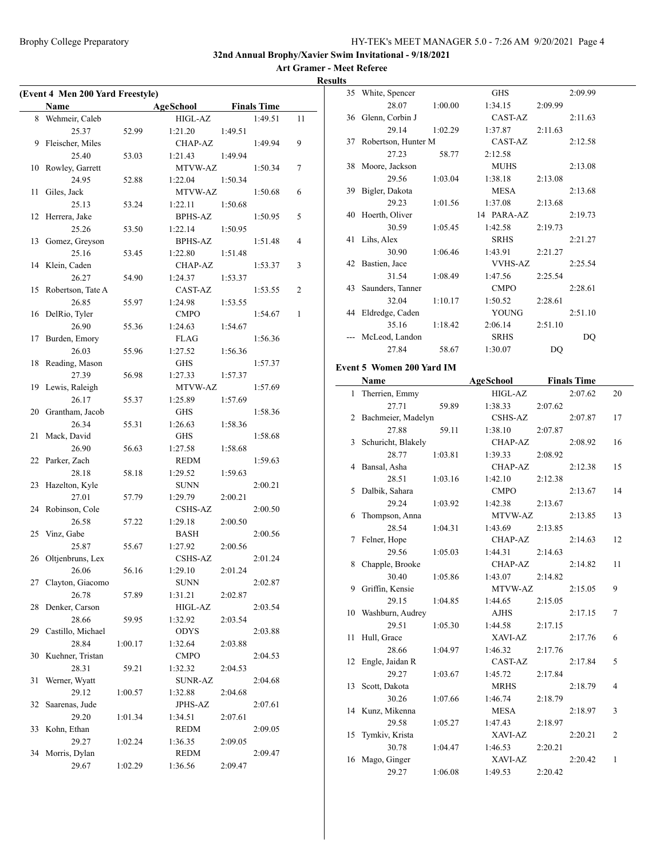#### **Art Gramer - Meet Referee Results**

|    | (Event 4 Men 200 Yard Freestyle)<br>Name |         | AgeSchool      |         | <b>Finals Time</b> |    |
|----|------------------------------------------|---------|----------------|---------|--------------------|----|
|    | 8 Wehmeir, Caleb                         |         | HIGL-AZ        |         | 1:49.51            | 11 |
|    | 25.37                                    | 52.99   | 1:21.20        | 1:49.51 |                    |    |
| 9  | Fleischer, Miles                         |         | CHAP-AZ        |         | 1:49.94            | 9  |
|    | 25.40                                    | 53.03   | 1:21.43        | 1:49.94 |                    |    |
| 10 | Rowley, Garrett                          |         | MTVW-AZ        |         | 1:50.34            | 7  |
|    | 24.95                                    | 52.88   | 1:22.04        | 1:50.34 |                    |    |
| 11 | Giles, Jack                              |         | MTVW-AZ        |         | 1:50.68            | 6  |
|    | 25.13                                    | 53.24   | 1:22.11        | 1:50.68 |                    |    |
| 12 | Herrera, Jake                            |         | <b>BPHS-AZ</b> |         | 1:50.95            | 5  |
|    | 25.26                                    | 53.50   | 1:22.14        | 1:50.95 |                    |    |
| 13 | Gomez, Greyson                           |         | BPHS-AZ        |         | 1:51.48            | 4  |
|    | 25.16                                    |         | 1:22.80        | 1:51.48 |                    |    |
| 14 | Klein, Caden                             | 53.45   | CHAP-AZ        |         | 1:53.37            | 3  |
|    | 26.27                                    | 54.90   | 1:24.37        |         |                    |    |
|    | 15 Robertson, Tate A                     |         | CAST-AZ        | 1:53.37 | 1:53.55            | 2  |
|    | 26.85                                    |         | 1:24.98        | 1:53.55 |                    |    |
| 16 |                                          | 55.97   | <b>CMPO</b>    |         |                    | 1  |
|    | DelRio, Tyler<br>26.90                   |         |                |         | 1:54.67            |    |
|    |                                          | 55.36   | 1:24.63        | 1:54.67 |                    |    |
| 17 | Burden, Emory                            |         | FLAG           |         | 1:56.36            |    |
|    | 26.03                                    | 55.96   | 1:27.52        | 1:56.36 |                    |    |
| 18 | Reading, Mason                           |         | GHS            |         | 1:57.37            |    |
|    | 27.39                                    | 56.98   | 1:27.33        | 1:57.37 |                    |    |
|    | 19 Lewis, Raleigh                        |         | MTVW-AZ        |         | 1:57.69            |    |
|    | 26.17                                    | 55.37   | 1:25.89        | 1:57.69 |                    |    |
| 20 | Grantham, Jacob                          |         | GHS            |         | 1:58.36            |    |
|    | 26.34                                    | 55.31   | 1:26.63        | 1:58.36 |                    |    |
| 21 | Mack, David                              |         | GHS            |         | 1:58.68            |    |
|    | 26.90                                    | 56.63   | 1:27.58        | 1:58.68 |                    |    |
| 22 | Parker, Zach                             |         | REDM           |         | 1:59.63            |    |
|    | 28.18                                    | 58.18   | 1:29.52        | 1:59.63 |                    |    |
| 23 | Hazelton, Kyle                           |         | <b>SUNN</b>    |         | 2:00.21            |    |
|    | 27.01                                    | 57.79   | 1:29.79        | 2:00.21 |                    |    |
| 24 | Robinson, Cole                           |         | CSHS-AZ        |         | 2:00.50            |    |
|    | 26.58                                    | 57.22   | 1:29.18        | 2:00.50 |                    |    |
|    | 25 Vinz, Gabe                            |         | <b>BASH</b>    |         | 2:00.56            |    |
|    | 25.87                                    | 55.67   | 1:27.92        | 2:00.56 |                    |    |
| 26 | Oltjenbruns, Lex                         |         | CSHS-AZ        |         | 2:01.24            |    |
|    | 26.06                                    | 56.16   | 1:29.10        | 2:01.24 |                    |    |
|    | 27 Clayton, Giacomo                      |         | <b>SUNN</b>    |         | 2:02.87            |    |
|    | 26.78                                    | 57.89   | 1:31.21        | 2:02.87 |                    |    |
| 28 | Denker, Carson                           |         | HIGL-AZ        |         | 2:03.54            |    |
|    | 28.66                                    | 59.95   | 1:32.92        | 2:03.54 |                    |    |
| 29 | Castillo, Michael                        |         | <b>ODYS</b>    |         | 2:03.88            |    |
|    | 28.84                                    | 1:00.17 | 1:32.64        | 2:03.88 |                    |    |
| 30 | Kuehner, Tristan                         |         | <b>CMPO</b>    |         | 2:04.53            |    |
|    | 28.31                                    | 59.21   | 1:32.32        | 2:04.53 |                    |    |
| 31 | Werner, Wyatt                            |         | <b>SUNR-AZ</b> |         | 2:04.68            |    |
|    | 29.12                                    | 1:00.57 | 1:32.88        | 2:04.68 |                    |    |
| 32 | Saarenas, Jude                           |         | <b>JPHS-AZ</b> |         | 2:07.61            |    |
|    | 29.20                                    | 1:01.34 | 1:34.51        | 2:07.61 |                    |    |
| 33 | Kohn, Ethan                              |         | <b>REDM</b>    |         | 2:09.05            |    |
|    | 29.27                                    | 1:02.24 | 1:36.35        | 2:09.05 |                    |    |
| 34 | Morris, Dylan                            |         | <b>REDM</b>    |         | 2:09.47            |    |
|    | 29.67                                    | 1:02.29 | 1:36.56        | 2:09.47 |                    |    |
|    |                                          |         |                |         |                    |    |

| 35 White, Spencer                |         | <b>GHS</b>     |         | 2:09.99 |
|----------------------------------|---------|----------------|---------|---------|
| 28.07                            | 1:00.00 | 1:34.15        | 2:09.99 |         |
| 36 Glenn, Corbin J               |         | CAST-AZ        |         | 2:11.63 |
| 29.14                            | 1:02.29 | 1:37.87        | 2:11.63 |         |
| 37 Robertson, Hunter M           |         | CAST-AZ        |         | 2:12.58 |
| 27.23                            | 58.77   | 2:12.58        |         |         |
| 38 Moore, Jackson                |         | <b>MUHS</b>    |         | 2:13.08 |
| 29.56                            | 1:03.04 | 1:38.18        | 2:13.08 |         |
| 39 Bigler, Dakota                |         | MESA           |         | 2:13.68 |
| 29.23                            | 1:01.56 | 1:37.08        | 2:13.68 |         |
| 40 Hoerth, Oliver                |         | 14 PARA-AZ     |         | 2:19.73 |
| 30.59                            | 1:05.45 | 1:42.58        | 2:19.73 |         |
| 41 Lihs, Alex                    |         | <b>SRHS</b>    |         | 2:21.27 |
| 30.90                            | 1:06.46 | 1:43.91        | 2:21.27 |         |
| 42 Bastien, Jace                 |         | <b>VVHS-AZ</b> |         | 2:25.54 |
| 31.54                            | 1:08.49 | 1:47.56        | 2:25.54 |         |
| 43 Saunders, Tanner              |         | <b>CMPO</b>    |         | 2:28.61 |
| 32.04                            | 1:10.17 | 1:50.52        | 2:28.61 |         |
| 44 Eldredge, Caden               |         | <b>YOUNG</b>   |         | 2:51.10 |
| 35.16                            | 1:18.42 | 2:06.14        | 2:51.10 |         |
| McLeod, Landon                   |         | <b>SRHS</b>    |         | DQ      |
| 27.84                            | 58.67   | 1:30.07        | DQ      |         |
| <b>Event 5 Women 200 Yard IM</b> |         |                |         |         |
|                                  |         |                |         |         |

#### **Name Age School Finals Time**  $\sim$

|    | гуаше                |         | деэсноог       |         | гшав гипе |                          |
|----|----------------------|---------|----------------|---------|-----------|--------------------------|
| 1  | Therrien, Emmy       |         | HIGL-AZ        |         | 2:07.62   | 20                       |
|    | 27.71                | 59.89   | 1:38.33        | 2:07.62 |           |                          |
|    | 2 Bachmeier, Madelyn |         | <b>CSHS-AZ</b> |         | 2:07.87   | 17                       |
|    | 27.88                | 59.11   | 1:38.10        | 2:07.87 |           |                          |
| 3  | Schuricht, Blakely   |         | CHAP-AZ        |         | 2:08.92   | 16                       |
|    | 28.77                | 1:03.81 | 1:39.33        | 2:08.92 |           |                          |
| 4  | Bansal, Asha         |         | CHAP-AZ        |         | 2:12.38   | 15                       |
|    | 28.51                | 1:03.16 | 1:42.10        | 2:12.38 |           |                          |
| 5  | Dalbik, Sahara       |         | <b>CMPO</b>    |         | 2:13.67   | 14                       |
|    | 29.24                | 1:03.92 | 1:42.38        | 2:13.67 |           |                          |
| 6  | Thompson, Anna       |         | MTVW-AZ        |         | 2:13.85   | 13                       |
|    | 28.54                | 1:04.31 | 1:43.69        | 2:13.85 |           |                          |
| 7  | Felner, Hope         |         | CHAP-AZ        |         | 2:14.63   | 12                       |
|    | 29.56                | 1:05.03 | 1:44.31        | 2:14.63 |           |                          |
| 8  | Chapple, Brooke      |         | CHAP-AZ        |         | 2:14.82   | 11                       |
|    | 30.40                | 1:05.86 | 1:43.07        | 2:14.82 |           |                          |
| 9  | Griffin, Kensie      |         | MTVW-AZ        |         | 2:15.05   | 9                        |
|    | 29.15                | 1:04.85 | 1:44.65        | 2:15.05 |           |                          |
| 10 | Washburn, Audrey     |         | AJHS           |         | 2:17.15   | $\overline{7}$           |
|    | 29.51                | 1:05.30 | 1:44.58        | 2:17.15 |           |                          |
| 11 | Hull, Grace          |         | XAVI-AZ        |         | 2:17.76   | 6                        |
|    | 28.66                | 1:04.97 | 1:46.32        | 2:17.76 |           |                          |
| 12 | Engle, Jaidan R      |         | CAST-AZ        |         | 2:17.84   | 5                        |
|    | 29.27                | 1:03.67 | 1:45.72        | 2:17.84 |           |                          |
| 13 | Scott, Dakota        |         | <b>MRHS</b>    |         | 2:18.79   | $\overline{\mathcal{L}}$ |
|    | 30.26                | 1:07.66 | 1:46.74        | 2:18.79 |           |                          |
|    | 14 Kunz, Mikenna     |         | <b>MESA</b>    |         | 2:18.97   | 3                        |
|    | 29.58                | 1:05.27 | 1:47.43        | 2:18.97 |           |                          |
| 15 | Tymkiv, Krista       |         | XAVI-AZ        |         | 2:20.21   | $\overline{2}$           |
|    | 30.78                | 1:04.47 | 1:46.53        | 2:20.21 |           |                          |
| 16 | Mago, Ginger         |         | XAVI-AZ        |         | 2:20.42   | $\mathbf{1}$             |
|    | 29.27                | 1:06.08 | 1:49.53        | 2:20.42 |           |                          |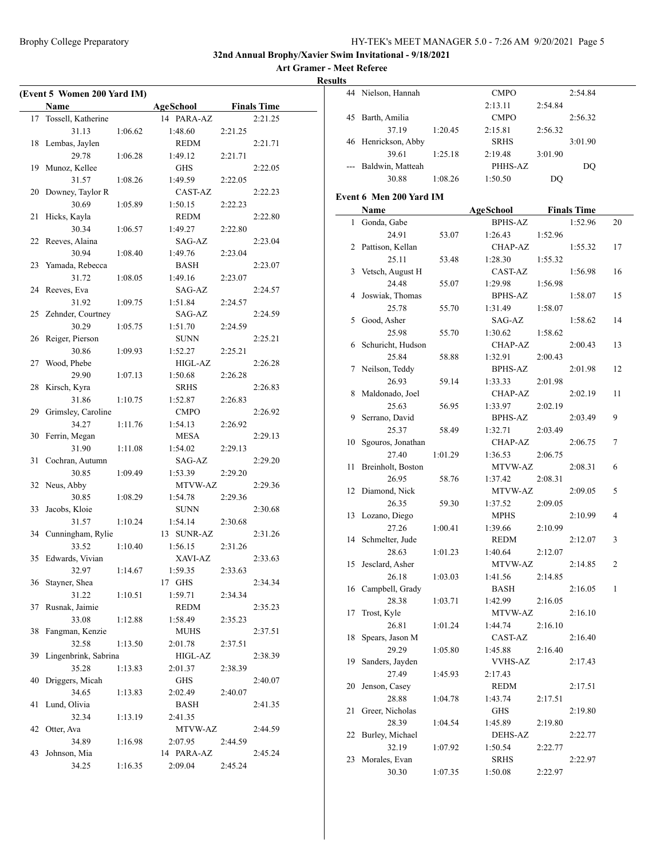**Art Gramer - Meet Referee Results**

|    | (Event 5 Women 200 Yard IM) |         |             |         |                    |
|----|-----------------------------|---------|-------------|---------|--------------------|
|    | Name                        |         | AgeSchool   |         | <b>Finals Time</b> |
|    | 17 Tossell, Katherine       |         | 14 PARA-AZ  |         | 2:21.25            |
|    | 31.13                       | 1:06.62 | 1:48.60     | 2:21.25 |                    |
| 18 | Lembas, Jaylen              |         | <b>REDM</b> |         | 2:21.71            |
|    | 29.78                       | 1:06.28 | 1:49.12     | 2:21.71 |                    |
| 19 | Munoz, Kellee               |         | <b>GHS</b>  |         | 2:22.05            |
|    | 31.57                       | 1:08.26 | 1:49.59     | 2:22.05 |                    |
| 20 | Downey, Taylor R            |         | CAST-AZ     |         | 2:22.23            |
|    | 30.69                       | 1:05.89 | 1:50.15     | 2:22.23 |                    |
| 21 | Hicks, Kayla                |         | <b>REDM</b> |         | 2:22.80            |
|    | 30.34                       | 1:06.57 | 1:49.27     | 2:22.80 |                    |
|    | 22 Reeves, Alaina           |         | SAG-AZ      |         | 2:23.04            |
|    | 30.94                       | 1:08.40 | 1:49.76     | 2:23.04 |                    |
|    | 23 Yamada, Rebecca          |         | BASH        |         | 2:23.07            |
|    | 31.72                       | 1:08.05 | 1:49.16     | 2:23.07 |                    |
|    | 24 Reeves, Eva              |         | SAG-AZ      |         | 2:24.57            |
|    | 31.92                       | 1:09.75 | 1:51.84     | 2:24.57 |                    |
|    | 25 Zehnder, Courtney        |         | SAG-AZ      |         | 2:24.59            |
|    | 30.29                       | 1:05.75 | 1:51.70     | 2:24.59 |                    |
| 26 | Reiger, Pierson             |         | SUNN        |         | 2:25.21            |
|    | 30.86                       | 1:09.93 | 1:52.27     | 2:25.21 |                    |
| 27 | Wood, Phebe                 |         | HIGL-AZ     |         | 2:26.28            |
|    | 29.90                       | 1:07.13 | 1:50.68     | 2:26.28 |                    |
| 28 | Kirsch, Kyra                |         | <b>SRHS</b> |         | 2:26.83            |
|    | 31.86                       | 1:10.75 | 1:52.87     | 2:26.83 |                    |
| 29 | Grimsley, Caroline          |         | <b>CMPO</b> |         | 2:26.92            |
|    | 34.27                       | 1:11.76 | 1:54.13     | 2:26.92 |                    |
|    | 30 Ferrin, Megan            |         | <b>MESA</b> |         | 2:29.13            |
|    | 31.90                       | 1:11.08 | 1:54.02     | 2:29.13 |                    |
| 31 | Cochran, Autumn             |         | SAG-AZ      |         | 2:29.20            |
|    | 30.85                       | 1:09.49 | 1:53.39     | 2:29.20 |                    |
|    | 32 Neus, Abby               |         | MTVW-AZ     |         | 2:29.36            |
|    | 30.85                       | 1:08.29 | 1:54.78     | 2:29.36 |                    |
| 33 | Jacobs, Kloie               |         | <b>SUNN</b> |         | 2:30.68            |
|    | 31.57                       | 1:10.24 | 1:54.14     | 2:30.68 |                    |
|    | 34 Cunningham, Rylie        |         | 13 SUNR-AZ  |         | 2:31.26            |
|    | 33.52                       | 1:10.40 | 1:56.15     | 2:31.26 |                    |
|    | 35 Edwards, Vivian          |         | XAVI-AZ     |         | 2:33.63            |
|    | 32.97                       | 1:14.67 | 1:59.35     | 2:33.63 |                    |
|    | 36 Stayner, Shea            |         | 17 GHS      |         | 2:34.34            |
|    | 31.22                       | 1:10.51 | 1:59.71     | 2:34.34 |                    |
| 37 | Rusnak, Jaimie              |         | <b>REDM</b> |         | 2:35.23            |
|    | 33.08                       | 1:12.88 | 1:58.49     | 2:35.23 |                    |
| 38 | Fangman, Kenzie             |         | <b>MUHS</b> |         | 2:37.51            |
|    | 32.58                       | 1:13.50 | 2:01.78     | 2:37.51 |                    |
| 39 | Lingenbrink, Sabrina        |         | HIGL-AZ     |         | 2:38.39            |
|    | 35.28                       | 1:13.83 | 2:01.37     | 2:38.39 |                    |
| 40 | Driggers, Micah             |         | GHS         |         | 2:40.07            |
|    | 34.65                       | 1:13.83 | 2:02.49     | 2:40.07 |                    |
| 41 | Lund, Olivia                |         | BASH        |         | 2:41.35            |
|    | 32.34                       | 1:13.19 | 2:41.35     |         |                    |
| 42 | Otter, Ava                  |         | MTVW-AZ     |         | 2:44.59            |
|    | 34.89                       | 1:16.98 | 2:07.95     | 2:44.59 |                    |
| 43 | Johnson, Mia                |         | 14 PARA-AZ  |         | 2:45.24            |
|    | 34.25                       | 1:16.35 | 2:09.04     | 2:45.24 |                    |
|    |                             |         |             |         |                    |

|    | 44 Nielson, Hannah   |         | <b>CMPO</b> |         | 2:54.84 |
|----|----------------------|---------|-------------|---------|---------|
|    |                      |         | 2:13.11     | 2:54.84 |         |
| 45 | Barth, Amilia        |         | <b>CMPO</b> |         | 2:56.32 |
|    | 37.19                | 1:20.45 | 2:15.81     | 2:56.32 |         |
|    | 46 Henrickson, Abby  |         | <b>SRHS</b> |         | 3:01.90 |
|    | 39.61                | 1:25.18 | 2:19.48     | 3:01.90 |         |
|    | --- Baldwin, Matteah |         | PHHS-AZ     |         | DO      |
|    | 30.88                | 1:08.26 | 1:50.50     | DO      |         |
|    |                      |         |             |         |         |

#### **Event 6 Men 200 Yard IM**

|    | Name                     |         | <b>AgeSchool</b>          |         | <b>Finals Time</b> |    |
|----|--------------------------|---------|---------------------------|---------|--------------------|----|
| 1  | Gonda, Gabe              |         | <b>BPHS-AZ</b>            |         | 1:52.96            | 20 |
|    | 24.91                    | 53.07   | 1:26.43                   | 1:52.96 |                    |    |
| 2  | Pattison, Kellan         |         | CHAP-AZ                   |         | 1:55.32            | 17 |
|    | 25.11                    | 53.48   | 1:28.30                   | 1:55.32 |                    |    |
| 3  | Vetsch, August H         |         | CAST-AZ                   |         | 1:56.98            | 16 |
|    | 24.48                    | 55.07   | 1:29.98                   | 1:56.98 |                    |    |
| 4  | Joswiak, Thomas          |         | <b>BPHS-AZ</b>            |         | 1:58.07            | 15 |
|    | 25.78                    | 55.70   | 1:31.49                   | 1:58.07 |                    |    |
| 5  | Good, Asher              |         | SAG-AZ                    |         | 1:58.62            | 14 |
|    | 25.98                    | 55.70   | 1:30.62                   | 1:58.62 |                    |    |
| 6  | Schuricht, Hudson        |         | CHAP-AZ                   |         | 2:00.43            | 13 |
|    | 25.84                    | 58.88   | 1:32.91                   | 2:00.43 |                    |    |
| 7  | Neilson, Teddy           |         | <b>BPHS-AZ</b>            |         | 2:01.98            | 12 |
|    | 26.93                    | 59.14   | 1:33.33                   | 2:01.98 |                    |    |
| 8  | Maldonado, Joel          |         | CHAP-AZ                   |         | 2:02.19            | 11 |
|    | 25.63                    | 56.95   | 1:33.97                   | 2:02.19 |                    |    |
| 9  | Serrano, David           |         | <b>BPHS-AZ</b>            |         | 2:03.49            | 9  |
|    | 25.37                    | 58.49   | 1:32.71                   | 2:03.49 |                    |    |
| 10 | Sgouros, Jonathan        |         | CHAP-AZ                   |         | 2:06.75            | 7  |
|    | 27.40                    | 1:01.29 | 1:36.53                   | 2:06.75 |                    |    |
| 11 | Breinholt, Boston        |         | MTVW-AZ                   |         | 2:08.31            | 6  |
|    | 26.95                    | 58.76   | 1:37.42                   | 2:08.31 |                    |    |
| 12 | Diamond, Nick            |         | MTVW-AZ                   |         | 2:09.05            | 5  |
|    | 26.35                    | 59.30   | 1:37.52                   | 2:09.05 |                    |    |
| 13 | Lozano, Diego            |         | <b>MPHS</b>               |         | 2:10.99            | 4  |
|    | 27.26                    | 1:00.41 | 1:39.66                   | 2:10.99 |                    |    |
| 14 | Schmelter, Jude          |         | <b>REDM</b>               |         | 2:12.07            | 3  |
|    | 28.63                    | 1:01.23 | 1:40.64                   | 2:12.07 |                    |    |
| 15 | Jesclard, Asher          |         | MTVW-AZ                   |         | 2:14.85            | 2  |
|    | 26.18                    | 1:03.03 | 1:41.56                   | 2:14.85 |                    |    |
| 16 | Campbell, Grady          |         | <b>BASH</b>               |         | 2:16.05            | 1  |
|    | 28.38                    | 1:03.71 | 1:42.99                   | 2:16.05 |                    |    |
| 17 | Trost, Kyle              |         | MTVW-AZ                   |         | 2:16.10            |    |
|    | 26.81                    | 1:01.24 | 1:44.74                   | 2:16.10 |                    |    |
| 18 | Spears, Jason M          |         | CAST-AZ                   |         | 2:16.40            |    |
|    | 29.29                    | 1:05.80 | 1:45.88                   | 2:16.40 |                    |    |
| 19 | Sanders, Jayden          |         | <b>VVHS-AZ</b>            |         | 2:17.43            |    |
|    | 27.49                    | 1:45.93 | 2:17.43                   |         |                    |    |
|    | 20 Jenson, Casey         |         | <b>REDM</b>               |         | 2:17.51            |    |
|    | 28.88                    | 1:04.78 | 1:43.74                   | 2:17.51 |                    |    |
| 21 | Greer, Nicholas<br>28.39 |         | <b>GHS</b>                |         | 2:19.80            |    |
| 22 | Burley, Michael          | 1:04.54 | 1:45.89<br><b>DEHS-AZ</b> | 2:19.80 |                    |    |
|    | 32.19                    | 1:07.92 | 1:50.54                   | 2:22.77 | 2:22.77            |    |
| 23 | Morales, Evan            |         | <b>SRHS</b>               |         | 2:22.97            |    |
|    | 30.30                    |         |                           |         |                    |    |
|    |                          | 1:07.35 | 1:50.08                   | 2:22.97 |                    |    |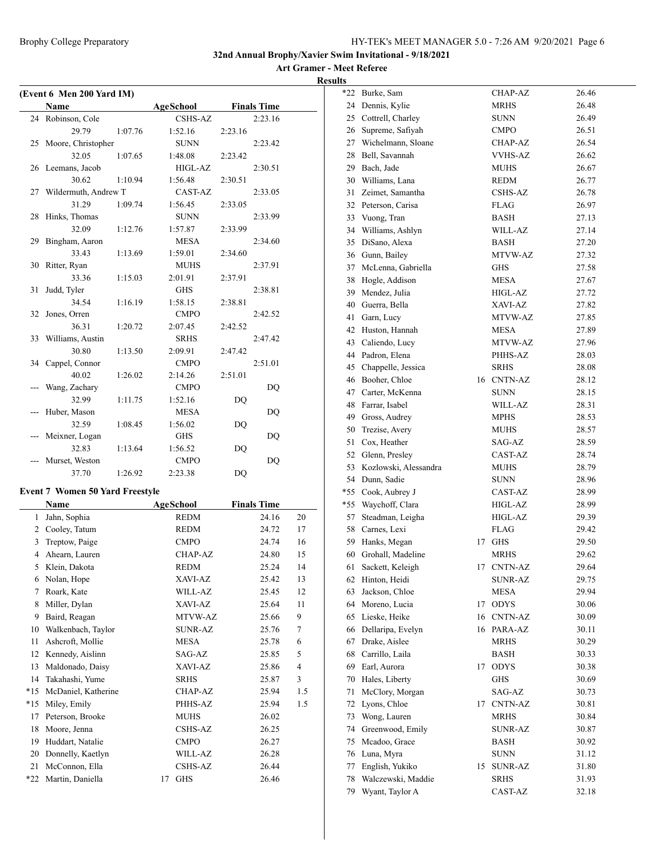**Art Gramer - Meet Referee**

**Results**

|                | (Event 6 Men 200 Yard IM)<br>Name      |         | <b>AgeSchool</b> |         | <b>Finals Time</b> |                |
|----------------|----------------------------------------|---------|------------------|---------|--------------------|----------------|
|                | 24 Robinson, Cole                      |         | <b>CSHS-AZ</b>   |         | 2:23.16            |                |
|                | 29.79                                  | 1:07.76 | 1:52.16          | 2:23.16 |                    |                |
| 25             | Moore, Christopher                     |         | <b>SUNN</b>      |         | 2:23.42            |                |
|                | 32.05                                  | 1:07.65 | 1:48.08          | 2:23.42 |                    |                |
|                | 26 Leemans, Jacob                      |         | HIGL-AZ          |         | 2:30.51            |                |
|                | 30.62                                  | 1:10.94 | 1:56.48          | 2:30.51 |                    |                |
| 27             | Wildermuth, Andrew T                   |         | CAST-AZ          |         | 2:33.05            |                |
|                | 31.29                                  | 1:09.74 | 1:56.45          | 2:33.05 |                    |                |
| 28             | Hinks, Thomas                          |         | <b>SUNN</b>      |         | 2:33.99            |                |
|                | 32.09                                  | 1:12.76 | 1:57.87          | 2:33.99 |                    |                |
| 29             | Bingham, Aaron                         |         | <b>MESA</b>      |         | 2:34.60            |                |
|                | 33.43                                  | 1:13.69 | 1:59.01          | 2:34.60 |                    |                |
| 30             | Ritter, Ryan                           |         | <b>MUHS</b>      |         | 2:37.91            |                |
|                | 33.36                                  | 1:15.03 | 2:01.91          | 2:37.91 |                    |                |
| 31             | Judd, Tyler                            |         | <b>GHS</b>       |         | 2:38.81            |                |
|                | 34.54                                  | 1:16.19 | 1:58.15          | 2:38.81 |                    |                |
| 32             | Jones, Orren                           |         | <b>CMPO</b>      |         | 2:42.52            |                |
|                | 36.31                                  | 1:20.72 | 2:07.45          | 2:42.52 |                    |                |
| 33             | Williams, Austin                       |         | <b>SRHS</b>      |         | 2:47.42            |                |
|                | 30.80                                  | 1:13.50 | 2:09.91          | 2:47.42 |                    |                |
| 34             | Cappel, Connor                         |         | <b>CMPO</b>      |         | 2:51.01            |                |
|                | 40.02                                  | 1:26.02 | 2:14.26          | 2:51.01 |                    |                |
|                | Wang, Zachary                          |         | <b>CMPO</b>      |         | DQ                 |                |
|                | 32.99                                  | 1:11.75 | 1:52.16          | DQ      |                    |                |
|                | Huber, Mason                           |         | MESA             |         | DQ                 |                |
|                | 32.59                                  | 1:08.45 | 1:56.02          | DQ      |                    |                |
|                | Meixner, Logan                         |         | GHS              |         | DQ                 |                |
|                | 32.83                                  | 1:13.64 | 1:56.52          | DQ      |                    |                |
|                | Murset, Weston                         |         | <b>CMPO</b>      |         | DQ                 |                |
|                | 37.70                                  | 1:26.92 | 2:23.38          | DQ      |                    |                |
|                | <b>Event 7 Women 50 Yard Freestyle</b> |         |                  |         |                    |                |
|                | Name                                   |         | <b>AgeSchool</b> |         | <b>Finals Time</b> |                |
| 1              | Jahn, Sophia                           |         | REDM             |         | 24.16              | 20             |
| 2              | Cooley, Tatum                          |         | <b>REDM</b>      |         | 24.72              | 17             |
| 3              | Treptow, Paige                         |         | <b>CMPO</b>      |         | 24.74              | 16             |
| $\overline{4}$ | Ahearn, Lauren                         |         | <b>CHAP-AZ</b>   |         | 24.80              | 15             |
| 5              | Klein, Dakota                          |         | <b>REDM</b>      |         | 25.24              | 14             |
| 6              | Nolan, Hope                            |         | XAVI-AZ          |         | 25.42              | 13             |
| 7              | Roark, Kate                            |         | WILL-AZ          |         | 25.45              | 12             |
| 8              | Miller, Dylan                          |         | XAVI-AZ          |         | 25.64              | 11             |
| 9              | Baird, Reagan                          |         | MTVW-AZ          |         | 25.66              | 9              |
|                | Walkenbach, Taylor                     |         |                  |         |                    |                |
| 10             |                                        |         | SUNR-AZ          |         | 25.76              | 7              |
| 11             | Ashcroft, Mollie<br>Kennedy, Aislinn   |         | MESA             |         | 25.78              | 6<br>5         |
| 12             |                                        |         | SAG-AZ           |         | 25.85              |                |
| 13             | Maldonado, Daisy                       |         | XAVI-AZ          |         | 25.86              | $\overline{4}$ |
| 14             | Takahashi, Yume                        |         | <b>SRHS</b>      |         | 25.87              | 3              |
| $*15$          | McDaniel, Katherine                    |         | <b>CHAP-AZ</b>   |         | 25.94              | 1.5            |
| $*15$          | Miley, Emily                           |         | PHHS-AZ          |         | 25.94              | 1.5            |
| 17             | Peterson, Brooke                       |         | <b>MUHS</b>      |         | 26.02              |                |
| 18             | Moore, Jenna                           |         | CSHS-AZ          |         | 26.25              |                |
| 19             | Huddart, Natalie                       |         | <b>CMPO</b>      |         | 26.27              |                |
| 20             | Donnelly, Kaetlyn                      |         | WILL-AZ          |         | 26.28              |                |
| 21             | McConnon, Ella                         |         | CSHS-AZ          |         | 26.44              |                |
| *22            | Martin, Daniella                       |         | <b>GHS</b><br>17 |         | 26.46              |                |

| *22 | Burke, Sam            |    | CHAP-AZ        | 26.46 |
|-----|-----------------------|----|----------------|-------|
| 24  | Dennis, Kylie         |    | MRHS           | 26.48 |
| 25  | Cottrell, Charley     |    | <b>SUNN</b>    | 26.49 |
| 26  | Supreme, Safiyah      |    | <b>CMPO</b>    | 26.51 |
| 27  | Wichelmann, Sloane    |    | CHAP-AZ        | 26.54 |
| 28  | Bell, Savannah        |    | <b>VVHS-AZ</b> | 26.62 |
| 29  | Bach, Jade            |    | <b>MUHS</b>    | 26.67 |
| 30  | Williams, Lana        |    | REDM           | 26.77 |
| 31  | Zeimet, Samantha      |    | <b>CSHS-AZ</b> | 26.78 |
|     | 32 Peterson, Carisa   |    | FLAG           | 26.97 |
|     | 33 Vuong, Tran        |    | BASH           | 27.13 |
|     | 34 Williams, Ashlyn   |    | WILL-AZ        | 27.14 |
| 35  | DiSano, Alexa         |    | BASH           | 27.20 |
|     | 36 Gunn, Bailey       |    | MTVW-AZ        | 27.32 |
| 37  | McLenna, Gabriella    |    | <b>GHS</b>     | 27.58 |
| 38  | Hogle, Addison        |    | MESA           | 27.67 |
| 39  | Mendez, Julia         |    | HIGL-AZ        | 27.72 |
| 40  | Guerra, Bella         |    | XAVI-AZ        | 27.82 |
| 41  | Garn, Lucy            |    | MTVW-AZ        | 27.85 |
| 42  | Huston, Hannah        |    | MESA           | 27.89 |
| 43  | Caliendo, Lucy        |    | <b>MTVW-AZ</b> | 27.96 |
|     | 44 Padron, Elena      |    | PHHS-AZ        | 28.03 |
| 45  | Chappelle, Jessica    |    | <b>SRHS</b>    | 28.08 |
|     | 46 Booher, Chloe      |    | 16 CNTN-AZ     | 28.12 |
|     | 47 Carter, McKenna    |    | <b>SUNN</b>    | 28.15 |
| 48  | Farrar, Isabel        |    | WILL-AZ        | 28.31 |
|     | 49 Gross, Audrey      |    | <b>MPHS</b>    | 28.53 |
| 50  | Trezise, Avery        |    | <b>MUHS</b>    | 28.57 |
| 51  | Cox, Heather          |    | SAG-AZ         | 28.59 |
| 52  | Glenn, Presley        |    | CAST-AZ        | 28.74 |
| 53  | Kozlowski, Alessandra |    | <b>MUHS</b>    | 28.79 |
| 54  | Dunn, Sadie           |    | <b>SUNN</b>    | 28.96 |
| *55 | Cook, Aubrey J        |    | CAST-AZ        | 28.99 |
| *55 | Waychoff, Clara       |    | HIGL-AZ        | 28.99 |
| 57  | Steadman, Leigha      |    | HIGL-AZ        | 29.39 |
| 58  | Carnes, Lexi          |    | <b>FLAG</b>    | 29.42 |
| 59  | Hanks, Megan          | 17 | <b>GHS</b>     | 29.50 |
| 60  | Grohall, Madeline     |    | MRHS           | 29.62 |
| 61  | Sackett, Keleigh      | 17 | <b>CNTN-AZ</b> | 29.64 |
| 62  | Hinton, Heidi         |    | <b>SUNR-AZ</b> | 29.75 |
| 63  | Jackson, Chloe        |    | <b>MESA</b>    | 29.94 |
| 64  | Moreno, Lucia         | 17 | <b>ODYS</b>    | 30.06 |
| 65  | Lieske, Heike         | 16 | <b>CNTN-AZ</b> | 30.09 |
| 66  | Dellaripa, Evelyn     | 16 | PARA-AZ        | 30.11 |
| 67  | Drake, Aislee         |    | MRHS           | 30.29 |
| 68  | Carrillo, Laila       |    | <b>BASH</b>    | 30.33 |
| 69  | Earl, Aurora          | 17 | <b>ODYS</b>    | 30.38 |
| 70  | Hales, Liberty        |    | <b>GHS</b>     | 30.69 |
| 71  | McClory, Morgan       |    | SAG-AZ         | 30.73 |
| 72  | Lyons, Chloe          | 17 | <b>CNTN-AZ</b> | 30.81 |
| 73  | Wong, Lauren          |    | MRHS           | 30.84 |
| 74  | Greenwood, Emily      |    | SUNR-AZ        | 30.87 |
| 75  | Mcadoo, Grace         |    | BASH           | 30.92 |
| 76  | Luna, Myra            |    | SUNN           | 31.12 |
| 77  | English, Yukiko       | 15 | <b>SUNR-AZ</b> | 31.80 |
| 78  | Walczewski, Maddie    |    | <b>SRHS</b>    | 31.93 |
| 79  | Wyant, Taylor A       |    | CAST-AZ        | 32.18 |
|     |                       |    |                |       |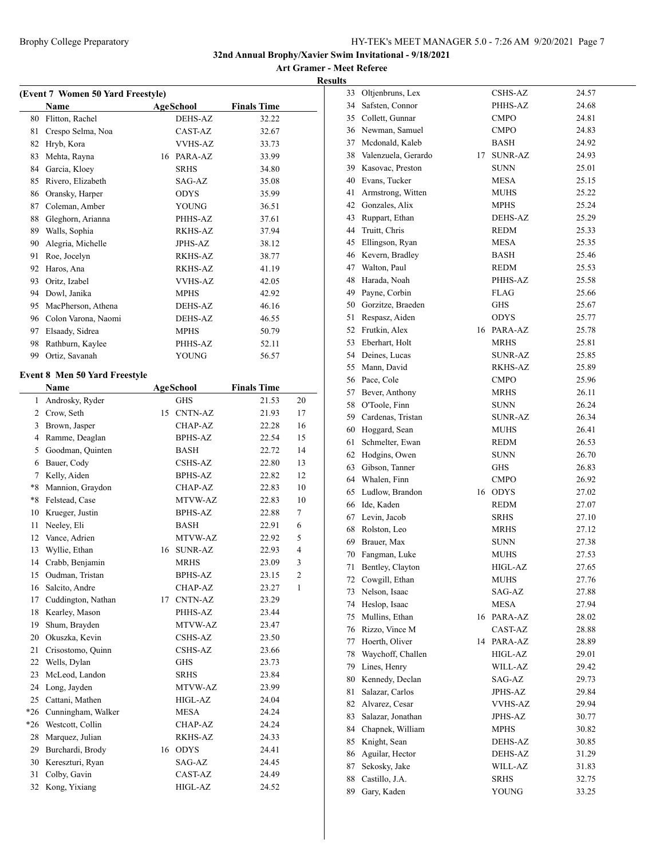|       | (Event 7 Women 50 Yard Freestyle)            |    |                |                    |                |
|-------|----------------------------------------------|----|----------------|--------------------|----------------|
|       | Name                                         |    | AgeSchool      | <b>Finals Time</b> |                |
| 80    | Flitton, Rachel                              |    | <b>DEHS-AZ</b> | 32.22              |                |
| 81    | Crespo Selma, Noa                            |    | CAST-AZ        | 32.67              |                |
| 82    | Hryb, Kora                                   |    | <b>VVHS-AZ</b> | 33.73              |                |
| 83    | Mehta, Rayna                                 |    | 16 PARA-AZ     | 33.99              |                |
|       | 84 Garcia, Kloey                             |    | <b>SRHS</b>    | 34.80              |                |
| 85    | Rivero, Elizabeth                            |    | SAG-AZ         | 35.08              |                |
|       | 86 Oransky, Harper                           |    | <b>ODYS</b>    | 35.99              |                |
| 87    | Coleman, Amber                               |    | <b>YOUNG</b>   | 36.51              |                |
| 88    | Gleghorn, Arianna                            |    | PHHS-AZ        | 37.61              |                |
| 89    | Walls, Sophia                                |    | RKHS-AZ        | 37.94              |                |
| 90    | Alegria, Michelle                            |    | JPHS-AZ        | 38.12              |                |
| 91    | Roe, Jocelyn                                 |    | RKHS-AZ        | 38.77              |                |
| 92    | Haros, Ana                                   |    | RKHS-AZ        | 41.19              |                |
| 93    | Oritz, Izabel                                |    | <b>VVHS-AZ</b> | 42.05              |                |
|       | 94 Dowl, Janika                              |    | <b>MPHS</b>    | 42.92              |                |
| 95    | MacPherson, Athena                           |    | DEHS-AZ        | 46.16              |                |
|       | 96 Colon Varona, Naomi                       |    | DEHS-AZ        | 46.55              |                |
|       | 97 Elsaady, Sidrea                           |    | <b>MPHS</b>    | 50.79              |                |
| 98    | Rathburn, Kaylee                             |    | PHHS-AZ        | 52.11              |                |
|       | 99 Ortiz, Savanah                            |    | YOUNG          | 56.57              |                |
|       |                                              |    |                |                    |                |
|       | <b>Event 8 Men 50 Yard Freestyle</b><br>Name |    | AgeSchool      | <b>Finals Time</b> |                |
| 1     |                                              |    |                | 21.53              |                |
|       | Androsky, Ryder                              |    | <b>GHS</b>     |                    | 20             |
|       | 2 Crow, Seth                                 |    | 15 CNTN-AZ     | 21.93              | 17             |
| 3     | Brown, Jasper                                |    | CHAP-AZ        | 22.28              | 16             |
| 4     | Ramme, Deaglan                               |    | <b>BPHS-AZ</b> | 22.54              | 15             |
| 5     | Goodman, Quinten                             |    | BASH           | 22.72              | 14             |
| 6     | Bauer, Cody                                  |    | CSHS-AZ        | 22.80              | 13             |
| 7     | Kelly, Aiden                                 |    | <b>BPHS-AZ</b> | 22.82              | 12             |
| *8    | Mannion, Graydon                             |    | <b>CHAP-AZ</b> | 22.83              | 10             |
| $*8$  | Felstead, Case                               |    | MTVW-AZ        | 22.83              | 10             |
| 10    | Krueger, Justin                              |    | <b>BPHS-AZ</b> | 22.88              | 7              |
| 11    | Neeley, Eli                                  |    | <b>BASH</b>    | 22.91              | 6              |
| 12    | Vance, Adrien                                |    | MTVW-AZ        | 22.92              | 5              |
| 13    | Wyllie, Ethan                                |    | 16 SUNR-AZ     | 22.93              | $\overline{4}$ |
| 14    | Crabb, Benjamin                              |    | MRHS           | 23.09              | 3              |
| 15    | Oudman, Tristan                              |    | BPHS-AZ        | 23.15              | 2              |
| 16    | Salcito, Andre                               |    | CHAP-AZ        | 23.27              | 1              |
| 17    | Cuddington, Nathan                           | 17 | CNTN-AZ        | 23.29              |                |
| 18    | Kearley, Mason                               |    | PHHS-AZ        | 23.44              |                |
| 19    | Shum, Brayden                                |    | MTVW-AZ        | 23.47              |                |
| 20    | Okuszka, Kevin                               |    | CSHS-AZ        | 23.50              |                |
| 21    | Crisostomo, Quinn                            |    | <b>CSHS-AZ</b> | 23.66              |                |
|       |                                              |    |                |                    |                |
| 22    | Wells, Dylan                                 |    | <b>GHS</b>     | 23.73              |                |
| 23    | McLeod, Landon                               |    | SRHS           | 23.84              |                |
| 24    | Long, Jayden                                 |    | MTVW-AZ        | 23.99              |                |
| 25    | Cattani, Mathen                              |    | HIGL-AZ        | 24.04              |                |
|       | *26 Cunningham, Walker                       |    | MESA           | 24.24              |                |
| $*26$ | Westcott, Collin                             |    | CHAP-AZ        | 24.24              |                |
| 28    | Marquez, Julian                              |    | RKHS-AZ        | 24.33              |                |
| 29    | Burchardi, Brody                             | 16 | <b>ODYS</b>    | 24.41              |                |
| 30    | Kereszturi, Ryan                             |    | SAG-AZ         | 24.45              |                |
| 31    | Colby, Gavin                                 |    | CAST-AZ        | 24.49              |                |
| 32    | Kong, Yixiang                                |    | HIGL-AZ        | 24.52              |                |
|       |                                              |    |                |                    |                |

| Ö. |                      |    |                |       |
|----|----------------------|----|----------------|-------|
| 33 | Oltjenbruns, Lex     |    | CSHS-AZ        | 24.57 |
| 34 | Safsten, Connor      |    | PHHS-AZ        | 24.68 |
| 35 | Collett, Gunnar      |    | <b>CMPO</b>    | 24.81 |
| 36 | Newman, Samuel       |    | CMPO           | 24.83 |
| 37 | Mcdonald, Kaleb      |    | BASH           | 24.92 |
| 38 | Valenzuela, Gerardo  | 17 | SUNR-AZ        | 24.93 |
|    | 39 Kasovac, Preston  |    | <b>SUNN</b>    | 25.01 |
| 40 | Evans, Tucker        |    | MESA           | 25.15 |
| 41 | Armstrong, Witten    |    | MUHS           | 25.22 |
|    | 42 Gonzales, Alix    |    | MPHS           | 25.24 |
| 43 | Ruppart, Ethan       |    | DEHS-AZ        | 25.29 |
| 44 | Truitt, Chris        |    | <b>REDM</b>    | 25.33 |
| 45 | Ellingson, Ryan      |    | MESA           | 25.35 |
| 46 | Kevern, Bradley      |    | BASH           | 25.46 |
| 47 | Walton, Paul         |    | REDM           | 25.53 |
| 48 | Harada, Noah         |    | PHHS-AZ        | 25.58 |
| 49 | Payne, Corbin        |    | <b>FLAG</b>    | 25.66 |
|    | 50 Gorzitze, Braeden |    | GHS            | 25.67 |
| 51 | Respasz, Aiden       |    | <b>ODYS</b>    | 25.77 |
| 52 | Frutkin, Alex        | 16 | PARA-AZ        | 25.78 |
| 53 | Eberhart, Holt       |    | MRHS           | 25.81 |
|    | 54 Deines, Lucas     |    | <b>SUNR-AZ</b> | 25.85 |
| 55 | Mann, David          |    | RKHS-AZ        | 25.89 |
| 56 | Pace, Cole           |    | CMPO           | 25.96 |
| 57 | Bever, Anthony       |    | MRHS           | 26.11 |
| 58 | O'Toole, Finn        |    | SUNN           | 26.24 |
| 59 | Cardenas, Tristan    |    | SUNR-AZ        | 26.34 |
| 60 | Hoggard, Sean        |    | MUHS           | 26.41 |
| 61 | Schmelter, Ewan      |    | REDM           | 26.53 |
| 62 | Hodgins, Owen        |    | <b>SUNN</b>    | 26.70 |
| 63 | Gibson, Tanner       |    | GHS            | 26.83 |
| 64 | Whalen, Finn         |    | <b>CMPO</b>    | 26.92 |
| 65 | Ludlow, Brandon      |    | 16 ODYS        | 27.02 |
| 66 | Ide, Kaden           |    | REDM           | 27.07 |
| 67 | Levin, Jacob         |    | <b>SRHS</b>    | 27.10 |
| 68 | Rolston, Leo         |    | <b>MRHS</b>    | 27.12 |
| 69 | Brauer, Max          |    | SUNN           | 27.38 |
| 70 | Fangman, Luke        |    | MUHS           | 27.53 |
| 71 | Bentley, Clayton     |    | HIGL-AZ        | 27.65 |
| 72 | Cowgill, Ethan       |    | MUHS           | 27.76 |
| 73 | Nelson, Isaac        |    | SAG-AZ         | 27.88 |
| 74 | Heslop, Isaac        |    | <b>MESA</b>    | 27.94 |
| 75 | Mullins, Ethan       | 16 | PARA-AZ        | 28.02 |
| 76 | Rizzo, Vince M       |    | CAST-AZ        | 28.88 |
| 77 | Hoerth, Oliver       | 14 | PARA-AZ        | 28.89 |
| 78 | Waychoff, Challen    |    | HIGL-AZ        | 29.01 |
| 79 | Lines, Henry         |    | WILL-AZ        | 29.42 |
| 80 | Kennedy, Declan      |    | SAG-AZ         | 29.73 |
| 81 | Salazar, Carlos      |    | JPHS-AZ        | 29.84 |
| 82 | Alvarez, Cesar       |    | <b>VVHS-AZ</b> | 29.94 |
| 83 | Salazar, Jonathan    |    | JPHS-AZ        | 30.77 |
| 84 | Chapnek, William     |    | MPHS           |       |
| 85 | Knight, Sean         |    | DEHS-AZ        | 30.82 |
| 86 | Aguilar, Hector      |    | DEHS-AZ        | 30.85 |
| 87 | Sekosky, Jake        |    | WILL-AZ        | 31.29 |
| 88 | Castillo, J.A.       |    |                | 31.83 |
| 89 |                      |    | <b>SRHS</b>    | 32.75 |
|    | Gary, Kaden          |    | YOUNG          | 33.25 |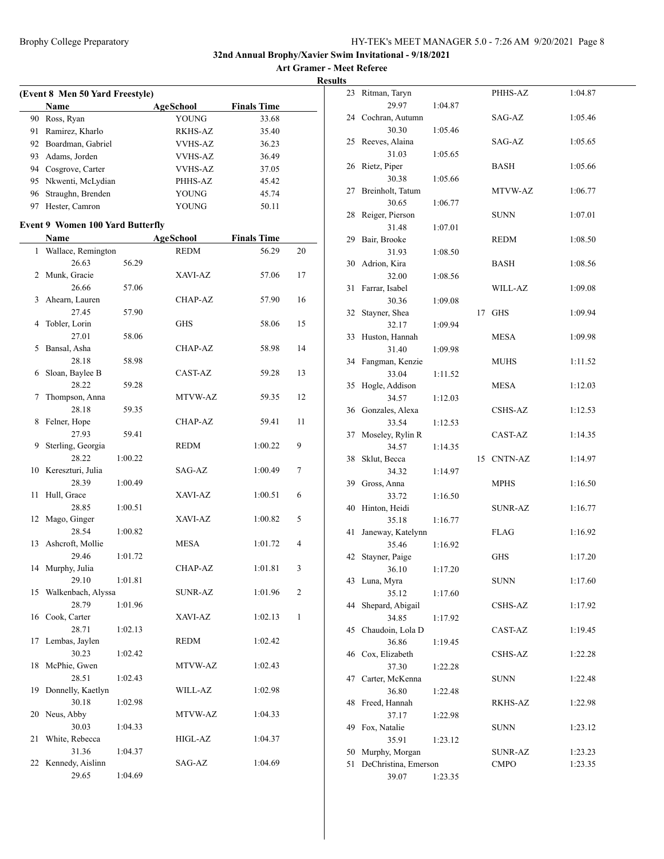|    | (Event 8 Men 50 Yard Freestyle)<br>Name | AgeSchool      | <b>Finals Time</b> |              |
|----|-----------------------------------------|----------------|--------------------|--------------|
|    | 90 Ross, Ryan                           | YOUNG          | 33.68              |              |
|    | 91 Ramirez, Kharlo                      | <b>RKHS-AZ</b> | 35.40              |              |
|    | 92 Boardman, Gabriel                    | VVHS-AZ        | 36.23              |              |
|    | 93 Adams, Jorden                        | <b>VVHS-AZ</b> | 36.49              |              |
|    | 94 Cosgrove, Carter                     | <b>VVHS-AZ</b> | 37.05              |              |
|    | 95 Nkwenti, McLydian                    | PHHS-AZ        | 45.42              |              |
|    | 96 Straughn, Brenden                    | <b>YOUNG</b>   | 45.74              |              |
|    | 97 Hester, Camron                       | <b>YOUNG</b>   | 50.11              |              |
|    | <b>Event 9 Women 100 Yard Butterfly</b> |                |                    |              |
|    | Name                                    | AgeSchool      | <b>Finals Time</b> |              |
| 1  | Wallace, Remington                      | <b>REDM</b>    | 56.29              | 20           |
|    | 26.63<br>56.29                          |                |                    |              |
|    | 2 Munk, Gracie                          | XAVI-AZ        | 57.06              | 17           |
|    | 26.66<br>57.06                          |                |                    |              |
| 3  | Ahearn, Lauren                          | <b>CHAP-AZ</b> | 57.90              | 16           |
|    | 27.45<br>57.90                          |                |                    |              |
| 4  | Tobler, Lorin                           | <b>GHS</b>     | 58.06              | 15           |
|    | 27.01<br>58.06                          |                |                    |              |
| 5  | Bansal, Asha                            | CHAP-AZ        | 58.98              | 14           |
|    | 28.18<br>58.98                          |                |                    |              |
|    | 6 Sloan, Baylee B                       | CAST-AZ        | 59.28              | 13           |
|    | 28.22<br>59.28                          |                |                    |              |
| 7  | Thompson, Anna                          | MTVW-AZ        | 59.35              | 12           |
|    | 28.18<br>59.35                          |                |                    |              |
| 8  | Felner, Hope                            | CHAP-AZ        | 59.41              | 11           |
|    | 27.93<br>59.41                          |                |                    |              |
| 9  | Sterling, Georgia                       | REDM           | 1:00.22            | 9            |
|    | 28.22<br>1:00.22                        |                |                    |              |
|    | 10 Kereszturi, Julia                    | SAG-AZ         | 1:00.49            | 7            |
|    | 28.39<br>1:00.49                        |                |                    |              |
| 11 | Hull, Grace                             | XAVI-AZ        | 1:00.51            | 6            |
|    | 28.85<br>1:00.51                        |                |                    |              |
| 12 | Mago, Ginger                            | XAVI-AZ        | 1:00.82            | 5            |
|    | 28.54<br>1:00.82                        |                |                    |              |
| 13 | Ashcroft, Mollie                        | <b>MESA</b>    | 1:01.72            | 4            |
|    | 29.46<br>1:01.72                        |                |                    |              |
|    | 14 Murphy, Julia                        | CHAP-AZ        | 1:01.81            | 3            |
|    | 29.10<br>1:01.81                        |                |                    |              |
| 15 | Walkenbach, Alyssa                      | <b>SUNR-AZ</b> | 1:01.96            | 2            |
|    | 28.79<br>1:01.96                        |                |                    |              |
| 16 | Cook, Carter                            | XAVI-AZ        | 1:02.13            | $\mathbf{1}$ |
|    | 28.71<br>1:02.13                        |                |                    |              |
| 17 | Lembas, Jaylen                          | <b>REDM</b>    | 1:02.42            |              |
|    | 30.23<br>1:02.42                        |                |                    |              |
| 18 | McPhie, Gwen                            | MTVW-AZ        | 1:02.43            |              |
|    | 28.51<br>1:02.43                        |                |                    |              |
| 19 | Donnelly, Kaetlyn                       | WILL-AZ        | 1:02.98            |              |
|    | 30.18<br>1:02.98                        |                |                    |              |
| 20 | Neus, Abby                              | MTVW-AZ        | 1:04.33            |              |
|    | 30.03<br>1:04.33                        |                |                    |              |
| 21 | White, Rebecca                          | HIGL-AZ        | 1:04.37            |              |
|    | 31.36<br>1:04.37                        |                |                    |              |
| 22 | Kennedy, Aislinn                        | SAG-AZ         | 1:04.69            |              |
|    | 29.65<br>1:04.69                        |                |                    |              |
|    |                                         |                |                    |              |

| 23 | Ritman, Taryn        |         |    | PHHS-AZ        | 1:04.87 |
|----|----------------------|---------|----|----------------|---------|
|    | 29.97                | 1:04.87 |    |                |         |
| 24 | Cochran, Autumn      |         |    | SAG-AZ         | 1:05.46 |
|    | 30.30                | 1:05.46 |    |                |         |
| 25 | Reeves, Alaina       |         |    | SAG-AZ         | 1:05.65 |
|    | 31.03                |         |    |                |         |
|    |                      | 1:05.65 |    |                |         |
| 26 | Rietz, Piper         |         |    | BASH           | 1:05.66 |
|    | 30.38                | 1:05.66 |    |                |         |
| 27 | Breinholt, Tatum     |         |    | MTVW-AZ        | 1:06.77 |
|    | 30.65                | 1:06.77 |    |                |         |
| 28 | Reiger, Pierson      |         |    | <b>SUNN</b>    | 1:07.01 |
|    | 31.48                | 1:07.01 |    |                |         |
| 29 | Bair, Brooke         |         |    | REDM           | 1:08.50 |
|    | 31.93                | 1:08.50 |    |                |         |
| 30 | Adrion, Kira         |         |    | BASH           | 1:08.56 |
|    | 32.00                | 1:08.56 |    |                |         |
| 31 | Farrar, Isabel       |         |    | WILL-AZ        | 1:09.08 |
|    | 30.36                | 1:09.08 |    |                |         |
| 32 | Stayner, Shea        |         | 17 | <b>GHS</b>     | 1:09.94 |
|    |                      |         |    |                |         |
|    | 32.17                | 1:09.94 |    |                |         |
| 33 | Huston, Hannah       |         |    | <b>MESA</b>    | 1:09.98 |
|    | 31.40                | 1:09.98 |    |                |         |
| 34 | Fangman, Kenzie      |         |    | <b>MUHS</b>    | 1:11.52 |
|    | 33.04                | 1:11.52 |    |                |         |
| 35 | Hogle, Addison       |         |    | <b>MESA</b>    | 1:12.03 |
|    | 34.57                | 1:12.03 |    |                |         |
| 36 | Gonzales, Alexa      |         |    | CSHS-AZ        | 1:12.53 |
|    | 33.54                | 1:12.53 |    |                |         |
| 37 | Moseley, Rylin R     |         |    | CAST-AZ        | 1:14.35 |
|    | 34.57                | 1:14.35 |    |                |         |
| 38 | Sklut, Becca         |         | 15 | <b>CNTN-AZ</b> | 1:14.97 |
|    | 34.32                | 1:14.97 |    |                |         |
| 39 | Gross, Anna          |         |    | MPHS           | 1:16.50 |
|    | 33.72                | 1:16.50 |    |                |         |
| 40 | Hinton, Heidi        |         |    | SUNR-AZ        | 1:16.77 |
|    |                      |         |    |                |         |
|    | 35.18                | 1:16.77 |    |                |         |
| 41 | Janeway, Katelynn    |         |    | <b>FLAG</b>    | 1:16.92 |
|    | 35.46                | 1:16.92 |    |                |         |
| 42 | Stayner, Paige       |         |    | GHS            | 1:17.20 |
|    | 36.10                | 1:17.20 |    |                |         |
| 43 | Luna, Myra           |         |    | <b>SUNN</b>    | 1:17.60 |
|    | 35.12                | 1:17.60 |    |                |         |
| 44 | Shepard, Abigail     |         |    | <b>CSHS-AZ</b> | 1:17.92 |
|    | 34.85                | 1:17.92 |    |                |         |
| 45 | Chaudoin, Lola D     |         |    | CAST-AZ        | 1:19.45 |
|    | 36.86                | 1:19.45 |    |                |         |
| 46 | Cox, Elizabeth       |         |    | <b>CSHS-AZ</b> | 1:22.28 |
|    | 37.30                | 1:22.28 |    |                |         |
| 47 | Carter, McKenna      |         |    | SUNN           | 1:22.48 |
|    | 36.80                | 1:22.48 |    |                |         |
| 48 | Freed, Hannah        |         |    | RKHS-AZ        | 1:22.98 |
|    |                      |         |    |                |         |
|    | 37.17                | 1:22.98 |    |                |         |
| 49 | Fox, Natalie         |         |    | SUNN           | 1:23.12 |
|    | 35.91                | 1:23.12 |    |                |         |
| 50 | Murphy, Morgan       |         |    | SUNR-AZ        | 1:23.23 |
| 51 | DeChristina, Emerson |         |    | CMPO           | 1:23.35 |
|    | 39.07                | 1:23.35 |    |                |         |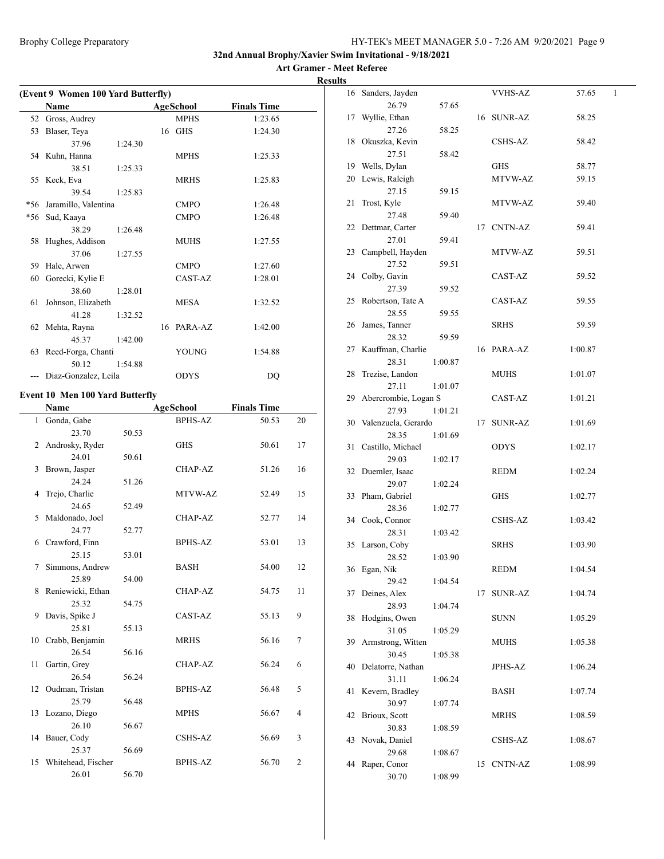**Art Gramer - Meet Referee Results**

|              | (Event 9 Women 100 Yard Butterfly)     |         |    |                  |                    |    |
|--------------|----------------------------------------|---------|----|------------------|--------------------|----|
|              | Name                                   |         |    | <b>AgeSchool</b> | <b>Finals Time</b> |    |
| 52           | Gross, Audrey                          |         |    | <b>MPHS</b>      | 1:23.65            |    |
| 53           | Blaser, Teya                           |         |    | 16 GHS           | 1:24.30            |    |
|              | 37.96                                  | 1:24.30 |    |                  |                    |    |
|              | 54 Kuhn, Hanna                         |         |    | MPHS             | 1:25.33            |    |
|              | 38.51                                  | 1:25.33 |    |                  |                    |    |
|              | 55 Keck, Eva                           |         |    | MRHS             | 1:25.83            |    |
|              | 39.54                                  | 1:25.83 |    |                  |                    |    |
| *56          | Jaramillo, Valentina                   |         |    | <b>CMPO</b>      | 1:26.48            |    |
|              | *56 Sud, Kaaya                         |         |    | <b>CMPO</b>      | 1:26.48            |    |
|              | 38.29                                  | 1:26.48 |    |                  |                    |    |
| 58           | Hughes, Addison                        |         |    | <b>MUHS</b>      | 1:27.55            |    |
|              | 37.06                                  | 1:27.55 |    |                  |                    |    |
| 59           | Hale, Arwen                            |         |    | <b>CMPO</b>      | 1:27.60            |    |
| 60           | Gorecki, Kylie E                       |         |    | CAST-AZ          | 1:28.01            |    |
|              | 38.60                                  | 1:28.01 |    |                  |                    |    |
| 61           | Johnson, Elizabeth                     |         |    | MESA             | 1:32.52            |    |
|              | 41.28                                  | 1:32.52 |    |                  |                    |    |
|              | 62 Mehta, Rayna                        |         | 16 | PARA-AZ          | 1:42.00            |    |
|              | 45.37                                  | 1:42.00 |    |                  |                    |    |
|              | 63 Reed-Forga, Chanti                  |         |    | <b>YOUNG</b>     | 1:54.88            |    |
|              | 50.12                                  | 1:54.88 |    |                  |                    |    |
| ---          | Diaz-Gonzalez, Leila                   |         |    | <b>ODYS</b>      | DQ                 |    |
|              |                                        |         |    |                  |                    |    |
|              | <b>Event 10 Men 100 Yard Butterfly</b> |         |    |                  |                    |    |
|              | Name                                   |         |    | AgeSchool        | <b>Finals Time</b> |    |
| $\mathbf{1}$ | Gonda, Gabe                            |         |    | <b>BPHS-AZ</b>   | 50.53              | 20 |
|              | 23.70                                  | 50.53   |    |                  |                    |    |
|              | 2 Androsky, Ryder                      |         |    | <b>GHS</b>       | 50.61              | 17 |
|              | 24.01                                  | 50.61   |    |                  |                    |    |
| 3            | Brown, Jasper                          |         |    | CHAP-AZ          | 51.26              | 16 |
|              | 24.24                                  | 51.26   |    |                  |                    |    |
| 4            | Trejo, Charlie                         |         |    | MTVW-AZ          | 52.49              | 15 |
|              | 24.65                                  | 52.49   |    |                  |                    |    |
| 5            | Maldonado, Joel                        |         |    | CHAP-AZ          | 52.77              | 14 |
|              | 24.77                                  | 52.77   |    |                  |                    |    |
|              | 6 Crawford, Finn                       |         |    | <b>BPHS-AZ</b>   | 53.01              | 13 |
|              | 25.15                                  | 53.01   |    |                  |                    |    |
| 7            | Simmons, Andrew                        |         |    | <b>BASH</b>      | 54.00              | 12 |
|              | 25.89                                  | 54.00   |    |                  |                    |    |
| 8            | Reniewicki, Ethan                      |         |    | CHAP-AZ          | 54.75              | 11 |
|              | 25.32                                  | 54.75   |    |                  |                    |    |
| 9            | Davis, Spike J                         |         |    | CAST-AZ          | 55.13              | 9  |
|              | 25.81                                  | 55.13   |    |                  |                    |    |
| 10           | Crabb, Benjamin                        |         |    | <b>MRHS</b>      | 56.16              | 7  |
|              | 26.54                                  | 56.16   |    |                  |                    |    |
| 11           | Gartin, Grey                           |         |    | CHAP-AZ          | 56.24              | 6  |
|              | 26.54                                  | 56.24   |    |                  |                    |    |
| 12           | Oudman, Tristan                        |         |    | <b>BPHS-AZ</b>   | 56.48              | 5  |

25.79 56.48

26.10 56.67

25.37 56.69

26.01 56.70

13 Lozano, Diego MPHS 56.67 4

14 Bauer, Cody CSHS-AZ 56.69 3

15 Whitehead, Fischer BPHS-AZ 56.70 2

| S  |                      |         |    |                |         |   |
|----|----------------------|---------|----|----------------|---------|---|
| 16 | Sanders, Jayden      |         |    | <b>VVHS-AZ</b> | 57.65   | 1 |
|    | 26.79                | 57.65   |    |                |         |   |
| 17 | Wyllie, Ethan        |         |    | 16 SUNR-AZ     | 58.25   |   |
|    | 27.26                | 58.25   |    |                |         |   |
| 18 | Okuszka, Kevin       |         |    | CSHS-AZ        | 58.42   |   |
|    | 27.51                | 58.42   |    |                |         |   |
| 19 | Wells, Dylan         |         |    | GHS            | 58.77   |   |
| 20 | Lewis, Raleigh       |         |    | MTVW-AZ        | 59.15   |   |
|    | 27.15                | 59.15   |    |                |         |   |
| 21 | Trost, Kyle          |         |    | MTVW-AZ        | 59.40   |   |
|    | 27.48                | 59.40   |    |                |         |   |
| 22 | Dettmar, Carter      |         | 17 | CNTN-AZ        | 59.41   |   |
|    | 27.01                | 59.41   |    |                |         |   |
| 23 | Campbell, Hayden     |         |    | MTVW-AZ        | 59.51   |   |
|    | 27.52                | 59.51   |    |                |         |   |
| 24 | Colby, Gavin         |         |    | CAST-AZ        | 59.52   |   |
|    | 27.39                | 59.52   |    |                |         |   |
| 25 | Robertson, Tate A    |         |    | CAST-AZ        | 59.55   |   |
|    | 28.55                | 59.55   |    |                |         |   |
| 26 | James, Tanner        |         |    | <b>SRHS</b>    | 59.59   |   |
|    | 28.32                | 59.59   |    |                |         |   |
| 27 | Kauffman, Charlie    |         | 16 | PARA-AZ        | 1:00.87 |   |
|    | 28.31                | 1:00.87 |    |                |         |   |
|    |                      |         |    |                |         |   |
| 28 | Trezise, Landon      |         |    | MUHS           | 1:01.07 |   |
|    | 27.11                | 1:01.07 |    |                |         |   |
| 29 | Abercrombie, Logan S |         |    | CAST-AZ        | 1:01.21 |   |
|    | 27.93                | 1:01.21 |    |                |         |   |
| 30 | Valenzuela, Gerardo  |         | 17 | SUNR-AZ        | 1:01.69 |   |
|    | 28.35                | 1:01.69 |    |                |         |   |
| 31 | Castillo, Michael    |         |    | ODYS           | 1:02.17 |   |
|    | 29.03                | 1:02.17 |    |                |         |   |
| 32 | Duemler, Isaac       |         |    | REDM           | 1:02.24 |   |
|    | 29.07                | 1:02.24 |    |                |         |   |
| 33 | Pham, Gabriel        |         |    | <b>GHS</b>     | 1:02.77 |   |
|    | 28.36                | 1:02.77 |    |                |         |   |
| 34 | Cook, Connor         |         |    | CSHS-AZ        | 1:03.42 |   |
|    | 28.31                | 1:03.42 |    |                |         |   |
| 35 | Larson, Coby         |         |    | <b>SRHS</b>    | 1:03.90 |   |
|    | 28.52                | 1:03.90 |    |                |         |   |
|    | 36 Egan, Nik         |         |    | REDM           | 1:04.54 |   |
|    | 29.42                | 1:04.54 |    |                |         |   |
| 37 | Deines, Alex         |         | 17 | <b>SUNR-AZ</b> | 1:04.74 |   |
|    | 28.93                | 1:04.74 |    |                |         |   |
| 38 | Hodgins, Owen        |         |    | <b>SUNN</b>    | 1:05.29 |   |
|    | 31.05                | 1:05.29 |    |                |         |   |
| 39 | Armstrong, Witten    |         |    | MUHS           | 1:05.38 |   |
|    | 30.45                | 1:05.38 |    |                |         |   |
| 40 | Delatorre, Nathan    |         |    | JPHS-AZ        | 1:06.24 |   |
|    | 31.11                | 1:06.24 |    |                |         |   |
| 41 | Kevern, Bradley      |         |    | BASH           | 1:07.74 |   |
|    | 30.97                | 1:07.74 |    |                |         |   |
| 42 | Brioux, Scott        |         |    | MRHS           | 1:08.59 |   |
|    | 30.83                | 1:08.59 |    |                |         |   |
| 43 | Novak, Daniel        |         |    | CSHS-AZ        | 1:08.67 |   |
|    | 29.68                | 1:08.67 |    |                |         |   |
| 44 | Raper, Conor         |         | 15 | CNTN-AZ        | 1:08.99 |   |
|    | 30.70                | 1:08.99 |    |                |         |   |
|    |                      |         |    |                |         |   |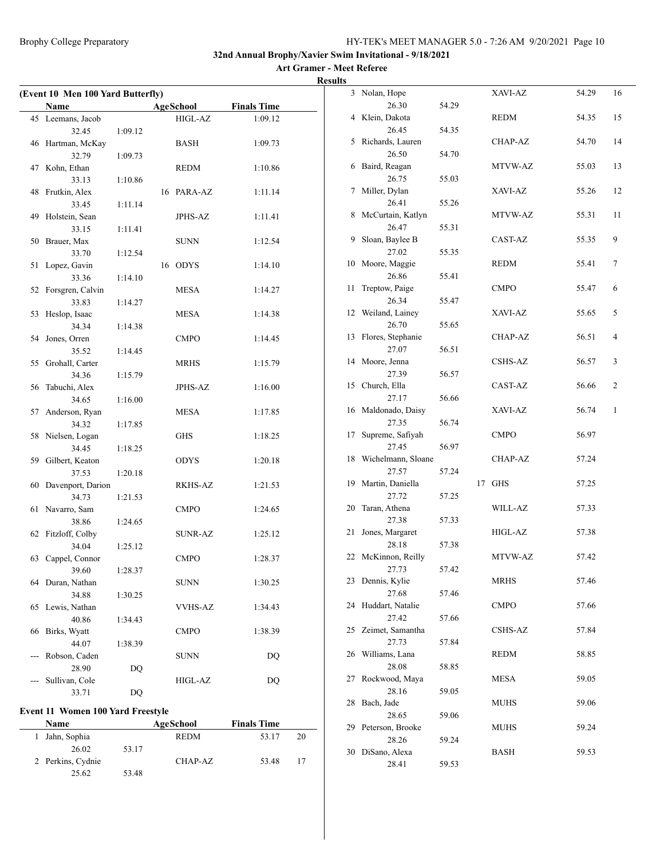#### **Art Gramer - Meet Referee Results**

| (Event 10 Men 100 Yard Butterfly) |                      |         |  |                  |                    |  |
|-----------------------------------|----------------------|---------|--|------------------|--------------------|--|
|                                   | Name                 |         |  | <b>AgeSchool</b> | <b>Finals Time</b> |  |
| 45                                | Leemans, Jacob       |         |  | HIGL-AZ          | 1:09.12            |  |
|                                   | 32.45                | 1:09.12 |  |                  |                    |  |
|                                   | 46 Hartman, McKay    |         |  | <b>BASH</b>      | 1:09.73            |  |
|                                   | 32.79                | 1:09.73 |  |                  |                    |  |
|                                   | 47 Kohn, Ethan       |         |  | <b>REDM</b>      | 1:10.86            |  |
|                                   | 33.13                | 1:10.86 |  |                  |                    |  |
|                                   | 48 Frutkin, Alex     |         |  | 16 PARA-AZ       | 1:11.14            |  |
|                                   | 33.45                | 1:11.14 |  |                  |                    |  |
| 49                                | Holstein, Sean       |         |  | <b>JPHS-AZ</b>   | 1:11.41            |  |
|                                   | 33.15                | 1:11.41 |  |                  |                    |  |
| 50                                | Brauer, Max          |         |  | <b>SUNN</b>      | 1:12.54            |  |
|                                   | 33.70                | 1:12.54 |  |                  |                    |  |
| 51                                | Lopez, Gavin         |         |  | 16 ODYS          | 1:14.10            |  |
|                                   | 33.36                | 1:14.10 |  |                  |                    |  |
| 52                                | Forsgren, Calvin     |         |  | MESA             | 1:14.27            |  |
|                                   | 33.83                | 1:14.27 |  |                  |                    |  |
| 53                                | Heslop, Isaac        |         |  | <b>MESA</b>      | 1:14.38            |  |
|                                   | 34.34                | 1:14.38 |  |                  |                    |  |
| 54                                | Jones, Orren         |         |  | <b>CMPO</b>      | 1:14.45            |  |
|                                   | 35.52                | 1:14.45 |  |                  |                    |  |
| 55                                | Grohall, Carter      |         |  | <b>MRHS</b>      | 1:15.79            |  |
|                                   | 34.36                | 1:15.79 |  |                  |                    |  |
|                                   | 56 Tabuchi, Alex     |         |  | <b>JPHS-AZ</b>   | 1:16.00            |  |
|                                   | 34.65                | 1:16.00 |  |                  |                    |  |
| 57                                | Anderson, Ryan       |         |  | MESA             | 1:17.85            |  |
|                                   | 34.32                | 1:17.85 |  |                  |                    |  |
|                                   | 58 Nielsen, Logan    |         |  | <b>GHS</b>       | 1:18.25            |  |
|                                   | 34.45                | 1:18.25 |  |                  |                    |  |
|                                   | 59 Gilbert, Keaton   |         |  | ODYS             | 1:20.18            |  |
|                                   | 37.53                | 1:20.18 |  |                  |                    |  |
|                                   | 60 Davenport, Darion |         |  | RKHS-AZ          | 1:21.53            |  |
|                                   | 34.73                | 1:21.53 |  |                  |                    |  |
| 61                                | Navarro, Sam         |         |  | <b>CMPO</b>      | 1:24.65            |  |
|                                   | 38.86                | 1:24.65 |  |                  |                    |  |
|                                   | 62 Fitzloff, Colby   |         |  | <b>SUNR-AZ</b>   | 1:25.12            |  |
|                                   | 34.04                | 1:25.12 |  |                  |                    |  |
| 63                                | Cappel, Connor       |         |  | <b>CMPO</b>      | 1:28.37            |  |
|                                   | 39.60                | 1:28.37 |  |                  |                    |  |
|                                   | 64 Duran, Nathan     |         |  | <b>SUNN</b>      | 1:30.25            |  |
|                                   | 34.88                | 1:30.25 |  |                  |                    |  |
| 65                                | Lewis, Nathan        |         |  | VVHS-AZ          | 1:34.43            |  |
|                                   | 40.86                | 1:34.43 |  |                  |                    |  |
| 66                                | Birks, Wyatt         |         |  | <b>CMPO</b>      | 1:38.39            |  |
|                                   | 44.07                | 1:38.39 |  |                  |                    |  |
|                                   | Robson, Caden        |         |  | SUNN             | DO                 |  |
|                                   | 28.90                | DQ      |  |                  |                    |  |
|                                   | Sullivan, Cole       |         |  | HIGL-AZ          | DQ                 |  |
|                                   | 33.71                | DQ      |  |                  |                    |  |

#### **Event 11 Women 100 Yard Freestyle**

| <b>Name</b>       |       | AgeSchool   | <b>Finals Time</b> |    |
|-------------------|-------|-------------|--------------------|----|
| 1 Jahn, Sophia    |       | <b>REDM</b> | 53.17              | 20 |
| 26.02             | 53.17 |             |                    |    |
| 2 Perkins, Cydnie |       | CHAP-AZ     | 53.48              | 17 |
| 25.62             | 53.48 |             |                    |    |

| 3  | Nolan, Hope        |       | XAVI-AZ        | 54.29 | 16 |
|----|--------------------|-------|----------------|-------|----|
|    | 26.30              | 54.29 |                |       |    |
| 4  | Klein, Dakota      |       | <b>REDM</b>    | 54.35 | 15 |
|    | 26.45              | 54.35 |                |       |    |
| 5  | Richards, Lauren   |       | CHAP-AZ        | 54.70 | 14 |
|    | 26.50              | 54.70 |                |       |    |
| 6  | Baird, Reagan      |       | MTVW-AZ        | 55.03 | 13 |
|    | 26.75              | 55.03 |                |       |    |
| 7  | Miller, Dylan      |       | XAVI-AZ        | 55.26 | 12 |
|    | 26.41              | 55.26 |                |       |    |
| 8  | McCurtain, Katlyn  |       | MTVW-AZ        | 55.31 | 11 |
|    | 26.47              | 55.31 |                |       |    |
| 9  | Sloan, Baylee B    |       | CAST-AZ        | 55.35 | 9  |
|    | 27.02              | 55.35 |                |       |    |
| 10 | Moore, Maggie      |       | REDM           | 55.41 | 7  |
|    | 26.86              | 55.41 |                |       |    |
| 11 | Treptow, Paige     |       | <b>CMPO</b>    | 55.47 | 6  |
|    | 26.34              | 55.47 |                |       |    |
| 12 | Weiland, Lainey    |       | XAVI-AZ        | 55.65 | 5  |
|    | 26.70              | 55.65 |                |       |    |
| 13 | Flores, Stephanie  |       | CHAP-AZ        | 56.51 | 4  |
|    | 27.07              | 56.51 |                |       |    |
| 14 | Moore, Jenna       |       | <b>CSHS-AZ</b> | 56.57 | 3  |
|    | 27.39              | 56.57 |                |       |    |
| 15 | Church, Ella       |       | CAST-AZ        | 56.66 | 2  |
|    | 27.17              | 56.66 |                |       |    |
| 16 | Maldonado, Daisy   |       | XAVI-AZ        | 56.74 | 1  |
|    | 27.35              | 56.74 |                |       |    |
| 17 | Supreme, Safiyah   |       | <b>CMPO</b>    | 56.97 |    |
|    | 27.45              | 56.97 |                |       |    |
| 18 | Wichelmann, Sloane |       | CHAP-AZ        | 57.24 |    |
|    | 27.57              | 57.24 |                |       |    |
| 19 | Martin, Daniella   | 17    | <b>GHS</b>     | 57.25 |    |
|    | 27.72              | 57.25 |                |       |    |
| 20 | Taran, Athena      |       | WILL-AZ        | 57.33 |    |
|    | 27.38              | 57.33 |                |       |    |
| 21 | Jones, Margaret    |       | HIGL-AZ        | 57.38 |    |
|    | 28.18              | 57.38 |                |       |    |
| 22 | McKinnon, Reilly   |       | MTVW-AZ        | 57.42 |    |
|    | 27.73              | 57.42 |                |       |    |
| 23 | Dennis, Kylie      |       | <b>MRHS</b>    | 57.46 |    |
|    | 27.68              | 57.46 |                |       |    |
| 24 | Huddart, Natalie   |       | <b>CMPO</b>    | 57.66 |    |
|    | 27.42              | 57.66 |                |       |    |
| 25 | Zeimet, Samantha   |       | <b>CSHS-AZ</b> | 57.84 |    |
|    | 27.73              | 57.84 |                |       |    |
| 26 | Williams, Lana     |       | <b>REDM</b>    | 58.85 |    |
|    | 28.08              | 58.85 |                |       |    |
| 27 | Rockwood, Maya     |       | <b>MESA</b>    | 59.05 |    |
|    | 28.16              | 59.05 |                |       |    |
| 28 | Bach, Jade         |       | <b>MUHS</b>    | 59.06 |    |
|    | 28.65              | 59.06 |                |       |    |
| 29 | Peterson, Brooke   |       | <b>MUHS</b>    | 59.24 |    |
|    | 28.26              | 59.24 |                |       |    |
| 30 | DiSano, Alexa      |       | BASH           | 59.53 |    |
|    | 28.41              | 59.53 |                |       |    |
|    |                    |       |                |       |    |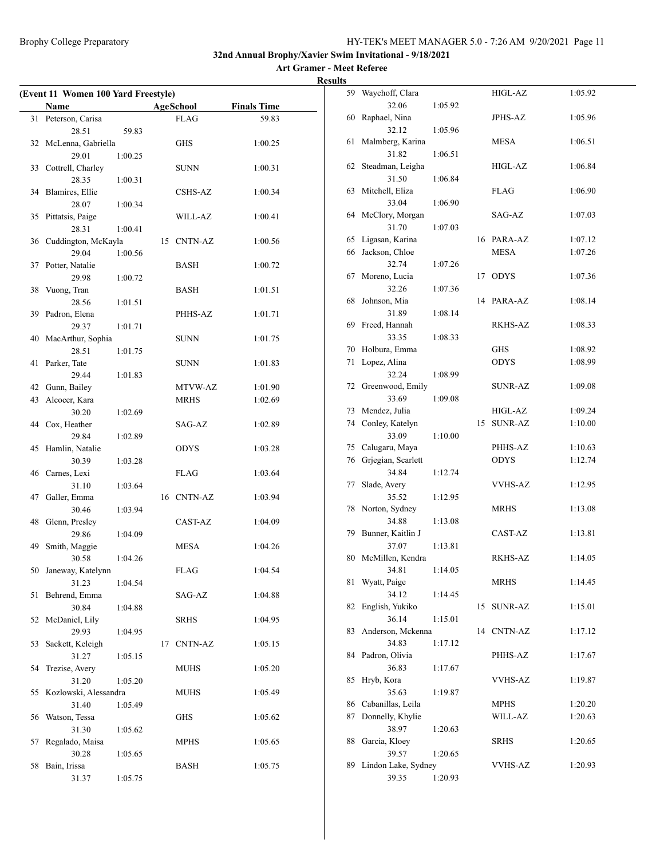| (Event 11 Women 100 Yard Freestyle) |                          |         |    |                  |                    |  |
|-------------------------------------|--------------------------|---------|----|------------------|--------------------|--|
|                                     | Name                     |         |    | <b>AgeSchool</b> | <b>Finals Time</b> |  |
| 31                                  | Peterson, Carisa         |         |    | <b>FLAG</b>      | 59.83              |  |
|                                     | 28.51                    | 59.83   |    |                  |                    |  |
|                                     | 32 McLenna, Gabriella    |         |    | GHS              | 1:00.25            |  |
|                                     | 29.01                    | 1:00.25 |    |                  |                    |  |
|                                     | 33 Cottrell, Charley     |         |    | SUNN             | 1:00.31            |  |
|                                     | 28.35                    | 1:00.31 |    |                  |                    |  |
|                                     | 34 Blamires, Ellie       |         |    | CSHS-AZ          | 1:00.34            |  |
|                                     | 28.07                    | 1:00.34 |    |                  |                    |  |
|                                     | 35 Pittatsis, Paige      |         |    | WILL-AZ          | 1:00.41            |  |
|                                     | 28.31                    | 1:00.41 |    |                  |                    |  |
|                                     | 36 Cuddington, McKayla   |         |    | 15 CNTN-AZ       | 1:00.56            |  |
|                                     | 29.04                    | 1:00.56 |    |                  |                    |  |
|                                     | 37 Potter, Natalie       |         |    | BASH             | 1:00.72            |  |
|                                     | 29.98                    | 1:00.72 |    |                  |                    |  |
|                                     | 38 Vuong, Tran           |         |    | BASH             | 1:01.51            |  |
|                                     | 28.56                    | 1:01.51 |    |                  |                    |  |
|                                     | 39 Padron, Elena         |         |    | PHHS-AZ          | 1:01.71            |  |
|                                     | 29.37                    | 1:01.71 |    |                  |                    |  |
| 40                                  | MacArthur, Sophia        |         |    | SUNN             | 1:01.75            |  |
|                                     | 28.51                    | 1:01.75 |    |                  |                    |  |
| 41                                  | Parker, Tate             |         |    | SUNN             | 1:01.83            |  |
|                                     | 29.44                    | 1:01.83 |    |                  |                    |  |
| 42                                  | Gunn, Bailey             |         |    | MTVW-AZ          | 1:01.90            |  |
|                                     | 43 Alcocer, Kara         |         |    | <b>MRHS</b>      | 1:02.69            |  |
|                                     | 30.20                    | 1:02.69 |    |                  |                    |  |
|                                     | 44 Cox, Heather          |         |    | SAG-AZ           | 1:02.89            |  |
|                                     | 29.84                    | 1:02.89 |    |                  |                    |  |
| 45                                  | Hamlin, Natalie          |         |    | <b>ODYS</b>      | 1:03.28            |  |
|                                     | 30.39                    | 1:03.28 |    |                  |                    |  |
|                                     | 46 Carnes, Lexi          |         |    | FLAG             | 1:03.64            |  |
|                                     | 31.10                    | 1:03.64 |    |                  |                    |  |
|                                     | 47 Galler, Emma          |         |    | 16 CNTN-AZ       | 1:03.94            |  |
|                                     | 30.46                    | 1:03.94 |    |                  |                    |  |
| 48                                  | Glenn, Presley           |         |    | CAST-AZ          | 1:04.09            |  |
|                                     | 29.86                    | 1:04.09 |    |                  |                    |  |
|                                     | 49 Smith, Maggie         |         |    | MESA             | 1:04.26            |  |
|                                     | 30.58                    | 1:04.26 |    |                  |                    |  |
|                                     | 50 Janeway, Katelynn     |         |    | FLAG             | 1:04.54            |  |
|                                     | 31.23                    | 1:04.54 |    |                  |                    |  |
| 51                                  | Behrend, Emma            |         |    | SAG-AZ           | 1:04.88            |  |
|                                     | 30.84                    | 1:04.88 |    |                  |                    |  |
| 52                                  | McDaniel, Lily           |         |    | SRHS             | 1:04.95            |  |
|                                     | 29.93                    | 1:04.95 |    |                  |                    |  |
| 53                                  | Sackett, Keleigh         |         | 17 | CNTN-AZ          | 1:05.15            |  |
|                                     | 31.27                    | 1:05.15 |    |                  |                    |  |
| 54                                  | Trezise, Avery           |         |    | <b>MUHS</b>      | 1:05.20            |  |
|                                     | 31.20                    | 1:05.20 |    |                  |                    |  |
| 55                                  | Kozlowski, Alessandra    |         |    | MUHS             | 1:05.49            |  |
|                                     | 31.40                    | 1:05.49 |    |                  |                    |  |
| 56                                  | Watson, Tessa            |         |    | <b>GHS</b>       | 1:05.62            |  |
|                                     | 31.30                    | 1:05.62 |    |                  |                    |  |
| 57                                  | Regalado, Maisa<br>30.28 |         |    | <b>MPHS</b>      | 1:05.65            |  |
| 58                                  |                          | 1:05.65 |    | <b>BASH</b>      |                    |  |
|                                     | Bain, Irissa             |         |    |                  | 1:05.75            |  |
|                                     | 31.37                    | 1:05.75 |    |                  |                    |  |

| 59 | Waychoff, Clara             |         |    | HIGL-AZ        | 1:05.92 |
|----|-----------------------------|---------|----|----------------|---------|
|    | 32.06                       | 1:05.92 |    |                |         |
| 60 | Raphael, Nina               |         |    | JPHS-AZ        | 1:05.96 |
|    | 32.12                       | 1:05.96 |    |                |         |
| 61 | Malmberg, Karina            |         |    | <b>MESA</b>    | 1:06.51 |
|    | 31.82                       | 1:06.51 |    |                |         |
| 62 | Steadman, Leigha            |         |    | HIGL-AZ        | 1:06.84 |
|    | 31.50                       | 1:06.84 |    |                |         |
| 63 | Mitchell, Eliza             |         |    | FLAG           | 1:06.90 |
|    | 33.04                       | 1:06.90 |    |                |         |
| 64 | McClory, Morgan             |         |    | SAG-AZ         | 1:07.03 |
|    | 31.70                       | 1:07.03 |    |                |         |
| 65 | Ligasan, Karina             |         |    | 16 PARA-AZ     | 1:07.12 |
| 66 | Jackson, Chloe              |         |    | <b>MESA</b>    | 1:07.26 |
|    | 32.74                       | 1:07.26 |    |                |         |
| 67 | Moreno, Lucia               |         | 17 | <b>ODYS</b>    | 1:07.36 |
|    | 32.26                       | 1:07.36 |    |                |         |
| 68 | Johnson, Mia                |         | 14 | PARA-AZ        | 1:08.14 |
|    | 31.89                       | 1:08.14 |    |                |         |
| 69 | Freed, Hannah               |         |    | RKHS-AZ        | 1:08.33 |
|    | 33.35                       | 1:08.33 |    |                |         |
| 70 | Holbura, Emma               |         |    | <b>GHS</b>     | 1:08.92 |
| 71 | Lopez, Alina                |         |    | <b>ODYS</b>    | 1:08.99 |
|    | 32.24                       | 1:08.99 |    |                |         |
| 72 | Greenwood, Emily            |         |    | <b>SUNR-AZ</b> | 1:09.08 |
|    | 33.69                       | 1:09.08 |    |                |         |
| 73 | Mendez, Julia               |         |    | HIGL-AZ        | 1:09.24 |
| 74 | Conley, Katelyn             |         | 15 | <b>SUNR-AZ</b> | 1:10.00 |
|    | 33.09                       | 1:10.00 |    |                |         |
| 75 | Calugaru, Maya              |         |    | PHHS-AZ        | 1:10.63 |
| 76 | Grjegian, Scarlett<br>34.84 |         |    | <b>ODYS</b>    | 1:12.74 |
| 77 |                             | 1:12.74 |    | <b>VVHS-AZ</b> | 1:12.95 |
|    | Slade, Avery<br>35.52       | 1:12.95 |    |                |         |
| 78 | Norton, Sydney              |         |    | MRHS           | 1:13.08 |
|    | 34.88                       | 1:13.08 |    |                |         |
| 79 | Bunner, Kaitlin J           |         |    | CAST-AZ        | 1:13.81 |
|    | 37.07                       | 1:13.81 |    |                |         |
| 80 | McMillen, Kendra            |         |    | <b>RKHS-AZ</b> | 1:14.05 |
|    | 34.81                       | 1:14.05 |    |                |         |
| 81 | Wyatt, Paige                |         |    | <b>MRHS</b>    | 1:14.45 |
|    | 34.12                       | 1:14.45 |    |                |         |
| 82 | English, Yukiko             |         | 15 | <b>SUNR-AZ</b> | 1:15.01 |
|    | 36.14                       | 1:15.01 |    |                |         |
| 83 | Anderson, Mckenna           |         | 14 | <b>CNTN-AZ</b> | 1:17.12 |
|    | 34.83                       | 1:17.12 |    |                |         |
| 84 | Padron, Olivia              |         |    | PHHS-AZ        | 1:17.67 |
|    | 36.83                       | 1:17.67 |    |                |         |
| 85 | Hryb, Kora                  |         |    | <b>VVHS-AZ</b> | 1:19.87 |
|    | 35.63                       | 1:19.87 |    |                |         |
| 86 | Cabanillas, Leila           |         |    | <b>MPHS</b>    | 1:20.20 |
| 87 | Donnelly, Khylie            |         |    | WILL-AZ        | 1:20.63 |
|    | 38.97                       | 1:20.63 |    |                |         |
| 88 | Garcia, Kloey               |         |    | <b>SRHS</b>    | 1:20.65 |
|    | 39.57                       | 1:20.65 |    |                |         |
| 89 | Lindon Lake, Sydney         |         |    | VVHS-AZ        | 1:20.93 |
|    | 39.35                       | 1:20.93 |    |                |         |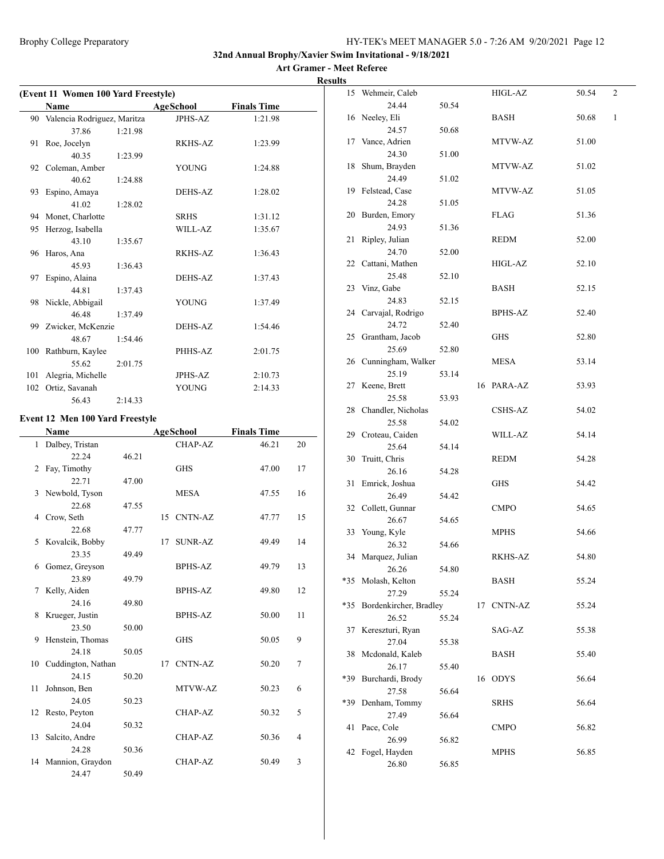| (Event 11 Women 100 Yard Freestyle) |                                        |         |    |                  |                    |    |
|-------------------------------------|----------------------------------------|---------|----|------------------|--------------------|----|
|                                     | Name                                   |         |    | <b>AgeSchool</b> | <b>Finals Time</b> |    |
| 90                                  | Valencia Rodriguez, Maritza            |         |    | <b>JPHS-AZ</b>   | 1:21.98            |    |
|                                     | 37.86                                  | 1:21.98 |    |                  |                    |    |
| 91                                  | Roe, Jocelyn                           |         |    | RKHS-AZ          | 1:23.99            |    |
|                                     | 40.35                                  | 1:23.99 |    |                  |                    |    |
|                                     | 92 Coleman, Amber                      |         |    | <b>YOUNG</b>     | 1:24.88            |    |
|                                     | 40.62                                  | 1:24.88 |    |                  |                    |    |
| 93                                  | Espino, Amaya                          |         |    | <b>DEHS-AZ</b>   | 1:28.02            |    |
|                                     | 41.02                                  | 1:28.02 |    |                  |                    |    |
|                                     | 94 Monet, Charlotte                    |         |    | <b>SRHS</b>      | 1:31.12            |    |
| 95                                  | Herzog, Isabella                       |         |    | WILL-AZ          | 1:35.67            |    |
|                                     | 43.10                                  | 1:35.67 |    |                  |                    |    |
| 96                                  | Haros, Ana                             |         |    | RKHS-AZ          | 1:36.43            |    |
|                                     | 45.93                                  | 1:36.43 |    |                  |                    |    |
| 97                                  | Espino, Alaina                         |         |    | DEHS-AZ          | 1:37.43            |    |
|                                     | 44.81                                  | 1:37.43 |    |                  |                    |    |
|                                     | 98 Nickle, Abbigail                    |         |    | <b>YOUNG</b>     | 1:37.49            |    |
|                                     | 46.48                                  | 1:37.49 |    |                  |                    |    |
|                                     | 99 Zwicker, McKenzie                   |         |    | DEHS-AZ          | 1:54.46            |    |
|                                     | 48.67                                  | 1:54.46 |    |                  |                    |    |
|                                     | 100 Rathburn, Kaylee                   |         |    | PHHS-AZ          | 2:01.75            |    |
|                                     | 55.62                                  | 2:01.75 |    |                  |                    |    |
| 101                                 | Alegria, Michelle                      |         |    | JPHS-AZ          | 2:10.73            |    |
|                                     | 102 Ortiz, Savanah                     |         |    | <b>YOUNG</b>     |                    |    |
|                                     | 56.43                                  |         |    |                  | 2:14.33            |    |
|                                     |                                        | 2:14.33 |    |                  |                    |    |
|                                     | <b>Event 12 Men 100 Yard Freestyle</b> |         |    |                  |                    |    |
|                                     | Name                                   |         |    | AgeSchool        | <b>Finals Time</b> |    |
|                                     | 1 Dalbey, Tristan                      |         |    | <b>CHAP-AZ</b>   | 46.21              | 20 |
|                                     | 22.24                                  | 46.21   |    |                  |                    |    |
|                                     | 2 Fay, Timothy                         |         |    | <b>GHS</b>       | 47.00              | 17 |
|                                     | 22.71                                  | 47.00   |    |                  |                    |    |
| 3                                   | Newbold, Tyson                         |         |    | MESA             | 47.55              | 16 |
|                                     | 22.68                                  | 47.55   |    |                  |                    |    |
|                                     | 4 Crow, Seth                           |         |    | 15 CNTN-AZ       | 47.77              | 15 |
|                                     | 22.68                                  | 47.77   |    |                  |                    |    |
|                                     | 5 Kovalcik, Bobby                      |         | 17 | <b>SUNR-AZ</b>   | 49.49              | 14 |
|                                     | 23.35                                  | 49.49   |    |                  |                    |    |
| 6                                   | Gomez, Greyson                         |         |    | <b>BPHS-AZ</b>   | 49.79              | 13 |
|                                     | 23.89                                  | 49.79   |    |                  |                    |    |
| 7                                   | Kelly, Aiden                           |         |    | BPHS-AZ          | 49.80              | 12 |
|                                     | 24.16                                  | 49.80   |    |                  |                    |    |
| 8                                   | Krueger, Justin                        |         |    | <b>BPHS-AZ</b>   | 50.00              | 11 |
|                                     | 23.50                                  | 50.00   |    |                  |                    |    |
| 9                                   | Henstein, Thomas                       |         |    | <b>GHS</b>       | 50.05              | 9  |
|                                     | 24.18                                  | 50.05   |    |                  |                    |    |
| 10                                  | Cuddington, Nathan                     |         | 17 | CNTN-AZ          | 50.20              | 7  |
|                                     | 24.15                                  | 50.20   |    |                  |                    |    |
| 11                                  | Johnson, Ben                           |         |    | MTVW-AZ          | 50.23              | 6  |
|                                     | 24.05                                  | 50.23   |    |                  |                    |    |
| 12                                  | Resto, Peyton                          |         |    | CHAP-AZ          | 50.32              | 5  |
|                                     | 24.04                                  | 50.32   |    |                  |                    |    |
| 13                                  | Salcito, Andre                         |         |    | CHAP-AZ          | 50.36              | 4  |
|                                     | 24.28                                  | 50.36   |    |                  |                    |    |
| 14                                  | Mannion, Graydon                       |         |    | CHAP-AZ          | 50.49              | 3  |
|                                     | 24.47                                  | 50.49   |    |                  |                    |    |

|       | 15 Wehmeir, Caleb      |       |    | HIGL-AZ        | 50.54 | 2 |
|-------|------------------------|-------|----|----------------|-------|---|
|       | 24.44                  | 50.54 |    |                |       |   |
|       | 16 Neeley, Eli         |       |    | BASH           | 50.68 | 1 |
|       | 24.57                  | 50.68 |    |                |       |   |
|       | 17 Vance, Adrien       |       |    | MTVW-AZ        | 51.00 |   |
|       | 24.30                  | 51.00 |    |                |       |   |
| 18    | Shum, Brayden          |       |    | MTVW-AZ        | 51.02 |   |
|       | 24.49                  | 51.02 |    |                |       |   |
|       | 19 Felstead, Case      |       |    | MTVW-AZ        | 51.05 |   |
|       | 24.28                  | 51.05 |    |                |       |   |
|       | 20 Burden, Emory       |       |    | <b>FLAG</b>    | 51.36 |   |
|       | 24.93                  | 51.36 |    |                |       |   |
| 21    | Ripley, Julian         |       |    | REDM           | 52.00 |   |
|       | 24.70                  |       |    |                |       |   |
| 22    |                        | 52.00 |    |                |       |   |
|       | Cattani, Mathen        |       |    | HIGL-AZ        | 52.10 |   |
|       | 25.48                  | 52.10 |    |                |       |   |
| 23    | Vinz, Gabe             |       |    | BASH           | 52.15 |   |
|       | 24.83                  | 52.15 |    |                |       |   |
| 24    | Carvajal, Rodrigo      |       |    | <b>BPHS-AZ</b> | 52.40 |   |
|       | 24.72                  | 52.40 |    |                |       |   |
|       | 25 Grantham, Jacob     |       |    | GHS            | 52.80 |   |
|       | 25.69                  | 52.80 |    |                |       |   |
|       | 26 Cunningham, Walker  |       |    | <b>MESA</b>    | 53.14 |   |
|       | 25.19                  | 53.14 |    |                |       |   |
|       | 27 Keene, Brett        |       |    | 16 PARA-AZ     | 53.93 |   |
|       | 25.58                  | 53.93 |    |                |       |   |
|       | 28 Chandler, Nicholas  |       |    | CSHS-AZ        | 54.02 |   |
|       | 25.58                  | 54.02 |    |                |       |   |
|       | 29 Croteau, Caiden     |       |    | WILL-AZ        | 54.14 |   |
|       | 25.64                  | 54.14 |    |                |       |   |
| 30    | Truitt, Chris          |       |    | REDM           | 54.28 |   |
|       | 26.16                  | 54.28 |    |                |       |   |
| 31    | Emrick, Joshua         |       |    | GHS            | 54.42 |   |
|       | 26.49                  | 54.42 |    |                |       |   |
|       | 32 Collett, Gunnar     |       |    | CMPO           | 54.65 |   |
|       | 26.67                  | 54.65 |    |                |       |   |
|       | 33 Young, Kyle         |       |    | MPHS           | 54.66 |   |
|       | 26.32                  | 54.66 |    |                |       |   |
| 34    | Marquez, Julian        |       |    | RKHS-AZ        | 54.80 |   |
|       | 26.26                  | 54.80 |    |                |       |   |
| $*35$ | Molash, Kelton         |       |    | <b>BASH</b>    | 55.24 |   |
|       | 27.29                  | 55.24 |    |                |       |   |
| *35   | Bordenkircher, Bradley |       | 17 | <b>CNTN-AZ</b> | 55.24 |   |
|       | 26.52                  | 55.24 |    |                |       |   |
| 37    | Kereszturi, Ryan       |       |    | SAG-AZ         | 55.38 |   |
|       | 27.04                  | 55.38 |    |                |       |   |
| 38    | Mcdonald, Kaleb        |       |    | <b>BASH</b>    | 55.40 |   |
|       | 26.17                  | 55.40 |    |                |       |   |
| *39   | Burchardi, Brody       |       | 16 | <b>ODYS</b>    | 56.64 |   |
|       | 27.58                  | 56.64 |    |                |       |   |
| *39   | Denham, Tommy          |       |    | <b>SRHS</b>    | 56.64 |   |
|       | 27.49                  | 56.64 |    |                |       |   |
| 41    | Pace, Cole             |       |    | <b>CMPO</b>    | 56.82 |   |
|       | 26.99                  | 56.82 |    |                |       |   |
| 42    | Fogel, Hayden          |       |    | MPHS           | 56.85 |   |
|       | 26.80                  | 56.85 |    |                |       |   |
|       |                        |       |    |                |       |   |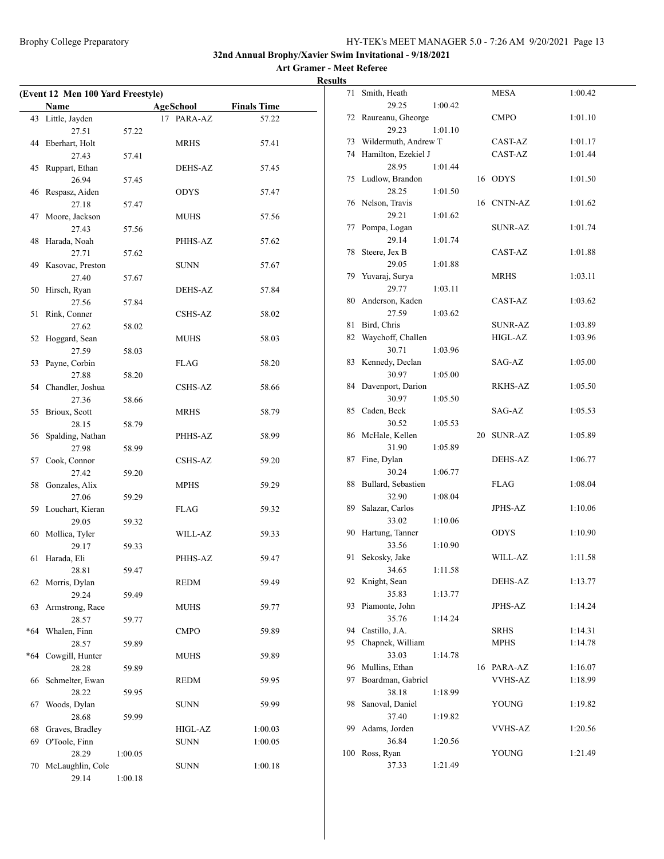**Art Gramer - Meet Referee Results**

| (Event 12 Men 100 Yard Freestyle) |                     |         |                              |         |  |  |  |
|-----------------------------------|---------------------|---------|------------------------------|---------|--|--|--|
|                                   | Name                |         | <b>AgeSchool</b> Finals Time |         |  |  |  |
|                                   | 43 Little, Jayden   |         | 17 PARA-AZ                   | 57.22   |  |  |  |
|                                   | 27.51               | 57.22   |                              |         |  |  |  |
|                                   | 44 Eberhart, Holt   |         | MRHS                         | 57.41   |  |  |  |
|                                   | 27.43               | 57.41   |                              |         |  |  |  |
| 45                                | Ruppart, Ethan      |         | DEHS-AZ                      | 57.45   |  |  |  |
|                                   | 26.94               | 57.45   |                              |         |  |  |  |
|                                   | 46 Respasz, Aiden   |         | <b>ODYS</b>                  | 57.47   |  |  |  |
|                                   | 27.18               | 57.47   |                              |         |  |  |  |
| 47                                | Moore, Jackson      |         | MUHS                         | 57.56   |  |  |  |
|                                   | 27.43               | 57.56   |                              |         |  |  |  |
| 48                                | Harada, Noah        |         | PHHS-AZ                      | 57.62   |  |  |  |
|                                   | 27.71               | 57.62   |                              |         |  |  |  |
|                                   | 49 Kasovac, Preston |         | SUNN                         | 57.67   |  |  |  |
|                                   | 27.40               | 57.67   |                              |         |  |  |  |
| 50                                | Hirsch, Ryan        |         | DEHS-AZ                      | 57.84   |  |  |  |
|                                   | 27.56               | 57.84   |                              |         |  |  |  |
| 51                                | Rink, Conner        |         | CSHS-AZ                      | 58.02   |  |  |  |
|                                   | 27.62               | 58.02   |                              |         |  |  |  |
| 52                                | Hoggard, Sean       |         | MUHS                         | 58.03   |  |  |  |
|                                   | 27.59               | 58.03   |                              |         |  |  |  |
| 53                                | Payne, Corbin       |         | FLAG                         | 58.20   |  |  |  |
|                                   | 27.88               | 58.20   |                              |         |  |  |  |
|                                   | 54 Chandler, Joshua |         | CSHS-AZ                      | 58.66   |  |  |  |
|                                   | 27.36               | 58.66   |                              |         |  |  |  |
|                                   | 55 Brioux, Scott    |         | <b>MRHS</b>                  | 58.79   |  |  |  |
|                                   | 28.15               | 58.79   |                              |         |  |  |  |
|                                   | 56 Spalding, Nathan |         | PHHS-AZ                      | 58.99   |  |  |  |
|                                   | 27.98               | 58.99   |                              |         |  |  |  |
|                                   | 57 Cook, Connor     |         | CSHS-AZ                      | 59.20   |  |  |  |
|                                   | 27.42               | 59.20   |                              |         |  |  |  |
| 58                                | Gonzales, Alix      |         | MPHS                         | 59.29   |  |  |  |
|                                   | 27.06               | 59.29   |                              |         |  |  |  |
|                                   | 59 Louchart, Kieran |         | FLAG                         | 59.32   |  |  |  |
|                                   | 29.05               | 59.32   |                              |         |  |  |  |
|                                   | 60 Mollica, Tyler   |         | WILL-AZ                      | 59.33   |  |  |  |
|                                   | 29.17               | 59.33   |                              |         |  |  |  |
| 61                                | Harada, Eli         |         | PHHS-AZ                      | 59.47   |  |  |  |
|                                   | 28.81               | 59.47   |                              |         |  |  |  |
|                                   | 62 Morris, Dylan    |         | <b>REDM</b>                  | 59.49   |  |  |  |
|                                   | 29.24               | 59.49   |                              |         |  |  |  |
| 63                                | Armstrong, Race     |         | <b>MUHS</b>                  | 59.77   |  |  |  |
|                                   | 28.57               | 59.77   |                              |         |  |  |  |
| $*64$                             | Whalen, Finn        |         | CMPO                         | 59.89   |  |  |  |
|                                   | 28.57               | 59.89   |                              |         |  |  |  |
| $*64$                             | Cowgill, Hunter     |         | <b>MUHS</b>                  | 59.89   |  |  |  |
|                                   | 28.28               | 59.89   |                              |         |  |  |  |
| 66                                | Schmelter, Ewan     |         | <b>REDM</b>                  | 59.95   |  |  |  |
|                                   | 28.22               | 59.95   |                              |         |  |  |  |
| 67                                | Woods, Dylan        |         | <b>SUNN</b>                  | 59.99   |  |  |  |
|                                   | 28.68               | 59.99   |                              |         |  |  |  |
| 68                                | Graves, Bradley     |         | HIGL-AZ                      | 1:00.03 |  |  |  |
| 69                                | O'Toole, Finn       |         | <b>SUNN</b>                  | 1:00.05 |  |  |  |
|                                   | 28.29               | 1:00.05 |                              |         |  |  |  |
| 70                                | McLaughlin, Cole    |         | <b>SUNN</b>                  | 1:00.18 |  |  |  |
|                                   | 29.14               | 1:00.18 |                              |         |  |  |  |
|                                   |                     |         |                              |         |  |  |  |

| 71  | Smith, Heath             |         |    | <b>MESA</b>    | 1:00.42 |
|-----|--------------------------|---------|----|----------------|---------|
|     | 29.25                    | 1:00.42 |    |                |         |
| 72  | Raureanu, Gheorge        |         |    | CMPO           | 1:01.10 |
|     | 29.23                    | 1:01.10 |    |                |         |
| 73  | Wildermuth, Andrew T     |         |    | CAST-AZ        | 1:01.17 |
| 74  | Hamilton, Ezekiel J      |         |    | CAST-AZ        | 1:01.44 |
|     | 28.95                    | 1:01.44 |    |                |         |
| 75  | Ludlow, Brandon          |         |    | 16 ODYS        | 1:01.50 |
|     | 28.25                    | 1:01.50 |    |                |         |
|     | 76 Nelson, Travis        |         |    | 16 CNTN-AZ     | 1:01.62 |
|     | 29.21                    | 1:01.62 |    |                |         |
| 77  | Pompa, Logan             |         |    | <b>SUNR-AZ</b> | 1:01.74 |
|     | 29.14                    | 1:01.74 |    |                |         |
| 78  | Steere, Jex B            |         |    | CAST-AZ        | 1:01.88 |
|     | 29.05                    | 1:01.88 |    |                |         |
| 79  | Yuvaraj, Surya           |         |    | <b>MRHS</b>    | 1:03.11 |
|     | 29.77                    | 1:03.11 |    |                |         |
| 80  | Anderson, Kaden          |         |    | CAST-AZ        | 1:03.62 |
|     | 27.59                    | 1:03.62 |    |                |         |
| 81  | Bird, Chris              |         |    | <b>SUNR-AZ</b> | 1:03.89 |
| 82  | Waychoff, Challen        |         |    | HIGL-AZ        | 1:03.96 |
|     | 30.71                    | 1:03.96 |    |                |         |
| 83  | Kennedy, Declan          |         |    | SAG-AZ         | 1:05.00 |
|     | 30.97                    | 1:05.00 |    |                |         |
| 84  | Davenport, Darion        |         |    | RKHS-AZ        | 1:05.50 |
|     | 30.97                    | 1:05.50 |    |                |         |
| 85  | Caden, Beck              |         |    | SAG-AZ         | 1:05.53 |
|     | 30.52                    |         |    |                |         |
| 86  | McHale, Kellen           | 1:05.53 | 20 | <b>SUNR-AZ</b> | 1:05.89 |
|     | 31.90                    |         |    |                |         |
| 87  | Fine, Dylan              | 1:05.89 |    | DEHS-AZ        | 1:06.77 |
|     | 30.24                    |         |    |                |         |
| 88  | Bullard, Sebastien       | 1:06.77 |    | FLAG           | 1:08.04 |
|     |                          |         |    |                |         |
|     | 32.90                    | 1:08.04 |    |                |         |
| 89  | Salazar, Carlos<br>33.02 |         |    | JPHS-AZ        | 1:10.06 |
|     |                          | 1:10.06 |    |                |         |
| 90  | Hartung, Tanner          |         |    | ODYS           | 1:10.90 |
|     | 33.56                    | 1:10.90 |    |                |         |
| 91  | Sekosky, Jake            |         |    | WILL-AZ        | 1:11.58 |
|     | 34.65                    | 1:11.58 |    |                |         |
| 92  | Knight, Sean             |         |    | DEHS-AZ        | 1:13.77 |
|     | 35.83                    | 1:13.77 |    |                |         |
| 93  | Piamonte, John           |         |    | JPHS-AZ        | 1:14.24 |
|     | 35.76                    | 1:14.24 |    |                |         |
| 94  | Castillo, J.A.           |         |    | <b>SRHS</b>    | 1:14.31 |
| 95  | Chapnek, William         |         |    | <b>MPHS</b>    | 1:14.78 |
|     | 33.03                    | 1:14.78 |    |                |         |
| 96  | Mullins, Ethan           |         |    | 16 PARA-AZ     | 1:16.07 |
| 97  | Boardman, Gabriel        |         |    | <b>VVHS-AZ</b> | 1:18.99 |
|     | 38.18                    | 1:18.99 |    |                |         |
| 98  | Sanoval, Daniel          |         |    | <b>YOUNG</b>   | 1:19.82 |
|     | 37.40                    | 1:19.82 |    |                |         |
| 99  | Adams, Jorden            |         |    | <b>VVHS-AZ</b> | 1:20.56 |
|     | 36.84                    | 1:20.56 |    |                |         |
| 100 | Ross, Ryan               |         |    | <b>YOUNG</b>   | 1:21.49 |
|     | 37.33                    | 1:21.49 |    |                |         |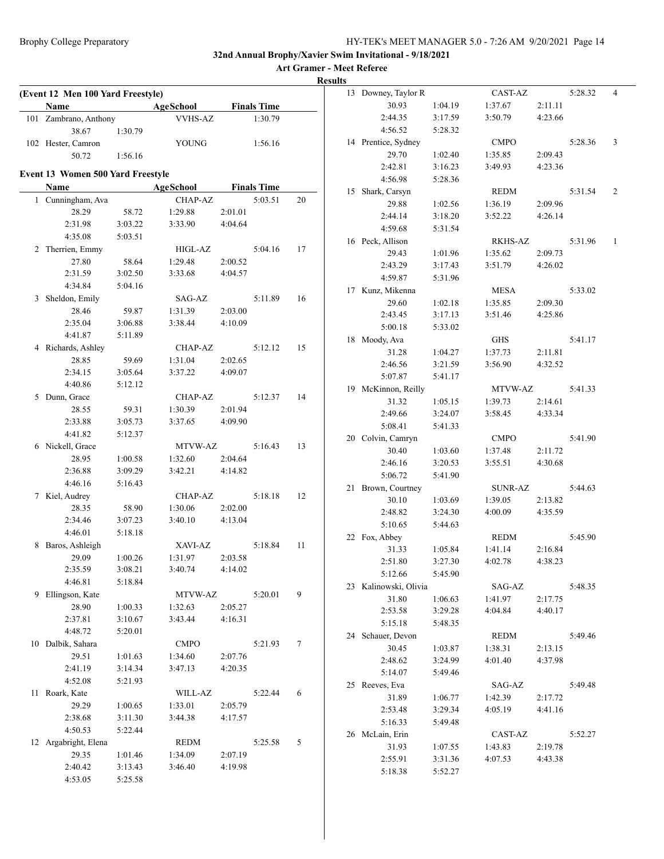| (Event 12 Men 100 Yard Freestyle)        |         |                |         |                    |    | 13 Downey, Taylor R   |         | CAST-AZ     |         | 5:28.32 | $\overline{4}$ |
|------------------------------------------|---------|----------------|---------|--------------------|----|-----------------------|---------|-------------|---------|---------|----------------|
| Name                                     |         | AgeSchool      |         | <b>Finals Time</b> |    | 30.93                 | 1:04.19 | 1:37.67     | 2:11.11 |         |                |
| 101 Zambrano, Anthony                    |         | <b>VVHS-AZ</b> |         | 1:30.79            |    | 2:44.35               | 3:17.59 | 3:50.79     | 4:23.66 |         |                |
| 38.67                                    | 1:30.79 |                |         |                    |    | 4:56.52               | 5:28.32 |             |         |         |                |
| 102 Hester, Camron                       |         | <b>YOUNG</b>   |         | 1:56.16            |    | 14 Prentice, Sydney   |         | <b>CMPO</b> |         | 5:28.36 | 3              |
| 50.72                                    | 1:56.16 |                |         |                    |    | 29.70                 | 1:02.40 | 1:35.85     | 2:09.43 |         |                |
| <b>Event 13 Women 500 Yard Freestyle</b> |         |                |         |                    |    | 2:42.81               | 3:16.23 | 3:49.93     | 4:23.36 |         |                |
| Name                                     |         | AgeSchool      |         | <b>Finals Time</b> |    | 4:56.98               | 5:28.36 |             |         |         |                |
| 1 Cunningham, Ava                        |         | CHAP-AZ        |         | 5:03.51            | 20 | 15 Shark, Carsyn      |         | <b>REDM</b> |         | 5:31.54 | 2              |
| 28.29                                    | 58.72   | 1:29.88        | 2:01.01 |                    |    | 29.88                 | 1:02.56 | 1:36.19     | 2:09.96 |         |                |
| 2:31.98                                  | 3:03.22 | 3:33.90        | 4:04.64 |                    |    | 2:44.14               | 3:18.20 | 3:52.22     | 4:26.14 |         |                |
| 4:35.08                                  | 5:03.51 |                |         |                    |    | 4:59.68               | 5:31.54 |             |         |         |                |
| 2 Therrien, Emmy                         |         | HIGL-AZ        |         | 5:04.16            | 17 | 16 Peck, Allison      |         | RKHS-AZ     |         | 5:31.96 | -1             |
| 27.80                                    | 58.64   | 1:29.48        | 2:00.52 |                    |    | 29.43                 | 1:01.96 | 1:35.62     | 2:09.73 |         |                |
| 2:31.59                                  | 3:02.50 | 3:33.68        | 4:04.57 |                    |    | 2:43.29               | 3:17.43 | 3:51.79     | 4:26.02 |         |                |
| 4:34.84                                  | 5:04.16 |                |         |                    |    | 4:59.87               | 5:31.96 |             |         |         |                |
| 3 Sheldon, Emily                         |         | SAG-AZ         |         | 5:11.89            | 16 | 17 Kunz, Mikenna      |         | <b>MESA</b> |         | 5:33.02 |                |
| 28.46                                    | 59.87   | 1:31.39        | 2:03.00 |                    |    | 29.60                 | 1:02.18 | 1:35.85     | 2:09.30 |         |                |
| 2:35.04                                  | 3:06.88 | 3:38.44        | 4:10.09 |                    |    | 2:43.45               | 3:17.13 | 3:51.46     | 4:25.86 |         |                |
| 4:41.87                                  | 5:11.89 |                |         |                    |    | 5:00.18               | 5:33.02 |             |         |         |                |
| 4 Richards, Ashley                       |         | CHAP-AZ        |         | 5:12.12            | 15 | 18 Moody, Ava         |         | <b>GHS</b>  |         | 5:41.17 |                |
| 28.85                                    | 59.69   | 1:31.04        | 2:02.65 |                    |    | 31.28                 | 1:04.27 | 1:37.73     | 2:11.81 |         |                |
| 2:34.15                                  | 3:05.64 | 3:37.22        | 4:09.07 |                    |    | 2:46.56               | 3:21.59 | 3:56.90     | 4:32.52 |         |                |
| 4:40.86                                  | 5:12.12 |                |         |                    |    | 5:07.87               | 5:41.17 |             |         |         |                |
| 5 Dunn, Grace                            |         | CHAP-AZ        |         | 5:12.37            | 14 | 19 McKinnon, Reilly   |         | MTVW-AZ     |         | 5:41.33 |                |
| 28.55                                    | 59.31   | 1:30.39        | 2:01.94 |                    |    | 31.32                 | 1:05.15 | 1:39.73     | 2:14.61 |         |                |
| 2:33.88                                  | 3:05.73 | 3:37.65        | 4:09.90 |                    |    | 2:49.66               | 3:24.07 | 3:58.45     | 4:33.34 |         |                |
| 4:41.82                                  | 5:12.37 |                |         |                    |    | 5:08.41               | 5:41.33 |             |         |         |                |
| 6 Nickell, Grace                         |         | MTVW-AZ        |         | 5:16.43            | 13 | 20 Colvin, Camryn     |         | <b>CMPO</b> |         | 5:41.90 |                |
| 28.95                                    | 1:00.58 | 1:32.60        | 2:04.64 |                    |    | 30.40                 | 1:03.60 | 1:37.48     | 2:11.72 |         |                |
| 2:36.88                                  | 3:09.29 | 3:42.21        | 4:14.82 |                    |    | 2:46.16               | 3:20.53 | 3:55.51     | 4:30.68 |         |                |
| 4:46.16                                  | 5:16.43 |                |         |                    |    | 5:06.72               | 5:41.90 |             |         |         |                |
| 7 Kiel, Audrey                           |         | CHAP-AZ        |         | 5:18.18            | 12 | 21 Brown, Courtney    |         | SUNR-AZ     |         | 5:44.63 |                |
| 28.35                                    | 58.90   | 1:30.06        | 2:02.00 |                    |    | 30.10                 | 1:03.69 | 1:39.05     | 2:13.82 |         |                |
| 2:34.46                                  | 3:07.23 | 3:40.10        | 4:13.04 |                    |    | 2:48.82               | 3:24.30 | 4:00.09     | 4:35.59 |         |                |
| 4:46.01                                  | 5:18.18 |                |         |                    |    | 5:10.65               | 5:44.63 |             |         |         |                |
| 8 Baros, Ashleigh                        |         | XAVI-AZ        |         | 5:18.84            | 11 | 22 Fox, Abbey         |         | REDM        |         | 5:45.90 |                |
| 29.09                                    | 1:00.26 | 1:31.97        | 2:03.58 |                    |    | 31.33                 | 1:05.84 | 1:41.14     | 2:16.84 |         |                |
| 2:35.59                                  | 3:08.21 | 3:40.74        | 4:14.02 |                    |    | 2:51.80               | 3:27.30 | 4:02.78     | 4:38.23 |         |                |
| 4:46.81                                  | 5:18.84 |                |         |                    |    | 5:12.66               | 5:45.90 |             |         |         |                |
| 9 Ellingson, Kate                        |         | MTVW-AZ        |         | 5:20.01            | 9  | 23 Kalinowski, Olivia |         | SAG-AZ      |         | 5:48.35 |                |
| 28.90                                    | 1:00.33 | 1:32.63        | 2:05.27 |                    |    | 31.80                 | 1:06.63 | 1:41.97     | 2:17.75 |         |                |
| 2:37.81                                  | 3:10.67 | 3:43.44        | 4:16.31 |                    |    | 2:53.58               | 3:29.28 | 4:04.84     | 4:40.17 |         |                |
| 4:48.72                                  | 5:20.01 |                |         |                    |    | 5:15.18               | 5:48.35 |             |         |         |                |
| 10 Dalbik, Sahara                        |         | <b>CMPO</b>    |         | 5:21.93            | 7  | 24 Schauer, Devon     |         | <b>REDM</b> |         | 5:49.46 |                |
| 29.51                                    | 1:01.63 | 1:34.60        | 2:07.76 |                    |    | 30.45                 | 1:03.87 | 1:38.31     | 2:13.15 |         |                |
| 2:41.19                                  | 3:14.34 | 3:47.13        | 4:20.35 |                    |    | 2:48.62               | 3:24.99 | 4:01.40     | 4:37.98 |         |                |
| 4:52.08                                  | 5:21.93 |                |         |                    |    | 5:14.07               | 5:49.46 |             |         |         |                |
| 11 Roark, Kate                           |         | WILL-AZ        |         | 5:22.44            | 6  | 25 Reeves, Eva        |         | SAG-AZ      |         | 5:49.48 |                |
| 29.29                                    | 1:00.65 | 1:33.01        | 2:05.79 |                    |    | 31.89                 | 1:06.77 | 1:42.39     | 2:17.72 |         |                |
| 2:38.68                                  | 3:11.30 | 3:44.38        | 4:17.57 |                    |    | 2:53.48               | 3:29.34 | 4:05.19     | 4:41.16 |         |                |
| 4:50.53                                  | 5:22.44 |                |         |                    |    | 5:16.33               | 5:49.48 |             |         |         |                |
| 12 Argabright, Elena                     |         | <b>REDM</b>    |         | 5:25.58            | 5  | 26 McLain, Erin       |         | CAST-AZ     |         | 5:52.27 |                |
| 29.35                                    | 1:01.46 | 1:34.09        | 2:07.19 |                    |    | 31.93                 | 1:07.55 | 1:43.83     | 2:19.78 |         |                |
| 2:40.42                                  | 3:13.43 | 3:46.40        | 4:19.98 |                    |    | 2:55.91               | 3:31.36 | 4:07.53     | 4:43.38 |         |                |
| 4:53.05                                  | 5:25.58 |                |         |                    |    | 5:18.38               | 5:52.27 |             |         |         |                |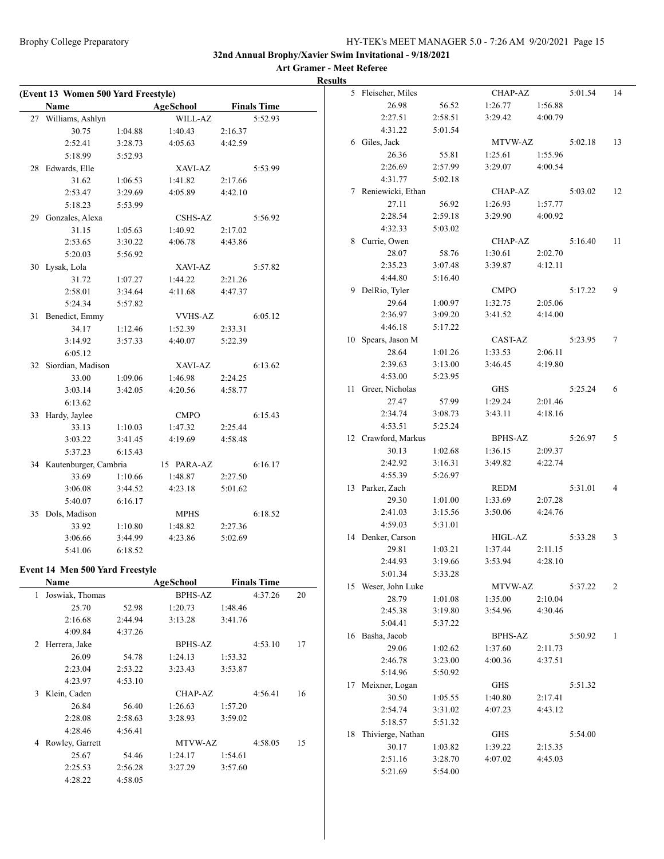| (Event 13 Women 500 Yard Freestyle)    |         |                |         |                    |    | 5 Fleischer, Miles   |         | CHAP-AZ        |         | 5:01.54 | 14             |
|----------------------------------------|---------|----------------|---------|--------------------|----|----------------------|---------|----------------|---------|---------|----------------|
| Name                                   |         | AgeSchool      |         | <b>Finals Time</b> |    | 26.98                | 56.52   | 1:26.77        | 1:56.88 |         |                |
| 27 Williams, Ashlyn                    |         | WILL-AZ        |         | 5:52.93            |    | 2:27.51              | 2:58.51 | 3:29.42        | 4:00.79 |         |                |
| 30.75                                  | 1:04.88 | 1:40.43        | 2:16.37 |                    |    | 4:31.22              | 5:01.54 |                |         |         |                |
| 2:52.41                                | 3:28.73 | 4:05.63        | 4:42.59 |                    |    | 6 Giles, Jack        |         | MTVW-AZ        |         | 5:02.18 | 13             |
| 5:18.99                                | 5:52.93 |                |         |                    |    | 26.36                | 55.81   | 1:25.61        | 1:55.96 |         |                |
| 28 Edwards, Elle                       |         | XAVI-AZ        |         | 5:53.99            |    | 2:26.69              | 2:57.99 | 3:29.07        | 4:00.54 |         |                |
| 31.62                                  | 1:06.53 | 1:41.82        | 2:17.66 |                    |    | 4:31.77              | 5:02.18 |                |         |         |                |
| 2:53.47                                | 3:29.69 | 4:05.89        | 4:42.10 |                    |    | 7 Reniewicki, Ethan  |         | CHAP-AZ        |         | 5:03.02 | 12             |
| 5:18.23                                | 5:53.99 |                |         |                    |    | 27.11                | 56.92   | 1:26.93        | 1:57.77 |         |                |
| 29 Gonzales, Alexa                     |         | CSHS-AZ        |         | 5:56.92            |    | 2:28.54              | 2:59.18 | 3:29.90        | 4:00.92 |         |                |
| 31.15                                  | 1:05.63 | 1:40.92        | 2:17.02 |                    |    | 4:32.33              | 5:03.02 |                |         |         |                |
| 2:53.65                                | 3:30.22 | 4:06.78        | 4:43.86 |                    |    | 8 Currie, Owen       |         | CHAP-AZ        |         | 5:16.40 | 11             |
| 5:20.03                                | 5:56.92 |                |         |                    |    | 28.07                | 58.76   | 1:30.61        | 2:02.70 |         |                |
| 30 Lysak, Lola                         |         | XAVI-AZ        |         | 5:57.82            |    | 2:35.23              | 3:07.48 | 3:39.87        | 4:12.11 |         |                |
| 31.72                                  |         | 1:44.22        | 2:21.26 |                    |    | 4:44.80              | 5:16.40 |                |         |         |                |
|                                        | 1:07.27 |                |         |                    |    | 9 DelRio, Tyler      |         | <b>CMPO</b>    |         | 5:17.22 | 9              |
| 2:58.01                                | 3:34.64 | 4:11.68        | 4:47.37 |                    |    | 29.64                | 1:00.97 | 1:32.75        | 2:05.06 |         |                |
| 5:24.34                                | 5:57.82 |                |         |                    |    | 2:36.97              | 3:09.20 | 3:41.52        | 4:14.00 |         |                |
| 31 Benedict, Emmy                      |         | <b>VVHS-AZ</b> |         | 6:05.12            |    | 4:46.18              |         |                |         |         |                |
| 34.17                                  | 1:12.46 | 1:52.39        | 2:33.31 |                    |    |                      | 5:17.22 | CAST-AZ        |         |         |                |
| 3:14.92                                | 3:57.33 | 4:40.07        | 5:22.39 |                    |    | 10 Spears, Jason M   |         |                |         | 5:23.95 | 7              |
| 6:05.12                                |         |                |         |                    |    | 28.64                | 1:01.26 | 1:33.53        | 2:06.11 |         |                |
| 32 Siordian, Madison                   |         | XAVI-AZ        |         | 6:13.62            |    | 2:39.63              | 3:13.00 | 3:46.45        | 4:19.80 |         |                |
| 33.00                                  | 1:09.06 | 1:46.98        | 2:24.25 |                    |    | 4:53.00              | 5:23.95 |                |         |         |                |
| 3:03.14                                | 3:42.05 | 4:20.56        | 4:58.77 |                    |    | 11 Greer, Nicholas   |         | GHS            |         | 5:25.24 | 6              |
| 6:13.62                                |         |                |         |                    |    | 27.47                | 57.99   | 1:29.24        | 2:01.46 |         |                |
| 33 Hardy, Jaylee                       |         | <b>CMPO</b>    |         | 6:15.43            |    | 2:34.74              | 3:08.73 | 3:43.11        | 4:18.16 |         |                |
| 33.13                                  | 1:10.03 | 1:47.32        | 2:25.44 |                    |    | 4:53.51              | 5:25.24 |                |         |         |                |
| 3:03.22                                | 3:41.45 | 4:19.69        | 4:58.48 |                    |    | 12 Crawford, Markus  |         | BPHS-AZ        |         | 5:26.97 | 5              |
| 5:37.23                                | 6:15.43 |                |         |                    |    | 30.13                | 1:02.68 | 1:36.15        | 2:09.37 |         |                |
| 34 Kautenburger, Cambria               |         | 15 PARA-AZ     |         | 6:16.17            |    | 2:42.92              | 3:16.31 | 3:49.82        | 4:22.74 |         |                |
| 33.69                                  | 1:10.66 | 1:48.87        | 2:27.50 |                    |    | 4:55.39              | 5:26.97 |                |         |         |                |
| 3:06.08                                | 3:44.52 | 4:23.18        | 5:01.62 |                    |    | 13 Parker, Zach      |         | <b>REDM</b>    |         | 5:31.01 | $\overline{4}$ |
| 5:40.07                                | 6:16.17 |                |         |                    |    | 29.30                | 1:01.00 | 1:33.69        | 2:07.28 |         |                |
| 35 Dols, Madison                       |         | <b>MPHS</b>    |         | 6:18.52            |    | 2:41.03              | 3:15.56 | 3:50.06        | 4:24.76 |         |                |
| 33.92                                  | 1:10.80 | 1:48.82        | 2:27.36 |                    |    | 4:59.03              | 5:31.01 |                |         |         |                |
| 3:06.66                                | 3:44.99 | 4:23.86        | 5:02.69 |                    |    | 14 Denker, Carson    |         | HIGL-AZ        |         | 5:33.28 | 3              |
| 5:41.06                                | 6:18.52 |                |         |                    |    | 29.81                | 1:03.21 | 1:37.44        | 2:11.15 |         |                |
|                                        |         |                |         |                    |    | 2:44.93              | 3:19.66 | 3:53.94        | 4:28.10 |         |                |
| <b>Event 14 Men 500 Yard Freestyle</b> |         |                |         |                    |    | 5:01.34              | 5:33.28 |                |         |         |                |
| Name                                   |         | AgeSchool      |         | <b>Finals Time</b> |    | 15 Weser, John Luke  |         | MTVW-AZ        |         | 5:37.22 | 2              |
| 1 Joswiak, Thomas                      |         | <b>BPHS-AZ</b> |         | 4:37.26            | 20 | 28.79                | 1:01.08 | 1:35.00        | 2:10.04 |         |                |
| 25.70                                  | 52.98   | 1:20.73        | 1:48.46 |                    |    | 2:45.38              | 3:19.80 | 3:54.96        | 4:30.46 |         |                |
| 2:16.68                                | 2:44.94 | 3:13.28        | 3:41.76 |                    |    | 5:04.41              | 5:37.22 |                |         |         |                |
| 4:09.84                                | 4:37.26 |                |         |                    |    | 16 Basha, Jacob      |         | <b>BPHS-AZ</b> |         | 5:50.92 | 1              |
| 2 Herrera, Jake                        |         | <b>BPHS-AZ</b> |         | 4:53.10            | 17 | 29.06                | 1:02.62 | 1:37.60        | 2:11.73 |         |                |
| 26.09                                  | 54.78   | 1:24.13        | 1:53.32 |                    |    | 2:46.78              | 3:23.00 | 4:00.36        | 4:37.51 |         |                |
| 2:23.04                                | 2:53.22 | 3:23.43        | 3:53.87 |                    |    | 5:14.96              | 5:50.92 |                |         |         |                |
| 4:23.97                                | 4:53.10 |                |         |                    |    | 17 Meixner, Logan    |         | <b>GHS</b>     |         | 5:51.32 |                |
| 3 Klein, Caden                         |         | CHAP-AZ        |         | 4:56.41            | 16 | 30.50                | 1:05.55 | 1:40.80        | 2:17.41 |         |                |
| 26.84                                  | 56.40   | 1:26.63        | 1:57.20 |                    |    | 2:54.74              | 3:31.02 | 4:07.23        | 4:43.12 |         |                |
| 2:28.08                                | 2:58.63 | 3:28.93        | 3:59.02 |                    |    | 5:18.57              | 5:51.32 |                |         |         |                |
| 4:28.46                                | 4:56.41 |                |         |                    |    | 18 Thivierge, Nathan |         | <b>GHS</b>     |         | 5:54.00 |                |
| 4 Rowley, Garrett                      |         | MTVW-AZ        |         | 4:58.05            | 15 | 30.17                | 1:03.82 | 1:39.22        | 2:15.35 |         |                |
| 25.67                                  | 54.46   | 1:24.17        | 1:54.61 |                    |    | 2:51.16              | 3:28.70 | 4:07.02        | 4:45.03 |         |                |
| 2:25.53                                | 2:56.28 | 3:27.29        | 3:57.60 |                    |    | 5:21.69              | 5:54.00 |                |         |         |                |
| 4:28.22                                | 4:58.05 |                |         |                    |    |                      |         |                |         |         |                |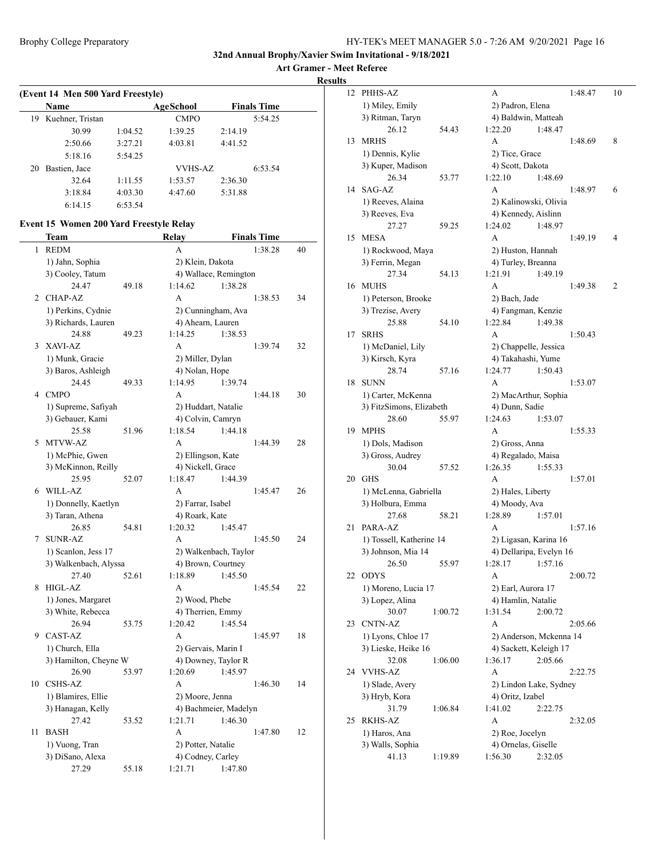**Art Gramer - Meet Referee**

**Results**

| (Event 14 Men 500 Yard Freestyle) |                  |         |                |         |                    |  |  |  |  |  |
|-----------------------------------|------------------|---------|----------------|---------|--------------------|--|--|--|--|--|
|                                   | Name             |         | AgeSchool      |         | <b>Finals Time</b> |  |  |  |  |  |
| 19                                | Kuehner, Tristan |         | <b>CMPO</b>    |         | 5:54.25            |  |  |  |  |  |
|                                   | 30.99            | 1:04.52 | 1:39.25        | 2:14.19 |                    |  |  |  |  |  |
|                                   | 2:50.66          | 3:27.21 | 4:03.81        | 4:41.52 |                    |  |  |  |  |  |
|                                   | 5:18.16          | 5:54.25 |                |         |                    |  |  |  |  |  |
| 20                                | Bastien, Jace    |         | <b>VVHS-AZ</b> |         | 6:53.54            |  |  |  |  |  |
|                                   | 32.64            | 1:11.55 | 1:53.57        | 2:36.30 |                    |  |  |  |  |  |
|                                   | 3:18.84          | 4:03.30 | 4:47.60        | 5:31.88 |                    |  |  |  |  |  |
|                                   | 6:14.15          | 6:53.54 |                |         |                    |  |  |  |  |  |

#### **Event 15 Women 200 Yard Freestyle Relay**

|                | Team                                     |       | Relay              |                              | <b>Finals Time</b> |    |
|----------------|------------------------------------------|-------|--------------------|------------------------------|--------------------|----|
| 1              | <b>REDM</b>                              |       | A                  |                              | 1:38.28            | 40 |
|                | 1) Jahn, Sophia                          |       | 2) Klein, Dakota   |                              |                    |    |
|                | 3) Cooley, Tatum                         |       |                    | 4) Wallace, Remington        |                    |    |
|                | 24.47                                    | 49.18 | 1:14.62            | 1:38.28                      |                    |    |
| $\overline{2}$ | <b>CHAP-AZ</b>                           |       | A                  |                              | 1:38.53            | 34 |
|                | 1) Perkins, Cydnie                       |       |                    | 2) Cunningham, Ava           |                    |    |
|                | 3) Richards, Lauren                      |       | 4) Ahearn, Lauren  |                              |                    |    |
|                | 24.88                                    | 49.23 | 1:14.25            | 1:38.53                      |                    |    |
| 3              | XAVI-AZ                                  |       | A                  |                              | 1:39.74            | 32 |
|                | 1) Munk, Gracie                          |       | 2) Miller, Dylan   |                              |                    |    |
|                | 3) Baros, Ashleigh                       |       | 4) Nolan, Hope     |                              |                    |    |
|                | 24.45                                    | 49.33 | 1:14.95            | 1:39.74                      |                    |    |
| 4              | <b>CMPO</b>                              |       | A                  |                              | 1:44.18            | 30 |
|                | 1) Supreme, Safiyah                      |       |                    | 2) Huddart, Natalie          |                    |    |
|                | 3) Gebauer, Kami                         |       |                    | 4) Colvin, Camryn            |                    |    |
|                | 25.58                                    | 51.96 | 1:18.54            | 1:44.18                      |                    |    |
| 5              | <b>MTVW-AZ</b>                           |       | A                  |                              | 1:44.39            | 28 |
|                | 1) McPhie, Gwen                          |       | 2) Ellingson, Kate |                              |                    |    |
|                | 3) McKinnon, Reilly                      |       | 4) Nickell, Grace  |                              |                    |    |
|                | 25.95                                    | 52.07 | 1:18.47            | 1:44.39                      |                    |    |
| 6              | WILL-AZ                                  |       | A                  |                              | 1:45.47            | 26 |
|                | 1) Donnelly, Kaetlyn                     |       | 2) Farrar, Isabel  |                              |                    |    |
|                | 3) Taran, Athena                         |       | 4) Roark, Kate     |                              |                    |    |
|                | 26.85                                    | 54.81 | 1:20.32            | 1:45.47                      |                    |    |
| 7              | <b>SUNR-AZ</b>                           |       | A                  |                              | 1:45.50            | 24 |
|                | 1) Scanlon, Jess 17                      |       |                    | 2) Walkenbach, Taylor        |                    |    |
|                | 3) Walkenbach, Alyssa                    |       |                    | 4) Brown, Courtney           |                    |    |
|                | 27.40                                    | 52.61 | 1:18.89            | 1:45.50                      |                    |    |
| 8              | HIGL-AZ                                  |       | A                  |                              | 1:45.54            | 22 |
|                | 1) Jones, Margaret                       |       | 2) Wood, Phebe     |                              |                    |    |
|                | 3) White, Rebecca<br>26.94               | 53.75 | 1:20.42            | 4) Therrien, Emmy<br>1:45.54 |                    |    |
| 9              | CAST-AZ                                  |       | A                  |                              | 1:45.97            | 18 |
|                |                                          |       |                    | 2) Gervais, Marin I          |                    |    |
|                | 1) Church, Ella<br>3) Hamilton, Cheyne W |       |                    | 4) Downey, Taylor R          |                    |    |
|                | 26.90                                    | 53.97 | 1:20.69            | 1:45.97                      |                    |    |
| 10             | <b>CSHS-AZ</b>                           |       | A                  |                              | 1:46.30            | 14 |
|                | 1) Blamires, Ellie                       |       | 2) Moore, Jenna    |                              |                    |    |
|                | 3) Hanagan, Kelly                        |       |                    | 4) Bachmeier, Madelyn        |                    |    |
|                | 27.42                                    | 53.52 | 1:21.71            | 1:46.30                      |                    |    |
| 11             | <b>BASH</b>                              |       | A                  |                              | 1:47.80            | 12 |
|                | 1) Vuong, Tran                           |       | 2) Potter, Natalie |                              |                    |    |
|                | 3) DiSano, Alexa                         |       | 4) Codney, Carley  |                              |                    |    |
|                | 27.29                                    | 55.18 | 1:21.71            | 1:47.80                      |                    |    |

| S  |                          |         |                                                |         |         |    |
|----|--------------------------|---------|------------------------------------------------|---------|---------|----|
| 12 | PHHS-AZ                  |         | А                                              |         | 1:48.47 | 10 |
|    | 1) Miley, Emily          |         | 2) Padron, Elena                               |         |         |    |
|    | 3) Ritman, Taryn         |         | 4) Baldwin, Matteah                            |         |         |    |
|    | 26.12                    | 54.43   | 1:22.20                                        | 1:48.47 |         |    |
| 13 | <b>MRHS</b>              |         | A                                              |         | 1:48.69 | 8  |
|    | 1) Dennis, Kylie         |         | 2) Tice, Grace                                 |         |         |    |
|    | 3) Kuper, Madison        |         | 4) Scott, Dakota                               |         |         |    |
|    | 26.34                    | 53.77   | 1:22.10                                        | 1:48.69 |         |    |
| 14 | SAG-AZ                   |         | A                                              |         | 1:48.97 | 6  |
|    | 1) Reeves, Alaina        |         | 2) Kalinowski, Olivia                          |         |         |    |
|    | 3) Reeves, Eva           |         | 4) Kennedy, Aislinn                            |         |         |    |
|    | 27.27                    | 59.25   | 1:24.02                                        | 1:48.97 |         |    |
| 15 | <b>MESA</b>              |         | A                                              |         | 1:49.19 | 4  |
|    | 1) Rockwood, Maya        |         | 2) Huston, Hannah                              |         |         |    |
|    | 3) Ferrin, Megan         |         | 4) Turley, Breanna                             |         |         |    |
|    | 27.34                    | 54.13   | 1:21.91                                        | 1:49.19 |         |    |
| 16 | <b>MUHS</b>              |         | A                                              |         | 1:49.38 | 2  |
|    | 1) Peterson, Brooke      |         | 2) Bach, Jade                                  |         |         |    |
|    | 3) Trezise, Avery        |         | 4) Fangman, Kenzie                             |         |         |    |
|    | 25.88                    | 54.10   | 1:22.84                                        | 1:49.38 |         |    |
| 17 | <b>SRHS</b>              |         | A                                              |         | 1:50.43 |    |
|    | 1) McDaniel, Lily        |         | 2) Chappelle, Jessica                          |         |         |    |
|    | 3) Kirsch, Kyra          |         | 4) Takahashi, Yume                             |         |         |    |
|    | 28.74                    | 57.16   | 1:24.77                                        | 1:50.43 |         |    |
| 18 | <b>SUNN</b>              |         | A                                              |         | 1:53.07 |    |
|    | 1) Carter, McKenna       |         | 2) MacArthur, Sophia                           |         |         |    |
|    | 3) FitzSimons, Elizabeth |         | 4) Dunn, Sadie                                 |         |         |    |
|    | 28.60                    | 55.97   | 1:24.63                                        | 1:53.07 |         |    |
| 19 | <b>MPHS</b>              |         | А                                              |         | 1:55.33 |    |
|    | 1) Dols, Madison         |         | 2) Gross, Anna                                 |         |         |    |
|    | 3) Gross, Audrey         |         | 4) Regalado, Maisa                             |         |         |    |
|    | 30.04                    | 57.52   | 1:26.35                                        | 1:55.33 |         |    |
| 20 | <b>GHS</b>               |         | A                                              |         | 1:57.01 |    |
|    | 1) McLenna, Gabriella    |         | 2) Hales, Liberty                              |         |         |    |
|    | 3) Holbura, Emma         |         | 4) Moody, Ava                                  |         |         |    |
|    | 27.68                    | 58.21   | 1:28.89                                        |         |         |    |
| 21 | PARA-AZ                  |         | A                                              | 1:57.01 | 1:57.16 |    |
|    |                          |         |                                                |         |         |    |
|    | 1) Tossell, Katherine 14 |         | 2) Ligasan, Karina 16                          |         |         |    |
|    | 3) Johnson, Mia 14       |         | 4) Dellaripa, Evelyn 16<br>$1:28.17$ $1:57.16$ |         |         |    |
|    | 26.50                    | 55.97   |                                                |         |         |    |
| 22 | <b>ODYS</b>              |         | А                                              |         | 2:00.72 |    |
|    | 1) Moreno, Lucia 17      |         | 2) Earl, Aurora 17                             |         |         |    |
|    | 3) Lopez, Alina          |         | 4) Hamlin, Natalie                             |         |         |    |
|    | 30.07                    | 1:00.72 | 1:31.54                                        | 2:00.72 |         |    |
| 23 | <b>CNTN-AZ</b>           |         | A                                              |         | 2:05.66 |    |
|    | 1) Lyons, Chloe 17       |         | 2) Anderson, Mckenna 14                        |         |         |    |
|    | 3) Lieske, Heike 16      |         | 4) Sackett, Keleigh 17                         |         |         |    |
|    | 32.08                    | 1:06.00 | 1:36.17                                        | 2:05.66 |         |    |
| 24 | <b>VVHS-AZ</b>           |         | A                                              |         | 2:22.75 |    |
|    | 1) Slade, Avery          |         | 2) Lindon Lake, Sydney                         |         |         |    |
|    | 3) Hryb, Kora            |         | 4) Oritz, Izabel                               |         |         |    |
|    | 31.79                    | 1:06.84 | 1:41.02                                        | 2:22.75 |         |    |
| 25 | RKHS-AZ                  |         | А                                              |         | 2:32.05 |    |
|    | 1) Haros, Ana            |         | 2) Roe, Jocelyn                                |         |         |    |
|    | 3) Walls, Sophia         |         | 4) Ornelas, Giselle                            |         |         |    |
|    | 41.13                    | 1:19.89 | 1:56.30                                        | 2:32.05 |         |    |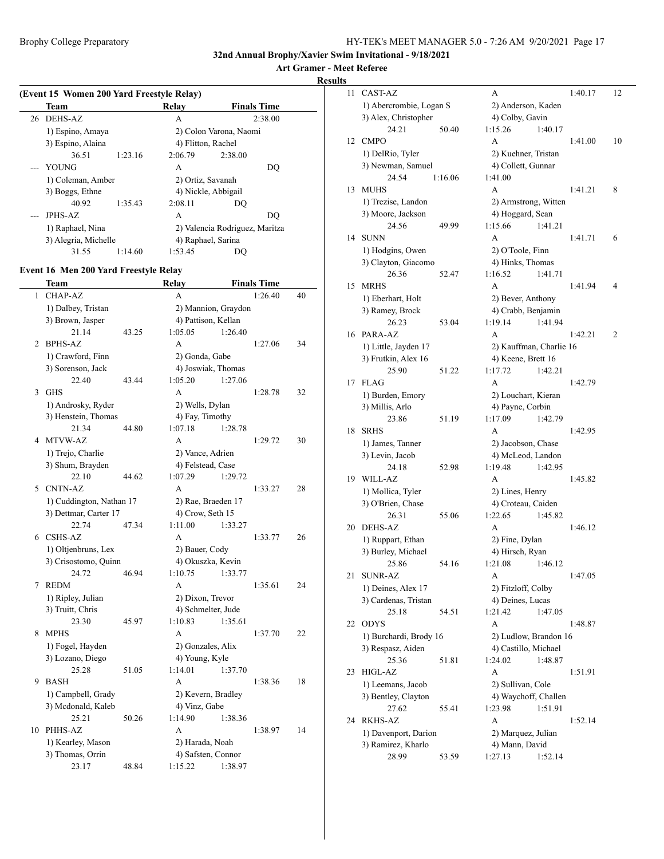## **Art Gramer - Meet Referee**

**Results**

| <b>Team</b>          |         | Relay              | <b>Finals Time</b>             |  |  |  |  |
|----------------------|---------|--------------------|--------------------------------|--|--|--|--|
| 26 DEHS-AZ           |         | A                  | 2:38.00                        |  |  |  |  |
| 1) Espino, Amaya     |         |                    | 2) Colon Varona, Naomi         |  |  |  |  |
| 3) Espino, Alaina    |         | 4) Flitton, Rachel |                                |  |  |  |  |
| 36.51                | 1:23.16 | 2:06.79            | 2:38.00                        |  |  |  |  |
| <b>YOUNG</b>         |         | A                  | DO                             |  |  |  |  |
| 1) Coleman, Amber    |         | 2) Ortiz, Savanah  |                                |  |  |  |  |
| 3) Boggs, Ethne      |         |                    | 4) Nickle, Abbigail            |  |  |  |  |
| 40.92                | 1:35.43 | 2:08.11            | DO                             |  |  |  |  |
| <b>JPHS-AZ</b>       |         | A                  | DO                             |  |  |  |  |
| 1) Raphael, Nina     |         |                    | 2) Valencia Rodriguez, Maritza |  |  |  |  |
| 3) Alegria, Michelle |         |                    | 4) Raphael, Sarina             |  |  |  |  |
| 31.55                | 1:14.60 | 1:53.45            | DO.                            |  |  |  |  |

#### **Event 16 Men 200 Yard Freestyle Relay**

 $\overline{\phantom{a}}$ 

|    | Team                                        |       | Relay        |                                     |         | <b>Finals Time</b> |    |
|----|---------------------------------------------|-------|--------------|-------------------------------------|---------|--------------------|----|
| 1  | <b>CHAP-AZ</b>                              |       | A            |                                     |         | 1:26.40            | 40 |
|    | 1) Dalbey, Tristan                          |       |              | 2) Mannion, Graydon                 |         |                    |    |
|    | 3) Brown, Jasper                            |       |              | 4) Pattison, Kellan                 |         |                    |    |
|    | 21.14                                       | 43.25 | 1:05.05      |                                     | 1:26.40 |                    |    |
| 2  | <b>BPHS-AZ</b>                              |       | A            |                                     |         | 1:27.06            | 34 |
|    | 1) Crawford, Finn                           |       |              | 2) Gonda, Gabe                      |         |                    |    |
|    | 3) Sorenson, Jack                           |       |              | 4) Joswiak, Thomas                  |         |                    |    |
|    | 22.40                                       | 43.44 | 1:05.20      |                                     | 1:27.06 |                    |    |
| 3  | <b>GHS</b>                                  |       | A            |                                     |         | 1:28.78            | 32 |
|    | 1) Androsky, Ryder                          |       |              | 2) Wells, Dylan                     |         |                    |    |
|    | 3) Henstein, Thomas                         |       |              | 4) Fay, Timothy                     |         |                    |    |
|    | 21.34                                       | 44.80 | 1:07.18      |                                     | 1:28.78 |                    |    |
| 4  | <b>MTVW-AZ</b>                              |       | A            |                                     |         | 1:29.72            | 30 |
|    | 1) Trejo, Charlie                           |       |              | 2) Vance, Adrien                    |         |                    |    |
|    | 3) Shum, Brayden                            |       |              | 4) Felstead, Case                   |         |                    |    |
|    | 22.10                                       | 44.62 | 1:07.29      |                                     | 1:29.72 |                    |    |
| 5  | <b>CNTN-AZ</b>                              |       | A            |                                     |         | 1:33.27            | 28 |
|    | 1) Cuddington, Nathan 17                    |       |              | 2) Rae, Braeden 17                  |         |                    |    |
|    | 3) Dettmar, Carter 17                       |       |              | 4) Crow, Seth 15                    |         |                    |    |
| 6  | 22.74<br><b>CSHS-AZ</b>                     | 47.34 | 1:11.00<br>A |                                     | 1:33.27 | 1:33.77            | 26 |
|    |                                             |       |              |                                     |         |                    |    |
|    | 1) Oltjenbruns, Lex<br>3) Crisostomo, Quinn |       |              | 2) Bauer, Cody<br>4) Okuszka, Kevin |         |                    |    |
|    | 24.72                                       | 46.94 | 1:10.75      |                                     | 1:33.77 |                    |    |
| 7  | <b>REDM</b>                                 |       | A            |                                     |         | 1:35.61            | 24 |
|    | 1) Ripley, Julian                           |       |              | 2) Dixon, Trevor                    |         |                    |    |
|    | 3) Truitt, Chris                            |       |              | 4) Schmelter, Jude                  |         |                    |    |
|    | 23.30                                       | 45.97 | 1:10.83      |                                     | 1:35.61 |                    |    |
| 8  | <b>MPHS</b>                                 |       | A            |                                     |         | 1:37.70            | 22 |
|    | 1) Fogel, Hayden                            |       |              | 2) Gonzales, Alix                   |         |                    |    |
|    | 3) Lozano, Diego                            |       |              | 4) Young, Kyle                      |         |                    |    |
|    | 25.28                                       | 51.05 | 1:14.01      |                                     | 1:37.70 |                    |    |
| 9  | <b>BASH</b>                                 |       | A            |                                     |         | 1:38.36            | 18 |
|    | 1) Campbell, Grady                          |       |              | 2) Kevern, Bradley                  |         |                    |    |
|    | 3) Mcdonald, Kaleb                          |       |              | 4) Vinz, Gabe                       |         |                    |    |
|    | 25.21                                       | 50.26 | 1:14.90      |                                     | 1:38.36 |                    |    |
| 10 | PHHS-AZ                                     |       | A            |                                     |         | 1:38.97            | 14 |
|    | 1) Kearley, Mason                           |       |              | 2) Harada, Noah                     |         |                    |    |
|    | 3) Thomas, Orrin                            |       |              | 4) Safsten, Connor                  |         |                    |    |
|    | 23.17                                       | 48.84 | 1:15.22      |                                     | 1:38.97 |                    |    |

| 11 | CAST-AZ                    |         | А                                             |         | 1:40.17 | 12 |
|----|----------------------------|---------|-----------------------------------------------|---------|---------|----|
|    | 1) Abercrombie, Logan S    |         | 2) Anderson, Kaden                            |         |         |    |
|    | 3) Alex, Christopher       |         | 4) Colby, Gavin                               |         |         |    |
|    | 24.21                      | 50.40   | 1:15.26                                       | 1:40.17 |         |    |
| 12 | <b>CMPO</b>                |         | A                                             |         | 1:41.00 | 10 |
|    | 1) DelRio, Tyler           |         | 2) Kuehner, Tristan                           |         |         |    |
|    | 3) Newman, Samuel          |         | 4) Collett, Gunnar                            |         |         |    |
|    | 24.54                      | 1:16.06 | 1:41.00                                       |         |         |    |
| 13 | <b>MUHS</b>                |         | A                                             |         | 1:41.21 | 8  |
|    | 1) Trezise, Landon         |         | 2) Armstrong, Witten                          |         |         |    |
|    | 3) Moore, Jackson          |         | 4) Hoggard, Sean                              |         |         |    |
|    | 24.56                      | 49.99   | 1:15.66                                       | 1:41.21 |         |    |
| 14 | <b>SUNN</b>                |         | А                                             |         | 1:41.71 | 6  |
|    | 1) Hodgins, Owen           |         | 2) O'Toole, Finn                              |         |         |    |
|    | 3) Clayton, Giacomo        |         | 4) Hinks, Thomas                              |         |         |    |
|    | 26.36                      | 52.47   | 1:16.52                                       | 1:41.71 |         |    |
| 15 | <b>MRHS</b>                |         | A                                             |         |         | 4  |
|    |                            |         |                                               |         | 1:41.94 |    |
|    | 1) Eberhart, Holt          |         | 2) Bever, Anthony                             |         |         |    |
|    | 3) Ramey, Brock            |         | 4) Crabb, Benjamin                            |         |         |    |
|    | 26.23                      | 53.04   | 1:19.14                                       | 1:41.94 |         |    |
| 16 | PARA-AZ                    |         | A                                             |         | 1:42.21 | 2  |
|    | 1) Little, Jayden 17       |         | 2) Kauffman, Charlie 16                       |         |         |    |
|    | 3) Frutkin, Alex 16        |         | 4) Keene, Brett 16                            |         |         |    |
|    | 25.90                      | 51.22   | 1:17.72                                       | 1:42.21 |         |    |
| 17 | <b>FLAG</b>                |         | А                                             |         | 1:42.79 |    |
|    | 1) Burden, Emory           |         | 2) Louchart, Kieran                           |         |         |    |
|    | 3) Millis, Arlo            |         | 4) Payne, Corbin                              |         |         |    |
|    | 23.86                      | 51.19   | 1:17.09                                       | 1:42.79 |         |    |
| 18 | <b>SRHS</b>                |         | A                                             |         | 1:42.95 |    |
|    | 1) James, Tanner           |         | 2) Jacobson, Chase                            |         |         |    |
|    | 3) Levin, Jacob            |         | 4) McLeod, Landon                             |         |         |    |
|    | 24.18                      | 52.98   | 1:19.48                                       | 1:42.95 |         |    |
| 19 | WILL-AZ                    |         | А                                             |         | 1:45.82 |    |
|    | 1) Mollica, Tyler          |         | 2) Lines, Henry                               |         |         |    |
|    | 3) O'Brien, Chase          |         | 4) Croteau, Caiden                            |         |         |    |
|    | 26.31                      | 55.06   | 1:22.65                                       | 1:45.82 |         |    |
| 20 | <b>DEHS-AZ</b>             |         | A                                             |         | 1:46.12 |    |
|    | 1) Ruppart, Ethan          |         | 2) Fine, Dylan                                |         |         |    |
|    | 3) Burley, Michael         |         | 4) Hirsch, Ryan                               |         |         |    |
|    | 25.86                      | 54.16   | 1:21.08                                       | 1:46.12 |         |    |
| 21 | <b>SUNR-AZ</b>             |         | А                                             |         | 1:47.05 |    |
|    | 1) Deines, Alex 17         |         | 2) Fitzloff, Colby                            |         |         |    |
|    | 3) Cardenas, Tristan       |         | 4) Deines, Lucas                              |         |         |    |
|    | 25.18                      | 54.51   | 1:21.42                                       | 1:47.05 |         |    |
| 22 | <b>ODYS</b>                |         | A                                             |         | 1:48.87 |    |
|    |                            |         |                                               |         |         |    |
|    | 1) Burchardi, Brody 16     |         | 2) Ludlow, Brandon 16<br>4) Castillo, Michael |         |         |    |
|    | 3) Respasz, Aiden<br>25.36 |         |                                               |         |         |    |
|    |                            | 51.81   | 1:24.02                                       | 1:48.87 |         |    |
| 23 | HIGL-AZ                    |         | А                                             |         | 1:51.91 |    |
|    | 1) Leemans, Jacob          |         | 2) Sullivan, Cole                             |         |         |    |
|    | 3) Bentley, Clayton        |         | 4) Waychoff, Challen                          |         |         |    |
|    | 27.62                      | 55.41   | 1:23.98                                       | 1:51.91 |         |    |
| 24 | RKHS-AZ                    |         | A                                             |         | 1:52.14 |    |
|    | 1) Davenport, Darion       |         | 2) Marquez, Julian                            |         |         |    |
|    | 3) Ramirez, Kharlo         |         | 4) Mann, David                                |         |         |    |
|    | 28.99                      | 53.59   | 1:27.13                                       | 1:52.14 |         |    |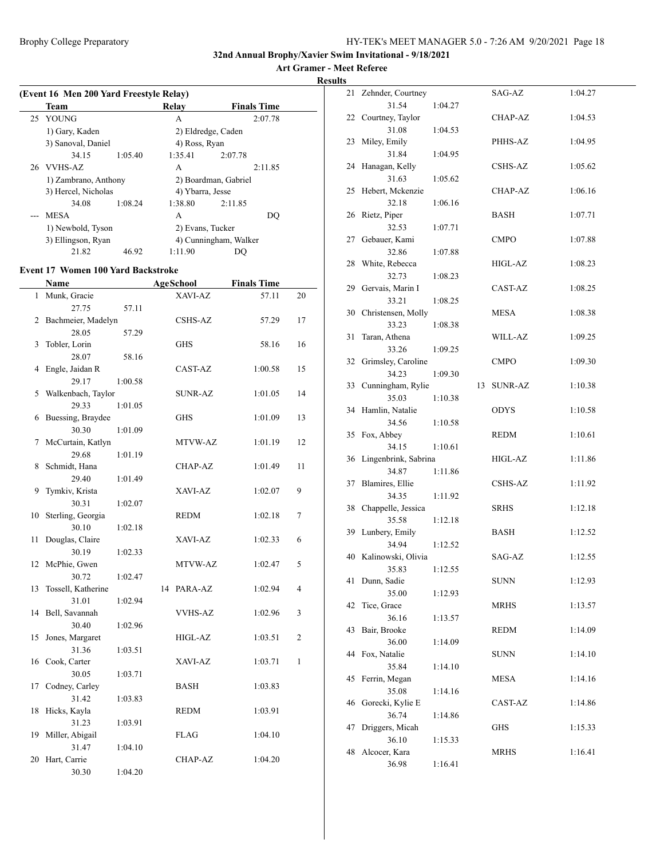#### **Art Gramer - Meet Referee Results**

| (Event 16 Men 200 Yard Freestyle Relay) |         |                  |                       |  |  |  |  |
|-----------------------------------------|---------|------------------|-----------------------|--|--|--|--|
| Team                                    |         | Relay            | <b>Finals Time</b>    |  |  |  |  |
| 25 YOUNG                                |         | A                | 2:07.78               |  |  |  |  |
| 1) Gary, Kaden                          |         |                  | 2) Eldredge, Caden    |  |  |  |  |
| 3) Sanoval, Daniel                      |         | 4) Ross, Ryan    |                       |  |  |  |  |
| 34.15                                   | 1:05.40 | 1:35.41          | 2:07.78               |  |  |  |  |
| 26 VVHS-AZ                              |         | A                | 2:11.85               |  |  |  |  |
| 1) Zambrano, Anthony                    |         |                  | 2) Boardman, Gabriel  |  |  |  |  |
| 3) Hercel, Nicholas                     |         | 4) Ybarra, Jesse |                       |  |  |  |  |
| 34.08                                   | 1:08.24 | 1:38.80          | 2:11.85               |  |  |  |  |
| MESA                                    |         | A                | DO                    |  |  |  |  |
| 1) Newbold, Tyson                       |         | 2) Evans, Tucker |                       |  |  |  |  |
| 3) Ellingson, Ryan                      |         |                  | 4) Cunningham, Walker |  |  |  |  |
| 21.82                                   | 46.92   | 1:11.90          |                       |  |  |  |  |
|                                         |         |                  |                       |  |  |  |  |

#### **Event 17 Women 100 Yard Backstroke**

|              | Name               |         |    | <b>AgeSchool</b> | <b>Finals Time</b> |              |
|--------------|--------------------|---------|----|------------------|--------------------|--------------|
| $\mathbf{1}$ | Munk, Gracie       |         |    | XAVI-AZ          | 57.11              | 20           |
|              | 27.75              | 57.11   |    |                  |                    |              |
| 2            | Bachmeier, Madelyn |         |    | CSHS-AZ          | 57.29              | 17           |
|              | 28.05              | 57.29   |    |                  |                    |              |
| 3            | Tobler, Lorin      |         |    | <b>GHS</b>       | 58.16              | 16           |
|              | 28.07              | 58.16   |    |                  |                    |              |
| 4            | Engle, Jaidan R    |         |    | CAST-AZ          | 1:00.58            | 15           |
|              | 29.17              | 1:00.58 |    |                  |                    |              |
| 5            | Walkenbach, Taylor |         |    | <b>SUNR-AZ</b>   | 1:01.05            | 14           |
|              | 29.33              | 1:01.05 |    |                  |                    |              |
| 6            | Buessing, Braydee  |         |    | <b>GHS</b>       | 1:01.09            | 13           |
|              | 30.30              | 1:01.09 |    |                  |                    |              |
| 7            | McCurtain, Katlyn  |         |    | MTVW-AZ          | 1:01.19            | 12           |
|              | 29.68              | 1:01.19 |    |                  |                    |              |
| 8            | Schmidt, Hana      |         |    | CHAP-AZ          | 1:01.49            | 11           |
|              | 29.40              | 1:01.49 |    |                  |                    |              |
| 9            | Tymkiv, Krista     |         |    | XAVI-AZ          | 1:02.07            | 9            |
|              | 30.31              | 1:02.07 |    |                  |                    |              |
| 10           | Sterling, Georgia  |         |    | REDM             | 1:02.18            | 7            |
|              | 30.10              | 1:02.18 |    |                  |                    |              |
| 11           | Douglas, Claire    |         |    | XAVI-AZ          | 1:02.33            | 6            |
|              | 30.19              | 1:02.33 |    |                  |                    |              |
| 12           | McPhie, Gwen       |         |    | MTVW-AZ          | 1:02.47            | 5            |
|              | 30.72              | 1:02.47 |    |                  |                    |              |
| 13           | Tossell, Katherine |         | 14 | PARA-AZ          | 1:02.94            | 4            |
|              | 31.01              | 1:02.94 |    |                  |                    |              |
| 14           | Bell, Savannah     |         |    | <b>VVHS-AZ</b>   | 1:02.96            | 3            |
|              | 30.40              | 1:02.96 |    |                  |                    |              |
| 15           | Jones, Margaret    |         |    | HIGL-AZ          | 1:03.51            | 2            |
|              | 31.36              | 1:03.51 |    |                  |                    |              |
|              | 16 Cook, Carter    |         |    | XAVI-AZ          | 1:03.71            | $\mathbf{1}$ |
|              | 30.05              | 1:03.71 |    |                  |                    |              |
| 17           | Codney, Carley     |         |    | <b>BASH</b>      | 1:03.83            |              |
|              | 31.42              | 1:03.83 |    |                  |                    |              |
| 18           | Hicks, Kayla       |         |    | <b>REDM</b>      | 1:03.91            |              |
|              | 31.23              | 1:03.91 |    |                  |                    |              |
| 19           | Miller, Abigail    |         |    | <b>FLAG</b>      | 1:04.10            |              |
|              | 31.47              | 1:04.10 |    |                  |                    |              |
| 20           | Hart, Carrie       |         |    | <b>CHAP-AZ</b>   | 1:04.20            |              |
|              | 30.30              | 1:04.20 |    |                  |                    |              |

| 21 Zehnder, Courtney  |                                                      | SAG-AZ                                                         | 1:04.27 |
|-----------------------|------------------------------------------------------|----------------------------------------------------------------|---------|
| 31.54                 | 1:04.27                                              |                                                                |         |
| 22 Courtney, Taylor   |                                                      | CHAP-AZ                                                        | 1:04.53 |
| 31.08                 | 1:04.53                                              |                                                                |         |
| 23 Miley, Emily       |                                                      | PHHS-AZ                                                        | 1:04.95 |
| 31.84                 | 1:04.95                                              |                                                                |         |
| 24 Hanagan, Kelly     |                                                      | CSHS-AZ                                                        | 1:05.62 |
| 31.63                 | 1:05.62                                              |                                                                |         |
| 25 Hebert, Mckenzie   |                                                      | CHAP-AZ                                                        | 1:06.16 |
| 32.18                 | 1:06.16                                              |                                                                |         |
| 26 Rietz, Piper       |                                                      | BASH                                                           | 1:07.71 |
| 32.53                 | 1:07.71                                              |                                                                |         |
| 27 Gebauer, Kami      |                                                      | <b>CMPO</b>                                                    | 1:07.88 |
| 32.86                 | 1:07.88                                              |                                                                |         |
| 28 White, Rebecca     |                                                      | HIGL-AZ                                                        | 1:08.23 |
| 32.73                 | 1:08.23                                              |                                                                |         |
| 29 Gervais, Marin I   |                                                      | CAST-AZ                                                        | 1:08.25 |
| 33.21                 | 1:08.25                                              |                                                                |         |
| 30 Christensen, Molly |                                                      | MESA                                                           | 1:08.38 |
| 33.23                 | 1:08.38                                              |                                                                |         |
| Taran, Athena         |                                                      | WILL-AZ                                                        | 1:09.25 |
| 33.26                 | 1:09.25                                              |                                                                |         |
| 32 Grimsley, Caroline |                                                      | <b>CMPO</b>                                                    | 1:09.30 |
| 34.23                 | 1:09.30                                              |                                                                |         |
| 33 Cunningham, Rylie  |                                                      | SUNR-AZ                                                        | 1:10.38 |
| 35.03                 | 1:10.38                                              |                                                                |         |
| 34 Hamlin, Natalie    |                                                      | <b>ODYS</b>                                                    | 1:10.58 |
| 34.56                 | 1:10.58                                              |                                                                |         |
| 35 Fox, Abbey         |                                                      | REDM                                                           | 1:10.61 |
| 34.15                 | 1:10.61                                              |                                                                |         |
|                       |                                                      | HIGL-AZ                                                        | 1:11.86 |
| 34.87                 | 1:11.86                                              |                                                                |         |
| Blamires, Ellie<br>37 |                                                      | CSHS-AZ                                                        | 1:11.92 |
| 34.35                 | 1:11.92                                              |                                                                |         |
| 38 Chappelle, Jessica |                                                      | SRHS                                                           | 1:12.18 |
| 35.58                 | 1:12.18                                              |                                                                |         |
| 39 Lunbery, Emily     |                                                      | BASH                                                           | 1:12.52 |
| 34.94                 | 1:12.52                                              |                                                                |         |
| 40 Kalinowski, Olivia |                                                      | SAG-AZ                                                         | 1:12.55 |
|                       |                                                      |                                                                |         |
| 41 Dunn, Sadie        |                                                      | <b>SUNN</b>                                                    | 1:12.93 |
| 35.00                 | 1:12.93                                              |                                                                |         |
| Tice, Grace           |                                                      | <b>MRHS</b>                                                    | 1:13.57 |
| 36.16                 | 1:13.57                                              |                                                                |         |
| Bair, Brooke          |                                                      | <b>REDM</b>                                                    | 1:14.09 |
| 36.00                 | 1:14.09                                              |                                                                |         |
| Fox, Natalie          |                                                      | <b>SUNN</b>                                                    | 1:14.10 |
| 35.84                 | 1:14.10                                              |                                                                |         |
| Ferrin, Megan         |                                                      | MESA                                                           | 1:14.16 |
| 35.08                 | 1:14.16                                              |                                                                |         |
|                       |                                                      | CAST-AZ                                                        | 1:14.86 |
| 36.74                 |                                                      |                                                                |         |
|                       |                                                      | GHS                                                            | 1:15.33 |
| 36.10                 |                                                      |                                                                |         |
|                       |                                                      | MRHS                                                           | 1:16.41 |
| 36.98                 | 1:16.41                                              |                                                                |         |
|                       | Gorecki, Kylie E<br>Driggers, Micah<br>Alcocer, Kara | 36 Lingenbrink, Sabrina<br>35.83 1:12.55<br>1:14.86<br>1:15.33 | 13      |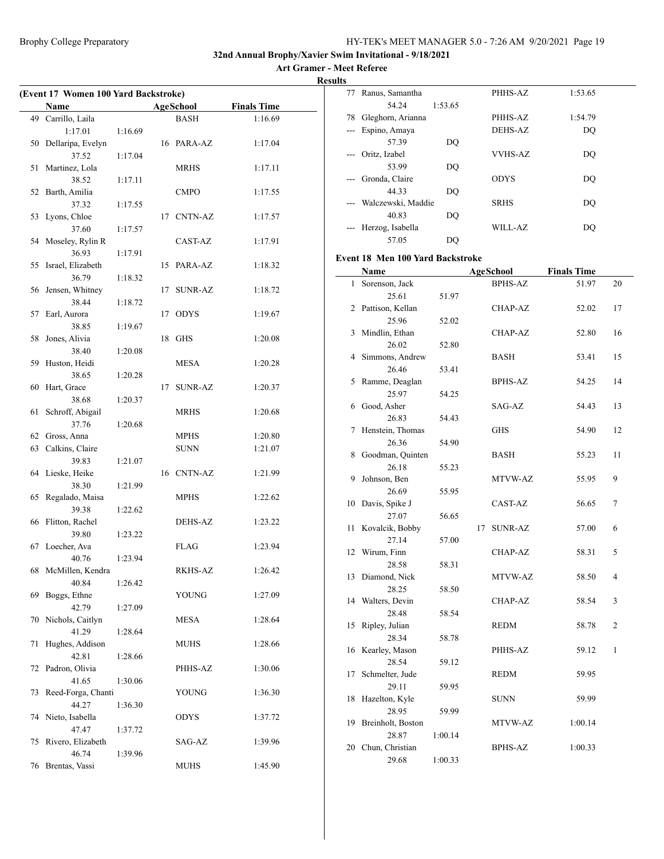**Art Gramer - Meet Referee Results**

| (Event 17 Women 100 Yard Backstroke) |                      |         |    |                |                    |  |  |  |  |
|--------------------------------------|----------------------|---------|----|----------------|--------------------|--|--|--|--|
|                                      | Name                 |         |    | AgeSchool      | <b>Finals Time</b> |  |  |  |  |
| 49                                   | Carrillo, Laila      |         |    | <b>BASH</b>    | 1:16.69            |  |  |  |  |
|                                      | 1:17.01              | 1:16.69 |    |                |                    |  |  |  |  |
| 50                                   | Dellaripa, Evelyn    |         |    | 16 PARA-AZ     | 1:17.04            |  |  |  |  |
|                                      | 37.52                | 1:17.04 |    |                |                    |  |  |  |  |
| 51                                   | Martinez, Lola       |         |    | MRHS           | 1:17.11            |  |  |  |  |
|                                      | 38.52                | 1:17.11 |    |                |                    |  |  |  |  |
| 52                                   | Barth, Amilia        |         |    | <b>CMPO</b>    | 1:17.55            |  |  |  |  |
|                                      | 37.32                | 1:17.55 |    |                |                    |  |  |  |  |
|                                      | 53 Lyons, Chloe      |         | 17 | <b>CNTN-AZ</b> | 1:17.57            |  |  |  |  |
|                                      | 37.60                | 1:17.57 |    |                |                    |  |  |  |  |
| 54                                   | Moseley, Rylin R     |         |    | CAST-AZ        | 1:17.91            |  |  |  |  |
|                                      | 36.93                | 1:17.91 |    |                |                    |  |  |  |  |
| 55                                   | Israel, Elizabeth    |         | 15 | PARA-AZ        | 1:18.32            |  |  |  |  |
|                                      | 36.79                | 1:18.32 |    |                |                    |  |  |  |  |
| 56                                   | Jensen, Whitney      |         | 17 | SUNR-AZ        | 1:18.72            |  |  |  |  |
|                                      | 38.44                | 1:18.72 |    |                |                    |  |  |  |  |
| 57                                   | Earl, Aurora         |         | 17 | <b>ODYS</b>    | 1:19.67            |  |  |  |  |
|                                      | 38.85                | 1:19.67 |    |                |                    |  |  |  |  |
| 58                                   | Jones, Alivia        |         | 18 | GHS            | 1:20.08            |  |  |  |  |
|                                      | 38.40                | 1:20.08 |    |                |                    |  |  |  |  |
| 59                                   | Huston, Heidi        |         |    | MESA           | 1:20.28            |  |  |  |  |
|                                      | 38.65                | 1:20.28 |    |                |                    |  |  |  |  |
| 60                                   | Hart, Grace<br>38.68 |         | 17 | SUNR-AZ        | 1:20.37            |  |  |  |  |
| 61                                   | Schroff, Abigail     | 1:20.37 |    | MRHS           | 1:20.68            |  |  |  |  |
|                                      | 37.76                | 1:20.68 |    |                |                    |  |  |  |  |
| 62                                   | Gross, Anna          |         |    | MPHS           | 1:20.80            |  |  |  |  |
|                                      | 63 Calkins, Claire   |         |    | <b>SUNN</b>    | 1:21.07            |  |  |  |  |
|                                      | 39.83                | 1:21.07 |    |                |                    |  |  |  |  |
|                                      | 64 Lieske, Heike     |         |    | 16 CNTN-AZ     | 1:21.99            |  |  |  |  |
|                                      | 38.30                | 1:21.99 |    |                |                    |  |  |  |  |
| 65                                   | Regalado, Maisa      |         |    | <b>MPHS</b>    | 1:22.62            |  |  |  |  |
|                                      | 39.38                | 1:22.62 |    |                |                    |  |  |  |  |
| 66                                   | Flitton, Rachel      |         |    | DEHS-AZ        | 1:23.22            |  |  |  |  |
|                                      | 39.80                | 1:23.22 |    |                |                    |  |  |  |  |
|                                      | 67 Loecher, Ava      |         |    | FLAG           | 1:23.94            |  |  |  |  |
|                                      | 40.76                | 1:23.94 |    |                |                    |  |  |  |  |
|                                      | 68 McMillen, Kendra  |         |    | RKHS-AZ        | 1:26.42            |  |  |  |  |
|                                      | 40.84                | 1:26.42 |    |                |                    |  |  |  |  |
| 69                                   | Boggs, Ethne         |         |    | YOUNG          | 1:27.09            |  |  |  |  |
|                                      | 42.79                | 1:27.09 |    |                |                    |  |  |  |  |
| 70                                   | Nichols, Caitlyn     |         |    | MESA           | 1:28.64            |  |  |  |  |
|                                      | 41.29                | 1:28.64 |    |                |                    |  |  |  |  |
| 71                                   | Hughes, Addison      |         |    | <b>MUHS</b>    | 1:28.66            |  |  |  |  |
|                                      | 42.81                | 1:28.66 |    |                |                    |  |  |  |  |
| 72                                   | Padron, Olivia       |         |    | PHHS-AZ        | 1:30.06            |  |  |  |  |
|                                      | 41.65                | 1:30.06 |    |                |                    |  |  |  |  |
| 73                                   | Reed-Forga, Chanti   |         |    | <b>YOUNG</b>   | 1:36.30            |  |  |  |  |
|                                      | 44.27                | 1:36.30 |    |                |                    |  |  |  |  |
|                                      | 74 Nieto, Isabella   |         |    | <b>ODYS</b>    | 1:37.72            |  |  |  |  |
|                                      | 47.47                | 1:37.72 |    |                |                    |  |  |  |  |
| 75                                   | Rivero, Elizabeth    |         |    | SAG-AZ         | 1:39.96            |  |  |  |  |
|                                      | 46.74                | 1:39.96 |    |                |                    |  |  |  |  |
|                                      | 76 Brentas, Vassi    |         |    | <b>MUHS</b>    | 1:45.90            |  |  |  |  |

| ıэ    |                    |         |                |         |  |
|-------|--------------------|---------|----------------|---------|--|
| 77    | Ranus, Samantha    |         | PHHS-AZ        | 1:53.65 |  |
|       | 54.24              | 1:53.65 |                |         |  |
| 78    | Gleghorn, Arianna  |         | PHHS-AZ        | 1:54.79 |  |
| $---$ | Espino, Amaya      |         | DEHS-AZ        | DO      |  |
|       | 57.39              | DO      |                |         |  |
| $---$ | Oritz, Izabel      |         | <b>VVHS-AZ</b> | DQ      |  |
|       | 53.99              | DQ      |                |         |  |
|       | Gronda, Claire     |         | <b>ODYS</b>    | DO      |  |
|       | 44.33              | DQ      |                |         |  |
|       | Walczewski, Maddie |         | <b>SRHS</b>    | DO      |  |
|       | 40.83              | DQ      |                |         |  |
|       | Herzog, Isabella   |         | WILL-AZ        | DO      |  |
|       | 57.05              | DO      |                |         |  |

#### **Event 18 Men 100 Yard Backstroke**

|    | Name               |         |    | <b>AgeSchool</b> | <b>Finals Time</b> |                |
|----|--------------------|---------|----|------------------|--------------------|----------------|
| 1  | Sorenson, Jack     |         |    | <b>BPHS-AZ</b>   | 51.97              | 20             |
|    | 25.61              | 51.97   |    |                  |                    |                |
| 2  | Pattison, Kellan   |         |    | CHAP-AZ          | 52.02              | 17             |
|    | 25.96              | 52.02   |    |                  |                    |                |
| 3  | Mindlin, Ethan     |         |    | CHAP-AZ          | 52.80              | 16             |
|    | 26.02              | 52.80   |    |                  |                    |                |
| 4  | Simmons, Andrew    |         |    | <b>BASH</b>      | 53.41              | 15             |
|    | 26.46              | 53.41   |    |                  |                    |                |
| 5  | Ramme, Deaglan     |         |    | <b>BPHS-AZ</b>   | 54.25              | 14             |
|    | 25.97              | 54.25   |    |                  |                    |                |
|    | 6 Good, Asher      |         |    | SAG-AZ           | 54.43              | 13             |
|    | 26.83              | 54.43   |    |                  |                    |                |
| 7  | Henstein, Thomas   |         |    | GHS              | 54.90              | 12             |
|    | 26.36              | 54.90   |    |                  |                    |                |
| 8  | Goodman, Quinten   |         |    | BASH             | 55.23              | 11             |
|    | 26.18              | 55.23   |    |                  |                    |                |
| 9  | Johnson, Ben       |         |    | MTVW-AZ          | 55.95              | 9              |
|    | 26.69              | 55.95   |    |                  |                    |                |
| 10 | Davis, Spike J     |         |    | CAST-AZ          | 56.65              | 7              |
|    | 27.07              | 56.65   |    |                  |                    |                |
| 11 | Kovalcik, Bobby    |         | 17 | <b>SUNR-AZ</b>   | 57.00              | 6              |
|    | 27.14              | 57.00   |    |                  |                    |                |
|    | 12 Wirum, Finn     |         |    | CHAP-AZ          | 58.31              | 5              |
|    | 28.58              | 58.31   |    |                  |                    |                |
| 13 | Diamond, Nick      |         |    | MTVW-AZ          | 58.50              | 4              |
|    | 28.25              | 58.50   |    |                  |                    |                |
|    | 14 Walters, Devin  |         |    | <b>CHAP-AZ</b>   | 58.54              | 3              |
|    | 28.48              | 58.54   |    |                  |                    |                |
| 15 | Ripley, Julian     |         |    | <b>REDM</b>      | 58.78              | $\overline{c}$ |
|    | 28.34              | 58.78   |    |                  |                    |                |
| 16 | Kearley, Mason     |         |    | PHHS-AZ          | 59.12              | 1              |
|    | 28.54              | 59.12   |    |                  |                    |                |
| 17 | Schmelter, Jude    |         |    | REDM             | 59.95              |                |
|    | 29.11              | 59.95   |    |                  |                    |                |
| 18 | Hazelton, Kyle     |         |    | <b>SUNN</b>      | 59.99              |                |
|    | 28.95              | 59.99   |    |                  |                    |                |
| 19 | Breinholt, Boston  |         |    | MTVW-AZ          | 1:00.14            |                |
|    | 28.87              | 1:00.14 |    |                  |                    |                |
|    | 20 Chun, Christian |         |    | <b>BPHS-AZ</b>   | 1:00.33            |                |
|    | 29.68              | 1:00.33 |    |                  |                    |                |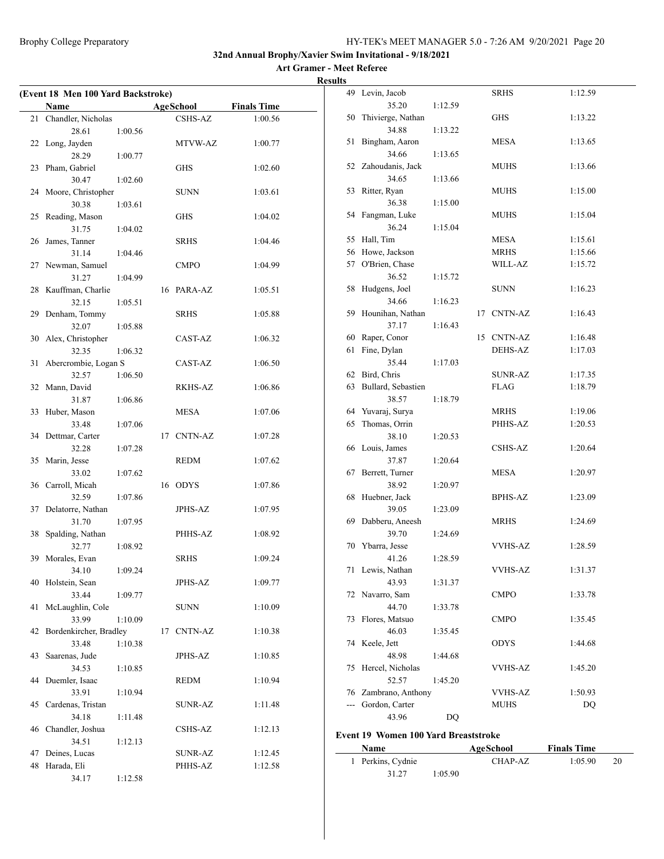**Art Gramer - Meet Referee Results**

| (Event 18 Men 100 Yard Backstroke) |                            |         |    |                  |                    |
|------------------------------------|----------------------------|---------|----|------------------|--------------------|
|                                    | Name                       |         |    | <b>AgeSchool</b> | <b>Finals Time</b> |
| 21                                 | Chandler, Nicholas         |         |    | <b>CSHS-AZ</b>   | 1:00.56            |
|                                    | 28.61                      | 1:00.56 |    |                  |                    |
|                                    | 22 Long, Jayden            |         |    | MTVW-AZ          | 1:00.77            |
|                                    | 28.29                      | 1:00.77 |    |                  |                    |
| 23                                 | Pham, Gabriel              |         |    | <b>GHS</b>       | 1:02.60            |
|                                    | 30.47                      | 1:02.60 |    |                  |                    |
|                                    | 24 Moore, Christopher      |         |    | <b>SUNN</b>      | 1:03.61            |
|                                    | 30.38                      | 1:03.61 |    |                  |                    |
|                                    | 25 Reading, Mason          |         |    | <b>GHS</b>       | 1:04.02            |
|                                    | 31.75                      | 1:04.02 |    |                  |                    |
| 26                                 | James, Tanner              |         |    | <b>SRHS</b>      | 1:04.46            |
|                                    | 31.14                      | 1:04.46 |    |                  |                    |
|                                    | 27 Newman, Samuel          |         |    | <b>CMPO</b>      | 1:04.99            |
|                                    | 31.27                      | 1:04.99 |    |                  |                    |
|                                    | 28 Kauffman, Charlie       |         |    | 16 PARA-AZ       | 1:05.51            |
|                                    | 32.15                      | 1:05.51 |    |                  |                    |
|                                    | 29 Denham, Tommy           |         |    | <b>SRHS</b>      | 1:05.88            |
|                                    | 32.07                      | 1:05.88 |    |                  |                    |
| 30                                 | Alex, Christopher          |         |    | CAST-AZ          | 1:06.32            |
|                                    | 32.35                      | 1:06.32 |    |                  |                    |
| 31                                 | Abercrombie, Logan S       |         |    | CAST-AZ          | 1:06.50            |
|                                    | 32.57                      | 1:06.50 |    |                  |                    |
|                                    | 32 Mann, David             |         |    | RKHS-AZ          | 1:06.86            |
|                                    | 31.87                      | 1:06.86 |    |                  |                    |
|                                    | 33 Huber, Mason            |         |    | <b>MESA</b>      | 1:07.06            |
|                                    | 33.48                      | 1:07.06 |    |                  |                    |
|                                    | 34 Dettmar, Carter         |         |    | 17 CNTN-AZ       | 1:07.28            |
|                                    | 32.28                      | 1:07.28 |    |                  |                    |
|                                    | 35 Marin, Jesse            |         |    | REDM             | 1:07.62            |
|                                    | 33.02                      | 1:07.62 |    |                  |                    |
|                                    | 36 Carroll, Micah          |         |    | 16 ODYS          | 1:07.86            |
|                                    | 32.59                      | 1:07.86 |    |                  |                    |
| 37                                 | Delatorre, Nathan          |         |    | JPHS-AZ          | 1:07.95            |
|                                    | 31.70                      | 1:07.95 |    |                  |                    |
| 38                                 | Spalding, Nathan           |         |    | PHHS-AZ          | 1:08.92            |
|                                    | 32.77                      | 1:08.92 |    | <b>SRHS</b>      |                    |
| 39                                 | Morales, Evan              | 1:09.24 |    |                  | 1:09.24            |
|                                    | 34.10<br>40 Holstein, Sean |         |    | JPHS-AZ          | 1:09.77            |
|                                    | 33.44                      | 1:09.77 |    |                  |                    |
| 41                                 | McLaughlin, Cole           |         |    | <b>SUNN</b>      | 1:10.09            |
|                                    | 33.99                      | 1:10.09 |    |                  |                    |
| 42                                 | Bordenkircher, Bradley     |         | 17 | <b>CNTN-AZ</b>   | 1:10.38            |
|                                    | 33.48                      | 1:10.38 |    |                  |                    |
| 43                                 | Saarenas, Jude             |         |    | <b>JPHS-AZ</b>   | 1:10.85            |
|                                    | 34.53                      | 1:10.85 |    |                  |                    |
|                                    | 44 Duemler, Isaac          |         |    | <b>REDM</b>      | 1:10.94            |
|                                    | 33.91                      | 1:10.94 |    |                  |                    |
| 45                                 | Cardenas, Tristan          |         |    | <b>SUNR-AZ</b>   | 1:11.48            |
|                                    | 34.18                      | 1:11.48 |    |                  |                    |
|                                    | 46 Chandler, Joshua        |         |    | CSHS-AZ          | 1:12.13            |
|                                    | 34.51                      | 1:12.13 |    |                  |                    |
| 47                                 | Deines, Lucas              |         |    | SUNR-AZ          | 1:12.45            |
| 48                                 | Harada, Eli                |         |    | PHHS-AZ          | 1:12.58            |
|                                    | 34.17                      | 1:12.58 |    |                  |                    |

|     | 49 Levin, Jacob       |         | <b>SRHS</b>    | 1:12.59 |
|-----|-----------------------|---------|----------------|---------|
|     | 35.20                 | 1:12.59 |                |         |
| 50  | Thivierge, Nathan     |         | GHS            | 1:13.22 |
|     | 34.88                 | 1:13.22 |                |         |
| 51  | Bingham, Aaron        |         | MESA           | 1:13.65 |
|     | 34.66                 | 1:13.65 |                |         |
|     | 52 Zahoudanis, Jack   |         | MUHS           | 1:13.66 |
|     | 34.65                 | 1:13.66 |                |         |
| 53  | Ritter, Ryan          |         | MUHS           | 1:15.00 |
|     |                       |         |                |         |
|     | 36.38                 | 1:15.00 |                |         |
| 54  | Fangman, Luke         |         | MUHS           | 1:15.04 |
|     | 36.24                 | 1:15.04 |                |         |
|     | 55 Hall, Tim          |         | MESA           | 1:15.61 |
|     | 56 Howe, Jackson      |         | <b>MRHS</b>    | 1:15.66 |
|     | 57 O'Brien, Chase     |         | WILL-AZ        | 1:15.72 |
|     | 36.52                 | 1:15.72 |                |         |
| 58  | Hudgens, Joel         |         | <b>SUNN</b>    | 1:16.23 |
|     | 34.66                 | 1:16.23 |                |         |
| 59  | Hounihan, Nathan      |         | 17 CNTN-AZ     | 1:16.43 |
|     | 37.17                 | 1:16.43 |                |         |
|     | 60 Raper, Conor       |         | 15 CNTN-AZ     | 1:16.48 |
| 61  | Fine, Dylan           |         | <b>DEHS-AZ</b> | 1:17.03 |
|     |                       |         |                |         |
|     | 35.44                 | 1:17.03 |                |         |
|     | 62 Bird, Chris        |         | SUNR-AZ        | 1:17.35 |
|     | 63 Bullard, Sebastien |         | <b>FLAG</b>    | 1:18.79 |
|     | 38.57                 | 1:18.79 |                |         |
|     | 64 Yuvaraj, Surya     |         | MRHS           | 1:19.06 |
| 65  | Thomas, Orrin         |         | PHHS-AZ        | 1:20.53 |
|     |                       |         |                |         |
|     | 38.10                 | 1:20.53 |                |         |
| 66  | Louis, James          |         | CSHS-AZ        | 1:20.64 |
|     | 37.87                 | 1:20.64 |                |         |
| 67  | Berrett, Turner       |         | MESA           | 1:20.97 |
|     | 38.92                 | 1:20.97 |                |         |
| 68  | Huebner, Jack         |         | BPHS-AZ        | 1:23.09 |
|     |                       |         |                |         |
|     | 39.05                 | 1:23.09 |                |         |
| 69  | Dabberu, Aneesh       |         | MRHS           | 1:24.69 |
|     | 39.70                 | 1:24.69 |                |         |
| 70  | Ybarra, Jesse         |         | <b>VVHS-AZ</b> | 1:28.59 |
|     | 41.26                 | 1:28.59 |                |         |
| 71  | Lewis, Nathan         |         | <b>VVHS-AZ</b> | 1:31.37 |
|     | 43.93                 | 1:31.37 |                |         |
| 72  | Navarro, Sam          |         | <b>CMPO</b>    | 1:33.78 |
|     | 44.70                 | 1:33.78 |                |         |
| 73  | Flores, Matsuo        |         | <b>CMPO</b>    | 1:35.45 |
|     | 46.03                 | 1:35.45 |                |         |
| 74  | Keele, Jett           |         | ODYS           | 1:44.68 |
|     | 48.98                 | 1:44.68 |                |         |
| 75  | Hercel, Nicholas      |         | <b>VVHS-AZ</b> | 1:45.20 |
|     | 52.57                 | 1:45.20 |                |         |
| 76  | Zambrano, Anthony     |         | VVHS-AZ        | 1:50.93 |
| --- | Gordon, Carter        |         | MUHS           | DQ      |

#### **Event 19 Women 100 Yard Breaststroke**

 $\overline{\phantom{0}}$ 

| <b>Name</b>       |         | AgeSchool | <b>Finals Time</b> |    |
|-------------------|---------|-----------|--------------------|----|
| 1 Perkins, Cydnie |         | CHAP-AZ   | 1:05.90            | 20 |
| 31.27             | 1:05.90 |           |                    |    |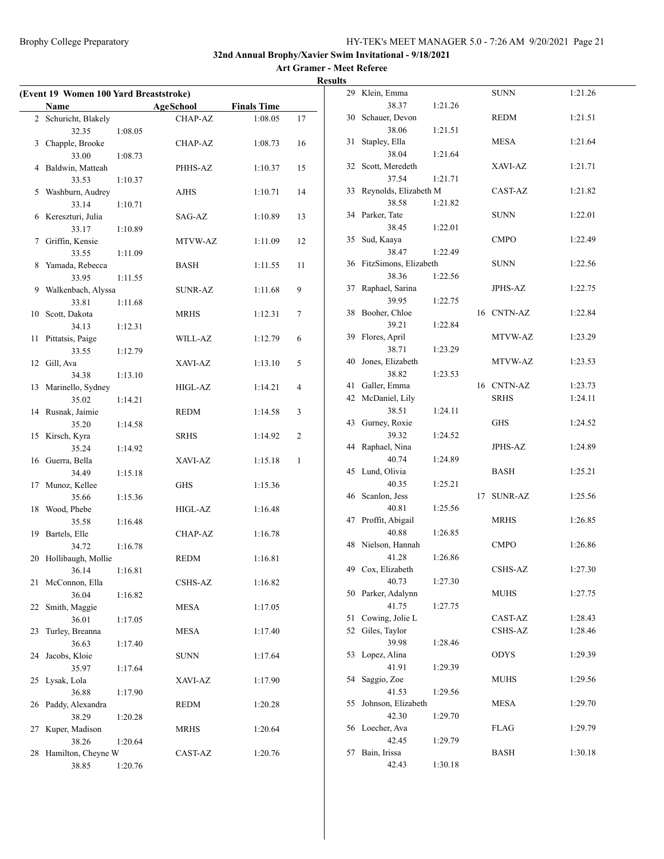| (Event 19 Women 100 Yard Breaststroke) |                             |         |                  |                    |    |  |
|----------------------------------------|-----------------------------|---------|------------------|--------------------|----|--|
|                                        | Name                        |         | <b>AgeSchool</b> | <b>Finals Time</b> |    |  |
|                                        | 2 Schuricht, Blakely        |         | CHAP-AZ          | 1:08.05            | 17 |  |
|                                        | 32.35                       | 1:08.05 |                  |                    |    |  |
| 3                                      | Chapple, Brooke             |         | CHAP-AZ          | 1:08.73            | 16 |  |
|                                        | 33.00                       | 1:08.73 |                  |                    |    |  |
| 4                                      | Baldwin, Matteah            |         | PHHS-AZ          | 1:10.37            | 15 |  |
|                                        | 33.53                       | 1:10.37 |                  |                    |    |  |
| 5                                      | Washburn, Audrey            |         | <b>AJHS</b>      | 1:10.71            | 14 |  |
|                                        | 33.14                       | 1:10.71 |                  |                    |    |  |
|                                        | 6 Kereszturi, Julia         |         | SAG-AZ           | 1:10.89            | 13 |  |
|                                        | 33.17                       | 1:10.89 |                  |                    |    |  |
| 7                                      | Griffin, Kensie             |         | MTVW-AZ          | 1:11.09            | 12 |  |
|                                        | 33.55                       | 1:11.09 |                  |                    |    |  |
| 8                                      | Yamada, Rebecca             |         | BASH             | 1:11.55            | 11 |  |
|                                        | 33.95                       | 1:11.55 |                  |                    |    |  |
| 9                                      | Walkenbach, Alyssa<br>33.81 |         | SUNR-AZ          | 1:11.68            | 9  |  |
| 10                                     | Scott, Dakota               | 1:11.68 | MRHS             | 1:12.31            | 7  |  |
|                                        | 34.13                       | 1:12.31 |                  |                    |    |  |
| 11                                     | Pittatsis, Paige            |         | WILL-AZ          | 1:12.79            | 6  |  |
|                                        | 33.55                       | 1:12.79 |                  |                    |    |  |
| 12                                     | Gill, Ava                   |         | XAVI-AZ          | 1:13.10            | 5  |  |
|                                        | 34.38                       | 1:13.10 |                  |                    |    |  |
| 13                                     | Marinello, Sydney           |         | HIGL-AZ          | 1:14.21            | 4  |  |
|                                        | 35.02                       | 1:14.21 |                  |                    |    |  |
|                                        | 14 Rusnak, Jaimie           |         | <b>REDM</b>      | 1:14.58            | 3  |  |
|                                        | 35.20                       | 1:14.58 |                  |                    |    |  |
| 15                                     | Kirsch, Kyra                |         | <b>SRHS</b>      | 1:14.92            | 2  |  |
|                                        | 35.24                       | 1:14.92 |                  |                    |    |  |
|                                        | 16 Guerra, Bella            |         | XAVI-AZ          | 1:15.18            | 1  |  |
|                                        | 34.49                       | 1:15.18 |                  |                    |    |  |
| 17                                     | Munoz, Kellee               |         | <b>GHS</b>       | 1:15.36            |    |  |
|                                        | 35.66                       | 1:15.36 |                  |                    |    |  |
|                                        | 18 Wood, Phebe              |         | HIGL-AZ          | 1:16.48            |    |  |
|                                        | 35.58                       | 1:16.48 |                  |                    |    |  |
| 19                                     | Bartels, Elle               |         | CHAP-AZ          | 1:16.78            |    |  |
|                                        | 34.72                       | 1:16.78 |                  |                    |    |  |
| 20                                     | Hollibaugh, Mollie          |         | <b>REDM</b>      | 1:16.81            |    |  |
|                                        | 36.14                       | 1:16.81 |                  |                    |    |  |
| 21                                     | McConnon, Ella<br>36.04     |         | <b>CSHS-AZ</b>   | 1:16.82            |    |  |
| 22                                     | Smith, Maggie               | 1:16.82 | <b>MESA</b>      | 1:17.05            |    |  |
|                                        | 36.01                       | 1:17.05 |                  |                    |    |  |
| 23                                     | Turley, Breanna             |         | <b>MESA</b>      | 1:17.40            |    |  |
|                                        | 36.63                       | 1:17.40 |                  |                    |    |  |
| 24                                     | Jacobs, Kloie               |         | <b>SUNN</b>      | 1:17.64            |    |  |
|                                        | 35.97                       | 1:17.64 |                  |                    |    |  |
| 25                                     | Lysak, Lola                 |         | XAVI-AZ          | 1:17.90            |    |  |
|                                        | 36.88                       | 1:17.90 |                  |                    |    |  |
|                                        | 26 Paddy, Alexandra         |         | <b>REDM</b>      | 1:20.28            |    |  |
|                                        | 38.29                       | 1:20.28 |                  |                    |    |  |
| 27                                     | Kuper, Madison              |         | <b>MRHS</b>      | 1:20.64            |    |  |
|                                        | 38.26                       | 1:20.64 |                  |                    |    |  |
| 28                                     | Hamilton, Cheyne W          |         | CAST-AZ          | 1:20.76            |    |  |
|                                        | 38.85                       | 1:20.76 |                  |                    |    |  |

| 29 | Klein, Emma           |         |    | <b>SUNN</b>    | 1:21.26 |
|----|-----------------------|---------|----|----------------|---------|
|    | 38.37                 | 1:21.26 |    |                |         |
| 30 | Schauer, Devon        |         |    | <b>REDM</b>    | 1:21.51 |
|    | 38.06                 | 1:21.51 |    |                |         |
| 31 | Stapley, Ella         |         |    | <b>MESA</b>    | 1:21.64 |
|    | 38.04                 | 1:21.64 |    |                |         |
| 32 | Scott, Meredeth       |         |    | XAVI-AZ        | 1:21.71 |
|    | 37.54                 | 1:21.71 |    |                |         |
| 33 |                       |         |    | CAST-AZ        |         |
|    | Reynolds, Elizabeth M |         |    |                | 1:21.82 |
|    | 38.58                 | 1:21.82 |    |                |         |
| 34 | Parker, Tate          |         |    | <b>SUNN</b>    | 1:22.01 |
|    | 38.45                 | 1:22.01 |    |                |         |
| 35 | Sud, Kaaya            |         |    | <b>CMPO</b>    | 1:22.49 |
|    | 38.47                 | 1:22.49 |    |                |         |
| 36 | FitzSimons, Elizabeth |         |    | SUNN           | 1:22.56 |
|    | 38.36                 | 1:22.56 |    |                |         |
| 37 | Raphael, Sarina       |         |    | JPHS-AZ        | 1:22.75 |
|    | 39.95                 | 1:22.75 |    |                |         |
| 38 | Booher, Chloe         |         |    | 16 CNTN-AZ     | 1:22.84 |
|    | 39.21                 | 1:22.84 |    |                |         |
| 39 | Flores, April         |         |    | MTVW-AZ        | 1:23.29 |
|    | 38.71                 | 1:23.29 |    |                |         |
| 40 | Jones, Elizabeth      |         |    | MTVW-AZ        | 1:23.53 |
|    | 38.82                 | 1:23.53 |    |                |         |
| 41 | Galler, Emma          |         |    | 16 CNTN-AZ     | 1:23.73 |
| 42 | McDaniel, Lily        |         |    | <b>SRHS</b>    | 1:24.11 |
|    | 38.51                 | 1:24.11 |    |                |         |
| 43 | Gurney, Roxie         |         |    | <b>GHS</b>     | 1:24.52 |
|    | 39.32                 | 1:24.52 |    |                |         |
| 44 | Raphael, Nina         |         |    | <b>JPHS-AZ</b> | 1:24.89 |
|    | 40.74                 |         |    |                |         |
|    |                       | 1:24.89 |    |                |         |
| 45 | Lund, Olivia          |         |    | BASH           | 1:25.21 |
|    | 40.35                 | 1:25.21 |    |                |         |
| 46 | Scanlon, Jess         |         | 17 | <b>SUNR-AZ</b> | 1:25.56 |
|    | 40.81                 | 1:25.56 |    |                |         |
| 47 | Proffit, Abigail      |         |    | <b>MRHS</b>    | 1:26.85 |
|    | 40.88                 | 1:26.85 |    |                |         |
| 48 | Nielson, Hannah       |         |    | <b>CMPO</b>    | 1:26.86 |
|    | 41.28                 | 1:26.86 |    |                |         |
| 49 | Cox, Elizabeth        |         |    | CSHS-AZ        | 1:27.30 |
|    | 40.73                 | 1:27.30 |    |                |         |
| 50 | Parker, Adalynn       |         |    | MUHS           | 1:27.75 |
|    | 41.75                 | 1:27.75 |    |                |         |
| 51 | Cowing, Jolie L       |         |    | CAST-AZ        | 1:28.43 |
| 52 | Giles, Taylor         |         |    | <b>CSHS-AZ</b> | 1:28.46 |
|    | 39.98                 | 1:28.46 |    |                |         |
| 53 | Lopez, Alina          |         |    | <b>ODYS</b>    | 1:29.39 |
|    | 41.91                 | 1:29.39 |    |                |         |
| 54 | Saggio, Zoe           |         |    | MUHS           | 1:29.56 |
|    | 41.53                 | 1:29.56 |    |                |         |
| 55 | Johnson, Elizabeth    |         |    | MESA           | 1:29.70 |
|    | 42.30                 | 1:29.70 |    |                |         |
| 56 | Loecher, Ava          |         |    | <b>FLAG</b>    | 1:29.79 |
|    | 42.45                 | 1:29.79 |    |                |         |
| 57 | Bain, Irissa          |         |    | <b>BASH</b>    | 1:30.18 |
|    | 42.43                 |         |    |                |         |
|    |                       | 1:30.18 |    |                |         |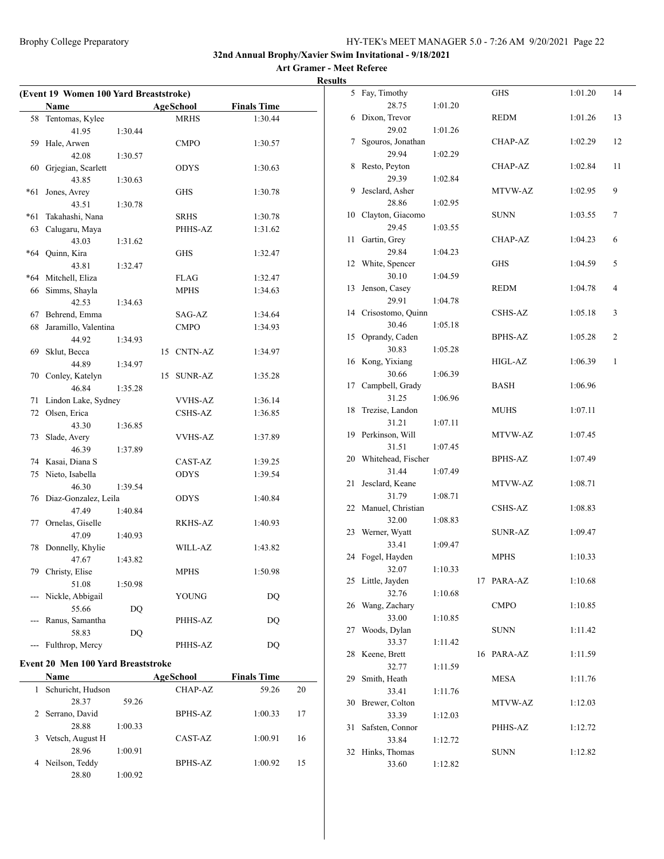#### **Art Gramer - Meet Referee Results**

| (Event 19 Women 100 Yard Breaststroke) |                         |         |  |             |                    |  |
|----------------------------------------|-------------------------|---------|--|-------------|--------------------|--|
|                                        | Name                    |         |  | AgeSchool   | <b>Finals Time</b> |  |
| 58                                     | Tentomas, Kylee         |         |  | MRHS        | 1:30.44            |  |
|                                        | 41.95                   | 1:30.44 |  |             |                    |  |
|                                        | 59 Hale, Arwen          |         |  | <b>CMPO</b> | 1:30.57            |  |
|                                        | 42.08                   | 1:30.57 |  |             |                    |  |
|                                        | 60 Grjegian, Scarlett   |         |  | <b>ODYS</b> | 1:30.63            |  |
|                                        | 43.85                   | 1:30.63 |  |             |                    |  |
| *61                                    | Jones, Avrey            |         |  | GHS         | 1:30.78            |  |
|                                        | 43.51                   | 1:30.78 |  |             |                    |  |
| *61                                    | Takahashi, Nana         |         |  | SRHS        | 1:30.78            |  |
| 63                                     | Calugaru, Maya          |         |  | PHHS-AZ     | 1:31.62            |  |
|                                        | 43.03                   | 1:31.62 |  |             |                    |  |
|                                        | *64 Quinn, Kira         |         |  | GHS         | 1:32.47            |  |
|                                        | 43.81                   | 1:32.47 |  |             |                    |  |
|                                        | *64 Mitchell, Eliza     |         |  | FLAG        | 1:32.47            |  |
|                                        | 66 Simms, Shayla        |         |  | MPHS        | 1:34.63            |  |
|                                        | 42.53                   | 1:34.63 |  |             |                    |  |
|                                        | 67 Behrend, Emma        |         |  | SAG-AZ      | 1:34.64            |  |
| 68                                     | Jaramillo, Valentina    |         |  | <b>CMPO</b> | 1:34.93            |  |
|                                        | 44.92                   | 1:34.93 |  |             |                    |  |
| 69                                     | Sklut, Becca            |         |  | 15 CNTN-AZ  | 1:34.97            |  |
|                                        | 44.89                   | 1:34.97 |  |             |                    |  |
|                                        | 70 Conley, Katelyn      |         |  | 15 SUNR-AZ  | 1:35.28            |  |
|                                        | 46.84                   | 1:35.28 |  |             |                    |  |
| 71                                     | Lindon Lake, Sydney     |         |  | VVHS-AZ     | 1:36.14            |  |
|                                        | 72 Olsen, Erica         |         |  | CSHS-AZ     | 1:36.85            |  |
|                                        | 43.30                   | 1:36.85 |  |             |                    |  |
| 73                                     | Slade, Avery            |         |  | VVHS-AZ     | 1:37.89            |  |
|                                        | 46.39                   | 1:37.89 |  |             |                    |  |
|                                        | 74 Kasai, Diana S       |         |  | CAST-AZ     | 1:39.25            |  |
|                                        | 75 Nieto, Isabella      |         |  | ODYS        | 1:39.54            |  |
|                                        | 46.30                   | 1:39.54 |  |             |                    |  |
|                                        | 76 Diaz-Gonzalez, Leila |         |  | <b>ODYS</b> | 1:40.84            |  |
|                                        | 47.49                   | 1:40.84 |  |             |                    |  |
| 77                                     | Ornelas, Giselle        |         |  | RKHS-AZ     | 1:40.93            |  |
|                                        | 47.09                   | 1:40.93 |  |             |                    |  |
|                                        | 78 Donnelly, Khylie     |         |  | WILL-AZ     | 1:43.82            |  |
|                                        | 47.67                   | 1:43.82 |  |             |                    |  |
|                                        | 79 Christy, Elise       |         |  | <b>MPHS</b> | 1:50.98            |  |
|                                        | 51.08                   | 1:50.98 |  |             |                    |  |
|                                        | Nickle, Abbigail        |         |  | YOUNG       | DQ                 |  |
|                                        | 55.66                   | DQ      |  |             |                    |  |
|                                        | Ranus, Samantha         |         |  | PHHS-AZ     | DQ                 |  |
|                                        | 58.83                   | DQ      |  |             |                    |  |
|                                        | Fulthrop, Mercy         |         |  | PHHS-AZ     | DQ                 |  |
|                                        |                         |         |  |             |                    |  |

# **Event 20 Men 100 Yard Breaststroke**

| <b>Name</b>            |         | AgeSchool | <b>Finals Time</b> |    |
|------------------------|---------|-----------|--------------------|----|
| Schuricht, Hudson<br>1 |         |           | 59.26              | 20 |
| 28.37                  | 59.26   |           |                    |    |
| 2 Serrano, David       |         | BPHS-AZ   | 1:00.33            | 17 |
| 28.88                  | 1:00.33 |           |                    |    |
| Vetsch, August H<br>3. |         | CAST-AZ   | 1:00.91            | 16 |
| 28.96                  | 1:00.91 |           |                    |    |
| 4 Neilson, Teddy       |         | BPHS-AZ   | 1:00.92            | 15 |
| 28.80                  | 1:00.92 |           |                    |    |

| 5  | Fay, Timothy       |         |    | GHS            | 1:01.20 | 14 |
|----|--------------------|---------|----|----------------|---------|----|
|    | 28.75              | 1:01.20 |    |                |         |    |
| 6  | Dixon, Trevor      |         |    | <b>REDM</b>    | 1:01.26 | 13 |
|    | 29.02              | 1:01.26 |    |                |         |    |
| 7  | Sgouros, Jonathan  |         |    | CHAP-AZ        | 1:02.29 | 12 |
|    | 29.94              | 1:02.29 |    |                |         |    |
| 8  | Resto, Peyton      |         |    | CHAP-AZ        | 1:02.84 | 11 |
|    | 29.39              | 1:02.84 |    |                |         |    |
| 9  | Jesclard, Asher    |         |    | MTVW-AZ        | 1:02.95 | 9  |
|    | 28.86              | 1:02.95 |    |                |         |    |
| 10 | Clayton, Giacomo   |         |    | <b>SUNN</b>    | 1:03.55 | 7  |
|    | 29.45              | 1:03.55 |    |                |         |    |
| 11 | Gartin, Grey       |         |    | CHAP-AZ        | 1:04.23 | 6  |
|    | 29.84              | 1:04.23 |    |                |         |    |
| 12 | White, Spencer     |         |    | <b>GHS</b>     | 1:04.59 | 5  |
|    | 30.10              | 1:04.59 |    |                |         |    |
| 13 | Jenson, Casey      |         |    | REDM           | 1:04.78 | 4  |
|    | 29.91              |         |    |                |         |    |
|    | Crisostomo, Quinn  | 1:04.78 |    |                |         | 3  |
| 14 |                    |         |    | CSHS-AZ        | 1:05.18 |    |
|    | 30.46              | 1:05.18 |    |                |         |    |
| 15 | Oprandy, Caden     |         |    | BPHS-AZ        | 1:05.28 | 2  |
|    | 30.83              | 1:05.28 |    |                |         |    |
| 16 | Kong, Yixiang      |         |    | HIGL-AZ        | 1:06.39 | 1  |
|    | 30.66              | 1:06.39 |    |                |         |    |
| 17 | Campbell, Grady    |         |    | <b>BASH</b>    | 1:06.96 |    |
|    | 31.25              | 1:06.96 |    |                |         |    |
| 18 | Trezise, Landon    |         |    | <b>MUHS</b>    | 1:07.11 |    |
|    | 31.21              | 1:07.11 |    |                |         |    |
| 19 | Perkinson, Will    |         |    | MTVW-AZ        | 1:07.45 |    |
|    | 31.51              | 1:07.45 |    |                |         |    |
| 20 | Whitehead, Fischer |         |    | BPHS-AZ        | 1:07.49 |    |
|    | 31.44              | 1:07.49 |    |                |         |    |
| 21 | Jesclard, Keane    |         |    | MTVW-AZ        | 1:08.71 |    |
|    | 31.79              | 1:08.71 |    |                |         |    |
| 22 | Manuel, Christian  |         |    | <b>CSHS-AZ</b> | 1:08.83 |    |
|    | 32.00              | 1:08.83 |    |                |         |    |
| 23 | Werner, Wyatt      |         |    | <b>SUNR-AZ</b> | 1:09.47 |    |
|    | 33.41              | 1:09.47 |    |                |         |    |
| 24 | Fogel, Hayden      |         |    | <b>MPHS</b>    | 1:10.33 |    |
|    | 32.07              | 1:10.33 |    |                |         |    |
| 25 | Little, Jayden     |         | 17 | PARA-AZ        | 1:10.68 |    |
|    | 32.76              | 1:10.68 |    |                |         |    |
| 26 | Wang, Zachary      |         |    | <b>CMPO</b>    | 1:10.85 |    |
|    | 33.00              | 1:10.85 |    |                |         |    |
| 27 | Woods, Dylan       |         |    | <b>SUNN</b>    | 1:11.42 |    |
|    | 33.37              | 1:11.42 |    |                |         |    |
| 28 | Keene, Brett       |         | 16 | PARA-AZ        | 1:11.59 |    |
|    | 32.77              | 1:11.59 |    |                |         |    |
| 29 | Smith, Heath       |         |    | <b>MESA</b>    | 1:11.76 |    |
|    | 33.41              | 1:11.76 |    |                |         |    |
|    |                    |         |    |                |         |    |
| 30 | Brewer, Colton     |         |    | MTVW-AZ        | 1:12.03 |    |
|    | 33.39              | 1:12.03 |    |                |         |    |
| 31 | Safsten, Connor    |         |    | PHHS-AZ        | 1:12.72 |    |
|    | 33.84              | 1:12.72 |    |                |         |    |
| 32 | Hinks, Thomas      |         |    | <b>SUNN</b>    | 1:12.82 |    |
|    | 33.60              | 1:12.82 |    |                |         |    |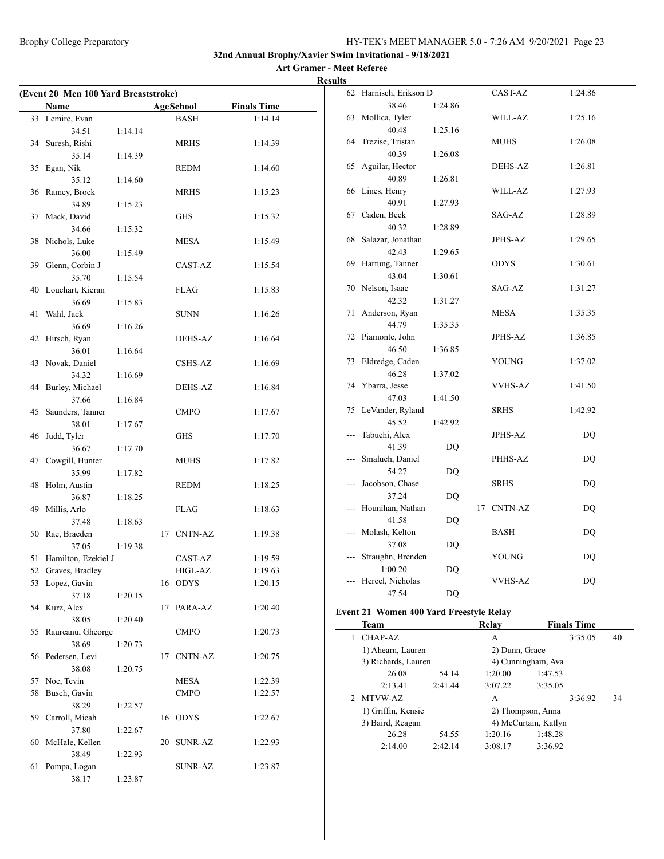#### **Art Gramer - Meet Referee Results**

| (Event 20 Men 100 Yard Breaststroke) |                     |         |    |                  |                    |
|--------------------------------------|---------------------|---------|----|------------------|--------------------|
|                                      | Name                |         |    | <b>AgeSchool</b> | <b>Finals Time</b> |
|                                      | 33 Lemire, Evan     |         |    | <b>BASH</b>      | 1:14.14            |
|                                      | 34.51               | 1:14.14 |    |                  |                    |
| 34                                   | Suresh, Rishi       |         |    | <b>MRHS</b>      | 1:14.39            |
|                                      | 35.14               | 1:14.39 |    |                  |                    |
| 35                                   | Egan, Nik           |         |    | <b>REDM</b>      | 1:14.60            |
|                                      | 35.12               | 1:14.60 |    |                  |                    |
| 36                                   | Ramey, Brock        |         |    | <b>MRHS</b>      | 1:15.23            |
|                                      | 34.89               | 1:15.23 |    |                  |                    |
| 37                                   | Mack, David         |         |    | <b>GHS</b>       | 1:15.32            |
|                                      | 34.66               | 1:15.32 |    |                  |                    |
|                                      | 38 Nichols, Luke    |         |    | MESA             | 1:15.49            |
|                                      | 36.00               | 1:15.49 |    |                  |                    |
| 39                                   | Glenn, Corbin J     |         |    | CAST-AZ          | 1:15.54            |
|                                      | 35.70               | 1:15.54 |    |                  |                    |
| 40                                   | Louchart, Kieran    |         |    | FLAG             | 1:15.83            |
|                                      | 36.69               | 1:15.83 |    |                  |                    |
| 41                                   | Wahl, Jack          |         |    | <b>SUNN</b>      | 1:16.26            |
|                                      | 36.69               | 1:16.26 |    |                  |                    |
| 42                                   | Hirsch, Ryan        |         |    | DEHS-AZ          | 1:16.64            |
|                                      | 36.01               | 1:16.64 |    |                  |                    |
| 43                                   | Novak, Daniel       |         |    | CSHS-AZ          | 1:16.69            |
|                                      | 34.32               | 1:16.69 |    |                  |                    |
| 44                                   | Burley, Michael     |         |    | DEHS-AZ          | 1:16.84            |
|                                      | 37.66               | 1:16.84 |    |                  |                    |
| 45                                   | Saunders, Tanner    |         |    | <b>CMPO</b>      | 1:17.67            |
|                                      | 38.01               | 1:17.67 |    |                  |                    |
| 46                                   | Judd, Tyler         |         |    | <b>GHS</b>       | 1:17.70            |
|                                      | 36.67               | 1:17.70 |    |                  |                    |
| 47                                   | Cowgill, Hunter     |         |    | <b>MUHS</b>      | 1:17.82            |
|                                      | 35.99               | 1:17.82 |    |                  |                    |
| 48                                   | Holm, Austin        |         |    | <b>REDM</b>      | 1:18.25            |
|                                      | 36.87               | 1:18.25 |    |                  |                    |
| 49                                   | Millis, Arlo        |         |    | <b>FLAG</b>      | 1:18.63            |
|                                      | 37.48               | 1:18.63 |    |                  |                    |
| 50                                   | Rae, Braeden        |         |    | 17 CNTN-AZ       | 1:19.38            |
|                                      | 37.05               | 1:19.38 |    |                  |                    |
| 51                                   | Hamilton, Ezekiel J |         |    | CAST-AZ          | 1:19.59            |
| 52                                   | Graves, Bradley     |         |    | HIGL-AZ          | 1:19.63            |
|                                      | 53 Lopez, Gavin     |         |    | 16 ODYS          | 1:20.15            |
|                                      | 37.18               | 1:20.15 |    |                  |                    |
| 54                                   | Kurz, Alex          |         | 17 | PARA-AZ          | 1:20.40            |
|                                      | 38.05               | 1:20.40 |    |                  |                    |
| 55                                   | Raureanu, Gheorge   |         |    | <b>CMPO</b>      | 1:20.73            |
|                                      | 38.69               | 1:20.73 |    |                  |                    |
|                                      | 56 Pedersen, Levi   |         | 17 | CNTN-AZ          | 1:20.75            |
|                                      | 38.08               | 1:20.75 |    |                  |                    |
| 57                                   | Noe, Tevin          |         |    | <b>MESA</b>      | 1:22.39            |
| 58                                   | Busch, Gavin        |         |    | <b>CMPO</b>      | 1:22.57            |
|                                      | 38.29               | 1:22.57 |    |                  |                    |
| 59                                   | Carroll, Micah      |         | 16 | <b>ODYS</b>      | 1:22.67            |
|                                      | 37.80               | 1:22.67 |    |                  |                    |
| 60                                   | McHale, Kellen      |         | 20 | SUNR-AZ          | 1:22.93            |
|                                      | 38.49               | 1:22.93 |    |                  |                    |
| 61                                   | Pompa, Logan        |         |    | SUNR-AZ          | 1:23.87            |
|                                      | 38.17               | 1:23.87 |    |                  |                    |

|                          | 62 Harnisch, Erikson D |         |    | CAST-AZ        | 1:24.86 |
|--------------------------|------------------------|---------|----|----------------|---------|
|                          | 38.46                  | 1:24.86 |    |                |         |
| 63                       | Mollica, Tyler         |         |    | WILL-AZ        | 1:25.16 |
|                          | 40.48                  | 1:25.16 |    |                |         |
| 64                       | Trezise, Tristan       |         |    | <b>MUHS</b>    | 1:26.08 |
|                          | 40.39                  | 1:26.08 |    |                |         |
| 65                       | Aguilar, Hector        |         |    | <b>DEHS-AZ</b> | 1:26.81 |
|                          | 40.89                  | 1:26.81 |    |                |         |
|                          | 66 Lines, Henry        |         |    | <b>WILL-AZ</b> | 1:27.93 |
|                          | 40.91                  | 1:27.93 |    |                |         |
|                          | 67 Caden, Beck         |         |    | SAG-AZ         | 1:28.89 |
|                          | 40.32                  | 1:28.89 |    |                |         |
| 68                       | Salazar, Jonathan      |         |    | <b>JPHS-AZ</b> | 1:29.65 |
|                          | 42.43                  | 1:29.65 |    |                |         |
| 69                       | Hartung, Tanner        |         |    | <b>ODYS</b>    | 1:30.61 |
|                          | 43.04                  | 1:30.61 |    |                |         |
|                          | 70 Nelson, Isaac       |         |    | SAG-AZ         | 1:31.27 |
|                          | 42.32                  | 1:31.27 |    |                |         |
| 71                       | Anderson, Ryan         |         |    | <b>MESA</b>    | 1:35.35 |
|                          | 44.79                  | 1:35.35 |    |                |         |
| 72                       | Piamonte, John         |         |    | <b>JPHS-AZ</b> | 1:36.85 |
|                          | 46.50                  | 1:36.85 |    |                |         |
| 73                       | Eldredge, Caden        |         |    | YOUNG          | 1:37.02 |
|                          | 46.28                  | 1:37.02 |    |                |         |
| 74                       | Ybarra, Jesse          |         |    | <b>VVHS-AZ</b> | 1:41.50 |
|                          | 47.03                  | 1:41.50 |    |                |         |
| 75                       | LeVander, Ryland       |         |    | <b>SRHS</b>    | 1:42.92 |
|                          | 45.52                  | 1:42.92 |    |                |         |
| ---                      | Tabuchi, Alex          |         |    | <b>JPHS-AZ</b> | DQ      |
|                          | 41.39                  | DQ      |    |                |         |
| ---                      | Smaluch, Daniel        |         |    | PHHS-AZ        | DQ      |
|                          | 54.27                  | DQ      |    |                |         |
| ---                      | Jacobson, Chase        |         |    | <b>SRHS</b>    | DQ      |
|                          | 37.24                  | DQ      |    |                |         |
| $\overline{\phantom{a}}$ | Hounihan, Nathan       |         | 17 | <b>CNTN-AZ</b> | DQ      |
|                          | 41.58                  | DQ      |    |                |         |
| ---                      | Molash, Kelton         |         |    | BASH           | DQ      |
|                          | 37.08                  | DQ      |    |                |         |
| ---                      | Straughn, Brenden      |         |    | YOUNG          | DQ      |
|                          | 1:00.20                | DQ      |    |                |         |
|                          | Hercel, Nicholas       |         |    | <b>VVHS-AZ</b> | DQ      |
|                          | 47.54                  | DO      |    |                |         |

#### **Event 21 Women 400 Yard Freestyle Relay**

 $\overline{\phantom{a}}$ 

| <b>Team</b>        |         | Relay               | <b>Finals Time</b> |                                                                                   |
|--------------------|---------|---------------------|--------------------|-----------------------------------------------------------------------------------|
| CHAP-AZ            |         | А                   | 3:35.05            | 40                                                                                |
| 1) Ahearn, Lauren  |         |                     |                    |                                                                                   |
|                    |         |                     |                    |                                                                                   |
| 26.08              | 54.14   | 1:20.00             | 1:47.53            |                                                                                   |
| 2:13.41            | 2:41.44 | 3:07.22             | 3:35.05            |                                                                                   |
| MTVW-AZ            |         | A                   | 3:36.92            | 34                                                                                |
| 1) Griffin, Kensie |         |                     |                    |                                                                                   |
| 3) Baird, Reagan   |         |                     |                    |                                                                                   |
| 26.28              | 54.55   | 1:20.16             | 1:48.28            |                                                                                   |
| 2:14.00            | 2:42.14 | 3:08.17             | 3:36.92            |                                                                                   |
|                    |         | 3) Richards, Lauren |                    | 2) Dunn, Grace<br>4) Cunningham, Ava<br>2) Thompson, Anna<br>4) McCurtain, Katlyn |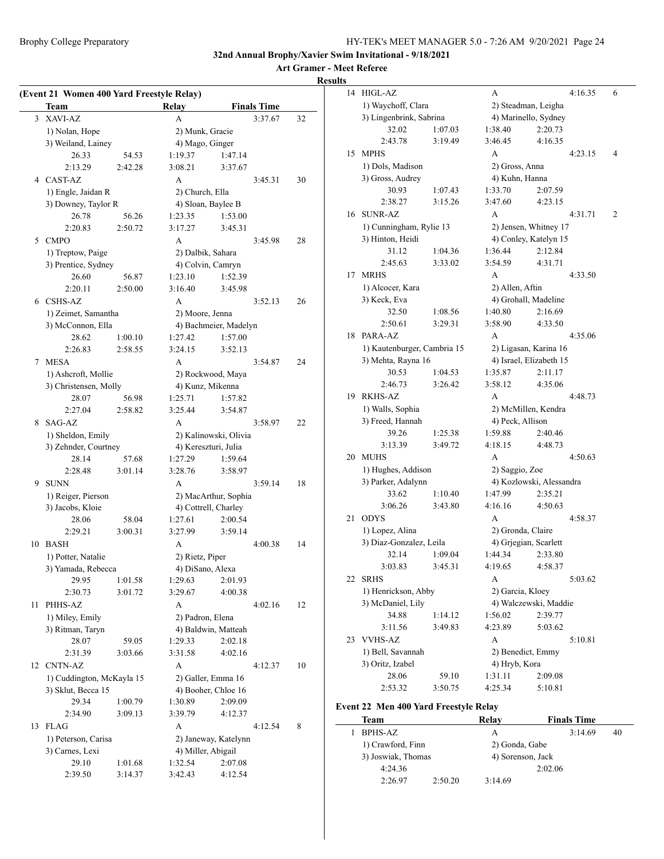**Art Gramer - Meet Referee**

|    | (Event 21 Women 400 Yard Freestyle Relay)<br>Team |         | Relay                              |                       | <b>Finals Time</b> |    |
|----|---------------------------------------------------|---------|------------------------------------|-----------------------|--------------------|----|
|    |                                                   |         |                                    |                       |                    |    |
| 3  | XAVI-AZ                                           |         | A                                  |                       | 3:37.67            | 32 |
|    | 1) Nolan, Hope<br>3) Weiland, Lainey              |         | 2) Munk, Gracie<br>4) Mago, Ginger |                       |                    |    |
|    | 26.33                                             | 54.53   | 1:19.37                            | 1:47.14               |                    |    |
|    | 2:13.29                                           | 2:42.28 | 3:08.21                            | 3:37.67               |                    |    |
| 4  | CAST-AZ                                           |         | A                                  |                       | 3:45.31            | 30 |
|    | 1) Engle, Jaidan R                                |         | 2) Church, Ella                    |                       |                    |    |
|    | 3) Downey, Taylor R                               |         | 4) Sloan, Baylee B                 |                       |                    |    |
|    | 26.78                                             | 56.26   | 1:23.35                            | 1:53.00               |                    |    |
|    | 2:20.83                                           | 2:50.72 | 3:17.27                            | 3:45.31               |                    |    |
| 5  | <b>CMPO</b>                                       |         | A                                  |                       | 3:45.98            | 28 |
|    | 1) Treptow, Paige                                 |         | 2) Dalbik, Sahara                  |                       |                    |    |
|    | 3) Prentice, Sydney                               |         | 4) Colvin, Camryn                  |                       |                    |    |
|    | 26.60                                             | 56.87   | 1:23.10                            | 1:52.39               |                    |    |
|    | 2:20.11                                           | 2:50.00 | 3:16.40                            | 3:45.98               |                    |    |
|    | 6 CSHS-AZ                                         |         | A                                  |                       | 3:52.13            | 26 |
|    | 1) Zeimet, Samantha                               |         | 2) Moore, Jenna                    |                       |                    |    |
|    | 3) McConnon, Ella                                 |         |                                    | 4) Bachmeier, Madelyn |                    |    |
|    | 28.62                                             | 1:00.10 | 1:27.42                            | 1:57.00               |                    |    |
|    | 2:26.83                                           | 2:58.55 | 3:24.15                            | 3:52.13               |                    |    |
| 7  | <b>MESA</b>                                       |         | A                                  |                       | 3:54.87            | 24 |
|    | 1) Ashcroft, Mollie                               |         |                                    | 2) Rockwood, Maya     |                    |    |
|    | 3) Christensen, Molly                             |         | 4) Kunz, Mikenna                   |                       |                    |    |
|    | 28.07                                             | 56.98   | 1:25.71                            | 1:57.82               |                    |    |
|    | 2:27.04                                           | 2:58.82 | 3:25.44                            | 3:54.87               |                    |    |
| 8  | SAG-AZ                                            |         | A                                  |                       | 3:58.97            | 22 |
|    | 1) Sheldon, Emily                                 |         |                                    | 2) Kalinowski, Olivia |                    |    |
|    | 3) Zehnder, Courtney                              |         | 4) Kereszturi, Julia               |                       |                    |    |
|    | 28.14                                             | 57.68   | 1:27.29                            | 1:59.64               |                    |    |
|    | 2:28.48                                           | 3:01.14 | 3:28.76                            | 3:58.97               |                    |    |
|    | 9 SUNN                                            |         | A                                  |                       | 3:59.14            | 18 |
|    | 1) Reiger, Pierson                                |         | 4) Cottrell, Charley               | 2) MacArthur, Sophia  |                    |    |
|    | 3) Jacobs, Kloie<br>28.06                         | 58.04   | 1:27.61                            | 2:00.54               |                    |    |
|    | 2:29.21                                           | 3:00.31 | 3:27.99                            | 3:59.14               |                    |    |
| 10 | <b>BASH</b>                                       |         | A                                  |                       | 4:00.38            | 14 |
|    | 1) Potter, Natalie                                |         | 2) Rietz, Piper                    |                       |                    |    |
|    | 3) Yamada, Rebecca                                |         | 4) DiSano, Alexa                   |                       |                    |    |
|    | 29.95                                             | 1:01.58 | 1:29.63                            | 2:01.93               |                    |    |
|    | 2:30.73                                           | 3:01.72 | 3:29.67                            | 4:00.38               |                    |    |
| 11 | PHHS-AZ                                           |         | A                                  |                       | 4:02.16            | 12 |
|    | 1) Miley, Emily                                   |         | 2) Padron, Elena                   |                       |                    |    |
|    | 3) Ritman, Taryn                                  |         |                                    | 4) Baldwin, Matteah   |                    |    |
|    | 28.07                                             | 59.05   | 1:29.33                            | 2:02.18               |                    |    |
|    | 2:31.39                                           | 3:03.66 | 3:31.58                            | 4:02.16               |                    |    |
| 12 | CNTN-AZ                                           |         | А                                  |                       | 4:12.37            | 10 |
|    | 1) Cuddington, McKayla 15                         |         | 2) Galler, Emma 16                 |                       |                    |    |
|    | 3) Sklut, Becca 15                                |         | 4) Booher, Chloe 16                |                       |                    |    |
|    | 29.34                                             | 1:00.79 | 1:30.89                            | 2:09.09               |                    |    |
|    | 2:34.90                                           | 3:09.13 | 3:39.79                            | 4:12.37               |                    |    |
| 13 | <b>FLAG</b>                                       |         | A                                  |                       | 4:12.54            | 8  |
|    | 1) Peterson, Carisa                               |         |                                    | 2) Janeway, Katelynn  |                    |    |
|    | 3) Carnes, Lexi                                   |         | 4) Miller, Abigail                 |                       |                    |    |
|    | 29.10                                             | 1:01.68 | 1:32.54                            | 2:07.08               |                    |    |
|    | 2:39.50                                           | 3:14.37 | 3:42.43                            | 4:12.54               |                    |    |

| 14 | <b>HIGL-AZ</b>              |                     | A       |                   |                          | 4:16.35 | 6 |
|----|-----------------------------|---------------------|---------|-------------------|--------------------------|---------|---|
|    | 1) Waychoff, Clara          | 2) Steadman, Leigha |         |                   |                          |         |   |
|    | 3) Lingenbrink, Sabrina     |                     |         |                   | 4) Marinello, Sydney     |         |   |
|    | 32.02                       | 1:07.03             | 1:38.40 |                   | 2:20.73                  |         |   |
|    | 2:43.78                     | 3:19.49             | 3:46.45 |                   | 4:16.35                  |         |   |
| 15 | <b>MPHS</b>                 |                     | A       |                   |                          | 4:23.15 | 4 |
|    | 1) Dols, Madison            |                     |         | 2) Gross, Anna    |                          |         |   |
|    | 3) Gross, Audrey            |                     |         | 4) Kuhn, Hanna    |                          |         |   |
|    | 30.93                       | 1:07.43             | 1:33.70 |                   | 2:07.59                  |         |   |
|    | 2:38.27                     | 3:15.26             | 3:47.60 |                   | 4:23.15                  |         |   |
| 16 | <b>SUNR-AZ</b>              |                     | A       |                   |                          | 4:31.71 | 2 |
|    | 1) Cunningham, Rylie 13     |                     |         |                   | 2) Jensen, Whitney 17    |         |   |
|    | 3) Hinton, Heidi            |                     |         |                   | 4) Conley, Katelyn 15    |         |   |
|    | 31.12                       | 1:04.36             | 1:36.44 |                   | 2:12.84                  |         |   |
|    | 2:45.63                     | 3:33.02             | 3:54.59 |                   | 4:31.71                  |         |   |
| 17 | <b>MRHS</b>                 |                     | A       |                   |                          | 4:33.50 |   |
|    | 1) Alcocer, Kara            |                     |         | 2) Allen, Aftin   |                          |         |   |
|    | 3) Keck, Eva                |                     |         |                   | 4) Grohall, Madeline     |         |   |
|    | 32.50                       | 1:08.56             | 1:40.80 |                   | 2:16.69                  |         |   |
|    | 2:50.61                     | 3:29.31             | 3:58.90 |                   | 4:33.50                  |         |   |
| 18 | PARA-AZ                     |                     | A       |                   |                          | 4:35.06 |   |
|    | 1) Kautenburger, Cambria 15 |                     |         |                   | 2) Ligasan, Karina 16    |         |   |
|    | 3) Mehta, Rayna 16          |                     |         |                   | 4) Israel, Elizabeth 15  |         |   |
|    | 30.53                       | 1:04.53             | 1:35.87 |                   | 2:11.17                  |         |   |
|    | 2:46.73                     | 3:26.42             | 3:58.12 |                   | 4:35.06                  |         |   |
| 19 | RKHS-AZ                     |                     | А       |                   |                          | 4:48.73 |   |
|    | 1) Walls, Sophia            |                     |         |                   | 2) McMillen, Kendra      |         |   |
|    | 3) Freed, Hannah            |                     |         | 4) Peck, Allison  |                          |         |   |
|    | 39.26                       | 1:25.38             | 1:59.88 |                   | 2:40.46                  |         |   |
|    | 3:13.39                     | 3:49.72             | 4:18.15 |                   | 4:48.73                  |         |   |
| 20 | <b>MUHS</b>                 |                     | A       |                   |                          | 4:50.63 |   |
|    | 1) Hughes, Addison          |                     |         | 2) Saggio, Zoe    |                          |         |   |
|    | 3) Parker, Adalynn          |                     |         |                   | 4) Kozlowski, Alessandra |         |   |
|    | 33.62                       | 1:10.40             | 1:47.99 |                   | 2:35.21                  |         |   |
|    | 3:06.26                     | 3:43.80             | 4:16.16 |                   | 4:50.63                  |         |   |
| 21 | <b>ODYS</b>                 |                     | A       |                   |                          | 4:58.37 |   |
|    | 1) Lopez, Alina             |                     |         | 2) Gronda, Claire |                          |         |   |
|    | 3) Diaz-Gonzalez, Leila     |                     |         |                   | 4) Grjegian, Scarlett    |         |   |
|    | 32.14                       | 1:09.04             | 1:44.34 |                   | 2:33.80                  |         |   |
|    | 3:03.83                     | 3:45.31             | 4:19.65 |                   | 4:58.37                  |         |   |
| 22 | <b>SRHS</b>                 |                     | А       |                   |                          | 5:03.62 |   |
|    | 1) Henrickson, Abby         |                     |         | 2) Garcia, Kloey  |                          |         |   |
|    | 3) McDaniel, Lily           |                     |         |                   | 4) Walczewski, Maddie    |         |   |
|    | 34.88                       | 1:14.12             | 1:56.02 |                   | 2:39.77                  |         |   |
|    | 3:11.56                     | 3:49.83             | 4:23.89 |                   | 5:03.62                  |         |   |
| 23 | <b>VVHS-AZ</b>              |                     | А       |                   |                          | 5:10.81 |   |
|    | 1) Bell, Savannah           |                     |         | 2) Benedict, Emmy |                          |         |   |
|    | 3) Oritz, Izabel            |                     |         | 4) Hryb, Kora     |                          |         |   |
|    | 28.06                       | 59.10               | 1:31.11 |                   | 2:09.08                  |         |   |
|    | 2:53.32                     | 3:50.75             | 4:25.34 |                   | 5:10.81                  |         |   |
|    |                             |                     |         |                   |                          |         |   |

#### **Event 22 Men 400 Yard Freestyle Relay**

| Team               |         | Relav             | <b>Finals Time</b> |    |
|--------------------|---------|-------------------|--------------------|----|
| <b>BPHS-AZ</b>     |         | А                 | 3:14.69            | 40 |
| 1) Crawford, Finn  |         | 2) Gonda, Gabe    |                    |    |
| 3) Joswiak, Thomas |         | 4) Sorenson, Jack |                    |    |
| 4:24.36            |         |                   | 2:02.06            |    |
| 2:26.97            | 2:50.20 | 3:14.69           |                    |    |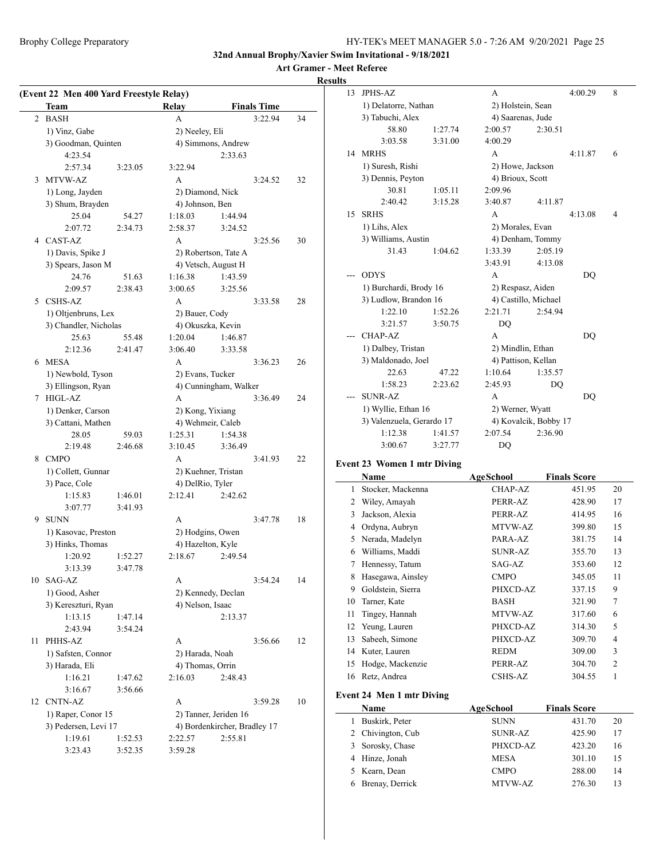**Art Gramer - Meet Referee**

**Results**

|    | (Event 22 Men 400 Yard Freestyle Relay)<br>Team |         | Relay             |                              | <b>Finals Time</b> |    |
|----|-------------------------------------------------|---------|-------------------|------------------------------|--------------------|----|
| 2  | <b>BASH</b>                                     |         | A                 |                              | 3:22.94            | 34 |
|    | 1) Vinz, Gabe                                   |         | 2) Neeley, Eli    |                              |                    |    |
|    | 3) Goodman, Quinten                             |         |                   | 4) Simmons, Andrew           |                    |    |
|    | 4:23.54                                         |         |                   | 2:33.63                      |                    |    |
|    | 2:57.34                                         | 3:23.05 | 3:22.94           |                              |                    |    |
| 3  | MTVW-AZ                                         |         | A                 |                              | 3:24.52            | 32 |
|    | 1) Long, Jayden                                 |         | 2) Diamond, Nick  |                              |                    |    |
|    | 3) Shum, Brayden                                |         | 4) Johnson, Ben   |                              |                    |    |
|    | 25.04                                           | 54.27   | 1:18.03           | 1:44.94                      |                    |    |
|    | 2:07.72                                         | 2:34.73 | 2:58.37           | 3:24.52                      |                    |    |
|    | 4 CAST-AZ                                       |         | A                 |                              | 3:25.56            | 30 |
|    | 1) Davis, Spike J                               |         |                   | 2) Robertson, Tate A         |                    |    |
|    | 3) Spears, Jason M                              |         |                   | 4) Vetsch, August H          |                    |    |
|    | 24.76                                           | 51.63   | 1:16.38           | 1:43.59                      |                    |    |
|    | 2:09.57                                         | 2:38.43 | 3:00.65           | 3:25.56                      |                    |    |
| 5  | <b>CSHS-AZ</b>                                  |         | A                 |                              | 3:33.58            | 28 |
|    | 1) Oltjenbruns, Lex                             |         | 2) Bauer, Cody    |                              |                    |    |
|    | 3) Chandler, Nicholas                           |         | 4) Okuszka, Kevin |                              |                    |    |
|    | 25.63                                           | 55.48   | 1:20.04           | 1:46.87                      |                    |    |
|    | 2:12.36                                         | 2:41.47 | 3:06.40           | 3:33.58                      |                    |    |
| 6  | <b>MESA</b>                                     |         | А                 |                              | 3:36.23            | 26 |
|    | 1) Newbold, Tyson                               |         | 2) Evans, Tucker  |                              |                    |    |
|    | 3) Ellingson, Ryan                              |         |                   | 4) Cunningham, Walker        |                    |    |
| 7  | HIGL-AZ                                         |         | A                 |                              | 3:36.49            | 24 |
|    | 1) Denker, Carson                               |         | 2) Kong, Yixiang  |                              |                    |    |
|    | 3) Cattani, Mathen                              |         | 4) Wehmeir, Caleb |                              |                    |    |
|    | 28.05                                           | 59.03   | 1:25.31           | 1:54.38                      |                    |    |
|    | 2:19.48                                         | 2:46.68 | 3:10.45           | 3:36.49                      |                    |    |
| 8  | <b>CMPO</b>                                     |         | A                 |                              | 3:41.93            | 22 |
|    | 1) Collett, Gunnar                              |         |                   | 2) Kuehner, Tristan          |                    |    |
|    | 3) Pace, Cole                                   |         | 4) DelRio, Tyler  |                              |                    |    |
|    | 1:15.83                                         | 1:46.01 | 2:12.41           | 2:42.62                      |                    |    |
|    | 3:07.77                                         | 3:41.93 |                   |                              |                    |    |
| 9  | <b>SUNN</b>                                     |         | A                 |                              | 3:47.78            | 18 |
|    | 1) Kasovac, Preston                             |         | 2) Hodgins, Owen  |                              |                    |    |
|    | 3) Hinks, Thomas                                |         | 4) Hazelton, Kyle |                              |                    |    |
|    | 1:20.92                                         | 1:52.27 | 2:18.67           | 2:49.54                      |                    |    |
|    | 3:13.39                                         | 3:47.78 |                   |                              |                    |    |
| 10 | SAG-AZ                                          |         | A                 |                              | 3:54.24            | 14 |
|    | 1) Good, Asher                                  |         |                   | 2) Kennedy, Declan           |                    |    |
|    | 3) Kereszturi, Ryan                             |         | 4) Nelson, Isaac  |                              |                    |    |
|    | 1:13.15                                         | 1:47.14 |                   | 2:13.37                      |                    |    |
|    | 2:43.94                                         | 3:54.24 |                   |                              |                    |    |
| 11 | PHHS-AZ                                         |         | A                 |                              | 3:56.66            | 12 |
|    | 1) Safsten, Connor                              |         | 2) Harada, Noah   |                              |                    |    |
|    | 3) Harada, Eli                                  |         | 4) Thomas, Orrin  |                              |                    |    |
|    | 1:16.21                                         | 1:47.62 | 2:16.03           | 2:48.43                      |                    |    |
|    | 3:16.67                                         | 3:56.66 |                   |                              |                    |    |
| 12 | CNTN-AZ                                         |         | A                 |                              | 3:59.28            | 10 |
|    | 1) Raper, Conor 15                              |         |                   | 2) Tanner, Jeriden 16        |                    |    |
|    | 3) Pedersen, Levi 17                            |         |                   | 4) Bordenkircher, Bradley 17 |                    |    |
|    | 1:19.61                                         | 1:52.53 | 2:22.57           | 2:55.81                      |                    |    |
|    |                                                 |         |                   |                              |                    |    |

| 13 | <b>JPHS-AZ</b>            |         | A                   |                       | 4:00.29        | 8 |
|----|---------------------------|---------|---------------------|-----------------------|----------------|---|
|    | 1) Delatorre, Nathan      |         | 2) Holstein, Sean   |                       |                |   |
|    | 3) Tabuchi, Alex          |         | 4) Saarenas, Jude   |                       |                |   |
|    | 58.80                     | 1:27.74 | 2:00.57             | 2:30.51               |                |   |
|    | 3:03.58                   | 3:31.00 | 4:00.29             |                       |                |   |
| 14 | <b>MRHS</b>               |         | A                   |                       | 4:11.87        | 6 |
|    | 1) Suresh, Rishi          |         | 2) Howe, Jackson    |                       |                |   |
|    | 3) Dennis, Peyton         |         | 4) Brioux, Scott    |                       |                |   |
|    | 30.81                     | 1:05.11 | 2:09.96             |                       |                |   |
|    | 2:40.42                   | 3:15.28 | 3:40.87             | 4:11.87               |                |   |
| 15 | <b>SRHS</b>               |         | A                   |                       | 4:13.08        | 4 |
|    | 1) Lihs, Alex             |         | 2) Morales, Evan    |                       |                |   |
|    | 3) Williams, Austin       |         |                     | 4) Denham, Tommy      |                |   |
|    | 31.43                     | 1:04.62 | 1:33.39             | 2:05.19               |                |   |
|    |                           |         | 3:43.91             | 4:13.08               |                |   |
|    | <b>ODYS</b>               |         | A                   |                       | D <sub>O</sub> |   |
|    | 1) Burchardi, Brody 16    |         | 2) Respasz, Aiden   |                       |                |   |
|    | 3) Ludlow, Brandon 16     |         |                     | 4) Castillo, Michael  |                |   |
|    | 1:22.10                   | 1:52.26 | 2:21.71             | 2:54.94               |                |   |
|    | 3:21.57                   | 3:50.75 | D <sub>O</sub>      |                       |                |   |
|    | CHAP-AZ                   |         | A                   |                       | D <sub>O</sub> |   |
|    | 1) Dalbey, Tristan        |         | 2) Mindlin, Ethan   |                       |                |   |
|    | 3) Maldonado, Joel        |         | 4) Pattison, Kellan |                       |                |   |
|    | 22.63                     | 47.22   | 1:10.64             | 1:35.57               |                |   |
|    | 1:58.23                   | 2:23.62 | 2:45.93             | DO                    |                |   |
|    | <b>SUNR-AZ</b>            |         | A                   |                       | DO             |   |
|    | 1) Wyllie, Ethan 16       |         | 2) Werner, Wyatt    |                       |                |   |
|    | 3) Valenzuela, Gerardo 17 |         |                     | 4) Kovalcik, Bobby 17 |                |   |
|    | 1:12.38                   | 1:41.57 | 2:07.54             | 2:36.90               |                |   |
|    | 3:00.67                   | 3:27.77 | DQ                  |                       |                |   |
|    |                           |         |                     |                       |                |   |

### **Event 23 Women 1 mtr Diving**

|    | Name              | AgeSchool      | <b>Finals Score</b> |                |
|----|-------------------|----------------|---------------------|----------------|
| 1  | Stocker, Mackenna | CHAP-AZ        | 451.95              | 20             |
| 2  | Wiley, Amayah     | PERR-AZ        | 428.90              | 17             |
| 3  | Jackson, Alexia   | PERR-AZ        | 414.95              | 16             |
| 4  | Ordyna, Aubryn    | MTVW-AZ        | 399.80              | 15             |
| 5  | Nerada, Madelyn   | PARA-AZ        | 381.75              | 14             |
| 6  | Williams, Maddi   | <b>SUNR-AZ</b> | 355.70              | 13             |
| 7  | Hennessy, Tatum   | SAG-AZ         | 353.60              | 12             |
| 8  | Hasegawa, Ainsley | <b>CMPO</b>    | 345.05              | 11             |
| 9  | Goldstein, Sierra | PHXCD-AZ       | 337.15              | 9              |
| 10 | Tarner, Kate      | <b>BASH</b>    | 321.90              | $\overline{7}$ |
| 11 | Tingey, Hannah    | MTVW-AZ        | 317.60              | 6              |
| 12 | Yeung, Lauren     | PHXCD-AZ       | 314.30              | 5              |
| 13 | Sabeeh, Simone    | PHXCD-AZ       | 309.70              | 4              |
| 14 | Kuter, Lauren     | <b>REDM</b>    | 309.00              | 3              |
| 15 | Hodge, Mackenzie  | PERR-AZ        | 304.70              | $\mathfrak{D}$ |
| 16 | Retz, Andrea      | <b>CSHS-AZ</b> | 304.55              | 1              |
|    |                   |                |                     |                |

#### **Event 24 Men 1 mtr Diving**

|   | Name              | <b>AgeSchool</b> | <b>Finals Score</b> |    |
|---|-------------------|------------------|---------------------|----|
| L | Buskirk, Peter    | <b>SUNN</b>      | 431.70              | 20 |
|   | 2 Chivington, Cub | <b>SUNR-AZ</b>   | 425.90              | 17 |
|   | 3 Sorosky, Chase  | PHXCD-AZ         | 423.20              | 16 |
|   | 4 Hinze, Jonah    | <b>MESA</b>      | 301.10              | 15 |
|   | 5 Kearn, Dean     | <b>CMPO</b>      | 288.00              | 14 |
|   | Brenay, Derrick   | MTVW-AZ          | 276.30              | 13 |